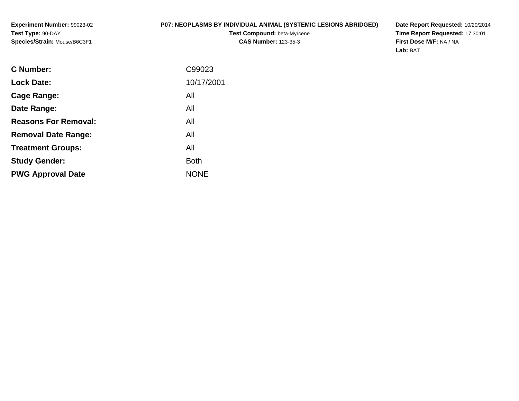### **P07: NEOPLASMS BY INDIVIDUAL ANIMAL (SYSTEMIC LESIONS ABRIDGED)**

**Test Compound:** beta-Myrcene**CAS Number:** 123-35-3

**Date Report Requested:** 10/20/2014 **Time Report Requested:** 17:30:01**First Dose M/F:** NA / NA**Lab:** BAT

| <b>Lock Date:</b><br>All<br>Cage Range:<br>All<br>Date Range:<br><b>Reasons For Removal:</b><br>All<br>All<br><b>Removal Date Range:</b><br>All<br><b>Treatment Groups:</b><br><b>Both</b><br><b>Study Gender:</b><br><b>NONE</b><br><b>PWG Approval Date</b> | C Number: | C99023     |
|---------------------------------------------------------------------------------------------------------------------------------------------------------------------------------------------------------------------------------------------------------------|-----------|------------|
|                                                                                                                                                                                                                                                               |           | 10/17/2001 |
|                                                                                                                                                                                                                                                               |           |            |
|                                                                                                                                                                                                                                                               |           |            |
|                                                                                                                                                                                                                                                               |           |            |
|                                                                                                                                                                                                                                                               |           |            |
|                                                                                                                                                                                                                                                               |           |            |
|                                                                                                                                                                                                                                                               |           |            |
|                                                                                                                                                                                                                                                               |           |            |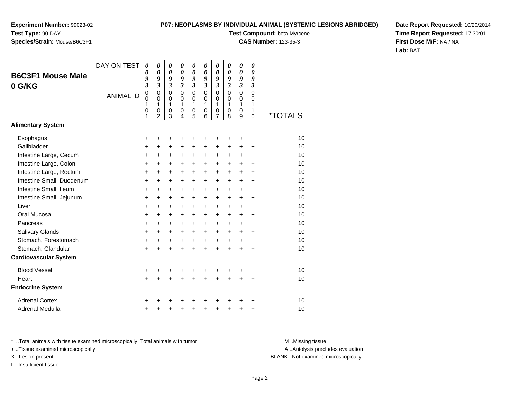# **Species/Strain:** Mouse/B6C3F1

### **P07: NEOPLASMS BY INDIVIDUAL ANIMAL (SYSTEMIC LESIONS ABRIDGED)**

**Test Compound:** beta-Myrcene

**CAS Number:** 123-35-3

**Date Report Requested:** 10/20/2014**Time Report Requested:** 17:30:01**First Dose M/F:** NA / NA**Lab:** BAT

| <b>B6C3F1 Mouse Male</b><br>0 G/KG                                                                                                                                                                                                                                        | DAY ON TEST<br><b>ANIMAL ID</b> | $\boldsymbol{\theta}$<br>0<br>9<br>3<br>$\mathbf 0$<br>$\mathbf 0$<br>1<br>0<br>1                                                                     | $\boldsymbol{\theta}$<br>$\boldsymbol{\theta}$<br>9<br>$\overline{\mathbf{3}}$<br>$\mathbf 0$<br>$\mathbf 0$<br>1<br>0<br>$\mathfrak{p}$ | 0<br>$\boldsymbol{\theta}$<br>9<br>$\mathfrak{z}$<br>$\mathbf 0$<br>$\mathbf 0$<br>1<br>0<br>3                                | 0<br>$\boldsymbol{\theta}$<br>9<br>$\mathfrak{z}$<br>$\Omega$<br>$\mathbf 0$<br>1<br>$\mathbf 0$<br>4                                 | 0<br>$\boldsymbol{\theta}$<br>9<br>$\mathfrak{z}$<br>$\mathbf 0$<br>$\mathbf 0$<br>1<br>$\mathbf 0$<br>5                                            | 0<br>$\boldsymbol{\theta}$<br>9<br>$\overline{\mathbf{3}}$<br>0<br>$\Omega$<br>1<br>0<br>6                                                      | 0<br>$\boldsymbol{\theta}$<br>9<br>$\mathfrak{z}$<br>0<br>$\mathbf 0$<br>1<br>0<br>7                                              | 0<br>$\boldsymbol{\theta}$<br>9<br>$\mathfrak{z}$<br>$\Omega$<br>$\mathbf 0$<br>1<br>0<br>8                                                           | 0<br>$\boldsymbol{\theta}$<br>9<br>$\overline{\mathbf{3}}$<br>$\overline{0}$<br>$\mathbf 0$<br>1<br>0<br>9                                      | 0<br>$\boldsymbol{\theta}$<br>9<br>$\mathfrak{z}$<br>$\mathbf 0$<br>$\mathbf 0$<br>1<br>1<br>$\Omega$                 | <i><b>*TOTALS</b></i>                                                      |
|---------------------------------------------------------------------------------------------------------------------------------------------------------------------------------------------------------------------------------------------------------------------------|---------------------------------|-------------------------------------------------------------------------------------------------------------------------------------------------------|------------------------------------------------------------------------------------------------------------------------------------------|-------------------------------------------------------------------------------------------------------------------------------|---------------------------------------------------------------------------------------------------------------------------------------|-----------------------------------------------------------------------------------------------------------------------------------------------------|-------------------------------------------------------------------------------------------------------------------------------------------------|-----------------------------------------------------------------------------------------------------------------------------------|-------------------------------------------------------------------------------------------------------------------------------------------------------|-------------------------------------------------------------------------------------------------------------------------------------------------|-----------------------------------------------------------------------------------------------------------------------|----------------------------------------------------------------------------|
| <b>Alimentary System</b>                                                                                                                                                                                                                                                  |                                 |                                                                                                                                                       |                                                                                                                                          |                                                                                                                               |                                                                                                                                       |                                                                                                                                                     |                                                                                                                                                 |                                                                                                                                   |                                                                                                                                                       |                                                                                                                                                 |                                                                                                                       |                                                                            |
| Esophagus<br>Gallbladder<br>Intestine Large, Cecum<br>Intestine Large, Colon<br>Intestine Large, Rectum<br>Intestine Small, Duodenum<br>Intestine Small, Ileum<br>Intestine Small, Jejunum<br>Liver<br>Oral Mucosa<br>Pancreas<br>Salivary Glands<br>Stomach, Forestomach |                                 | +<br>$\ddot{}$<br>$\ddot{}$<br>$\ddot{}$<br>$\ddot{}$<br>$\ddot{}$<br>$\ddot{}$<br>$\ddot{}$<br>$\ddot{}$<br>$\ddot{}$<br>$\ddot{}$<br>$\ddot{}$<br>+ | +<br>+<br>$\ddot{}$<br>$\ddot{}$<br>$\ddot{}$<br>$\ddot{}$<br>$\ddot{}$<br>+<br>$\ddot{}$<br>$\ddot{}$<br>$\ddot{}$<br>+<br>+            | +<br>+<br>$\ddot{}$<br>$\ddot{}$<br>$\ddot{}$<br>$\ddot{}$<br>$\ddot{}$<br>+<br>$\ddot{}$<br>$\ddot{}$<br>$\ddot{}$<br>+<br>+ | +<br>+<br>$\ddot{}$<br>$\ddot{}$<br>$\ddot{}$<br>$\ddot{}$<br>$\ddot{}$<br>+<br>$\ddot{}$<br>$\ddot{}$<br>$\ddot{}$<br>$\ddot{}$<br>+ | +<br>$\pm$<br>$\ddot{}$<br>$\ddot{}$<br>$\ddot{}$<br>$\ddot{}$<br>$\ddot{}$<br>$\ddot{}$<br>$\ddot{}$<br>$\ddot{}$<br>$+$<br>$\ddot{}$<br>$\ddot{}$ | +<br>+<br>$\ddot{}$<br>$\ddot{}$<br>$\ddot{}$<br>$\ddot{}$<br>$\ddot{}$<br>$\ddot{}$<br>$\ddot{}$<br>$\ddot{}$<br>$\ddot{}$<br>$+$<br>$\ddot{}$ | +<br>+<br>$\ddot{}$<br>$\ddot{}$<br>$\ddot{}$<br>$\ddot{}$<br>$\ddot{}$<br>$\pm$<br>$\ddot{}$<br>$\ddot{}$<br>$\ddot{}$<br>+<br>+ | +<br>+<br>$\ddot{}$<br>$\ddot{}$<br>$\ddot{}$<br>$\ddot{}$<br>$\ddot{}$<br>$\ddot{}$<br>$\ddot{}$<br>$\ddot{}$<br>$\ddot{}$<br>$\ddot{}$<br>$\ddot{}$ | ٠<br>$\ddot{}$<br>$\ddot{}$<br>$+$<br>$\ddot{}$<br>$\ddot{}$<br>$\ddot{}$<br>$\ddot{}$<br>$\ddot{}$<br>$\ddot{}$<br>$\ddot{}$<br>$\pm$<br>$\pm$ | +<br>+<br>$\ddot{}$<br>÷<br>$\ddot{}$<br>$\ddot{}$<br>$\ddot{}$<br>+<br>$\ddot{}$<br>$\ddot{}$<br>$\ddot{}$<br>+<br>+ | 10<br>10<br>10<br>10<br>10<br>10<br>10<br>10<br>10<br>10<br>10<br>10<br>10 |
| Stomach, Glandular<br><b>Cardiovascular System</b>                                                                                                                                                                                                                        |                                 | $\ddot{}$                                                                                                                                             | $\ddot{}$                                                                                                                                | $\ddot{}$                                                                                                                     | $\ddot{}$                                                                                                                             | $\ddot{}$                                                                                                                                           | $\ddot{}$                                                                                                                                       | $\ddot{}$                                                                                                                         | $\ddot{}$                                                                                                                                             | $\ddot{}$                                                                                                                                       | $\ddot{}$                                                                                                             | 10                                                                         |
| <b>Blood Vessel</b><br>Heart<br><b>Endocrine System</b>                                                                                                                                                                                                                   |                                 | +<br>$\ddot{}$                                                                                                                                        | $\ddot{}$                                                                                                                                | +<br>$\ddot{}$                                                                                                                | +<br>$\ddot{}$                                                                                                                        | $\ddot{}$                                                                                                                                           | $\ddot{}$                                                                                                                                       | $\ddot{}$                                                                                                                         | $\ddot{}$                                                                                                                                             | $\ddot{}$                                                                                                                                       | +<br>+                                                                                                                | 10<br>10                                                                   |
| <b>Adrenal Cortex</b><br>Adrenal Medulla                                                                                                                                                                                                                                  |                                 | +<br>+                                                                                                                                                |                                                                                                                                          | +                                                                                                                             | +                                                                                                                                     | +                                                                                                                                                   | +                                                                                                                                               | +                                                                                                                                 | +                                                                                                                                                     | +                                                                                                                                               | +<br>+                                                                                                                | 10<br>10                                                                   |

\* ..Total animals with tissue examined microscopically; Total animals with tumor **M** . Missing tissue M ..Missing tissue

+ ..Tissue examined microscopically

I ..Insufficient tissue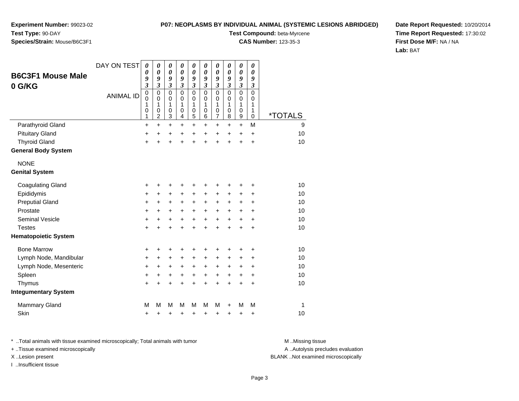**Experiment Number:** 99023-02**Test Type:** 90-DAY

# **Species/Strain:** Mouse/B6C3F1

**Test Compound:** beta-Myrcene

**CAS Number:** 123-35-3

**Date Report Requested:** 10/20/2014**Time Report Requested:** 17:30:02**First Dose M/F:** NA / NA**Lab:** BAT

| <b>B6C3F1 Mouse Male</b>    | DAY ON TEST      | 0<br>0                        | 0<br>0                                               | 0<br>$\boldsymbol{\theta}$                                        | 0<br>0                                       | $\pmb{\theta}$<br>$\boldsymbol{\theta}$           | $\pmb{\theta}$<br>0                       | 0<br>0                          | $\pmb{\theta}$<br>$\boldsymbol{\theta}$ | $\boldsymbol{\theta}$<br>0      | 0<br>0                          |                       |
|-----------------------------|------------------|-------------------------------|------------------------------------------------------|-------------------------------------------------------------------|----------------------------------------------|---------------------------------------------------|-------------------------------------------|---------------------------------|-----------------------------------------|---------------------------------|---------------------------------|-----------------------|
|                             |                  | 9<br>$\overline{\mathbf{3}}$  | 9<br>$\mathfrak{z}$                                  | 9<br>$\mathfrak{z}$                                               | 9<br>3                                       | 9<br>$\overline{\mathbf{3}}$                      | 9<br>$\overline{\mathbf{3}}$              | 9<br>3                          | 9<br>3                                  | 9<br>3                          | 9<br>3                          |                       |
| 0 G/KG                      | <b>ANIMAL ID</b> | $\pmb{0}$<br>0<br>1<br>0<br>1 | $\pmb{0}$<br>$\mathbf 0$<br>1<br>0<br>$\overline{c}$ | $\mathbf 0$<br>$\mathbf 0$<br>1<br>0<br>$\ensuremath{\mathsf{3}}$ | $\mathbf 0$<br>0<br>1<br>0<br>$\overline{4}$ | $\mathbf 0$<br>$\mathbf 0$<br>1<br>$\pmb{0}$<br>5 | $\mathbf 0$<br>$\mathbf 0$<br>1<br>0<br>6 | $\mathbf 0$<br>0<br>1<br>0<br>7 | $\mathbf 0$<br>$\Omega$<br>1<br>0<br>8  | $\mathbf 0$<br>0<br>1<br>0<br>9 | $\mathbf 0$<br>0<br>1<br>1<br>0 | <i><b>*TOTALS</b></i> |
| Parathyroid Gland           |                  | $\ddot{}$                     | $\ddot{}$                                            | $\ddot{}$                                                         | $\ddot{}$                                    | $+$                                               | $\ddot{}$                                 | $\ddot{}$                       | $\ddot{}$                               | $\ddot{}$                       | M                               | 9                     |
| <b>Pituitary Gland</b>      |                  | +                             | $\ddot{}$                                            | $\ddot{}$                                                         | $\ddot{}$                                    | +                                                 | $\ddot{}$                                 | $\ddot{}$                       | $\ddot{}$                               | $\ddot{}$                       | $\ddot{}$                       | 10                    |
| <b>Thyroid Gland</b>        |                  | $\ddot{}$                     | $\ddot{}$                                            | $\ddot{}$                                                         | $\ddot{}$                                    | $\ddot{}$                                         | $\ddot{}$                                 | $\ddot{}$                       | $\ddot{}$                               | $\ddot{}$                       | +                               | 10                    |
| <b>General Body System</b>  |                  |                               |                                                      |                                                                   |                                              |                                                   |                                           |                                 |                                         |                                 |                                 |                       |
| <b>NONE</b>                 |                  |                               |                                                      |                                                                   |                                              |                                                   |                                           |                                 |                                         |                                 |                                 |                       |
| <b>Genital System</b>       |                  |                               |                                                      |                                                                   |                                              |                                                   |                                           |                                 |                                         |                                 |                                 |                       |
| <b>Coagulating Gland</b>    |                  | +                             | +                                                    | +                                                                 | +                                            | +                                                 | +                                         | +                               | +                                       | +                               | +                               | 10                    |
| Epididymis                  |                  | +                             | +                                                    | +                                                                 | +                                            | +                                                 | +                                         | +                               | +                                       | +                               | +                               | 10                    |
| <b>Preputial Gland</b>      |                  | +                             | +                                                    | +                                                                 | +                                            | $\ddot{}$                                         | +                                         | $\ddot{}$                       | +                                       | +                               | +                               | 10                    |
| Prostate                    |                  | $\ddot{}$                     | +                                                    | +                                                                 | $\ddot{}$                                    | $\ddot{}$                                         | $+$                                       | +                               | $\ddot{}$                               | +                               | $\ddot{}$                       | 10                    |
| <b>Seminal Vesicle</b>      |                  | +                             | +                                                    | +                                                                 | +                                            | $\ddot{}$                                         | $\ddot{}$                                 | $\ddot{}$                       | $\ddot{}$                               | $\ddot{}$                       | $\ddot{}$                       | 10                    |
| <b>Testes</b>               |                  | $\ddot{}$                     | $\ddot{}$                                            | $\ddot{}$                                                         | $\ddot{}$                                    | $\ddot{}$                                         | $\ddot{}$                                 | $\ddot{}$                       | $\ddot{}$                               | $\ddot{}$                       | $\ddot{}$                       | 10                    |
| <b>Hematopoietic System</b> |                  |                               |                                                      |                                                                   |                                              |                                                   |                                           |                                 |                                         |                                 |                                 |                       |
| <b>Bone Marrow</b>          |                  | +                             | +                                                    | +                                                                 | +                                            | ٠                                                 | +                                         | ٠                               | +                                       | +                               | +                               | 10                    |
| Lymph Node, Mandibular      |                  | +                             | $\ddot{}$                                            | $\ddot{}$                                                         | $\ddot{}$                                    | +                                                 | +                                         | +                               | +                                       | +                               | +                               | 10                    |
| Lymph Node, Mesenteric      |                  | +                             | +                                                    | +                                                                 | +                                            | +                                                 | +                                         | +                               | +                                       | +                               | +                               | 10                    |
| Spleen                      |                  | +                             | +                                                    | +                                                                 | +                                            | $\ddot{}$                                         | $\ddot{}$                                 | $\ddot{}$                       | $\ddot{}$                               | +                               | +                               | 10                    |
| Thymus                      |                  | $\ddot{}$                     | $\ddot{}$                                            | $\ddot{}$                                                         | $\ddot{}$                                    | $\ddot{}$                                         | $\ddot{}$                                 | $\ddot{}$                       | $\ddot{}$                               | $\ddot{}$                       | +                               | 10                    |
| <b>Integumentary System</b> |                  |                               |                                                      |                                                                   |                                              |                                                   |                                           |                                 |                                         |                                 |                                 |                       |
| <b>Mammary Gland</b>        |                  | M                             | М                                                    | M                                                                 | М                                            | M                                                 | м                                         | M                               | +                                       | M                               | M                               | 1                     |
| Skin                        |                  | +                             | +                                                    | +                                                                 | +                                            | +                                                 | +                                         | +                               | +                                       | +                               | +                               | 10                    |

\* ..Total animals with tissue examined microscopically; Total animals with tumor **M** . Missing tissue M ..Missing tissue

+ ..Tissue examined microscopically

I ..Insufficient tissue

A ..Autolysis precludes evaluation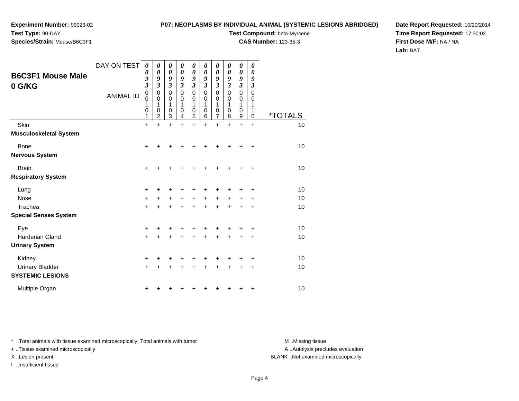**Experiment Number:** 99023-02

### **Test Type:** 90-DAY**Species/Strain:** Mouse/B6C3F1

### **P07: NEOPLASMS BY INDIVIDUAL ANIMAL (SYSTEMIC LESIONS ABRIDGED)**

**Test Compound:** beta-Myrcene

**CAS Number:** 123-35-3

**Date Report Requested:** 10/20/2014**Time Report Requested:** 17:30:02**First Dose M/F:** NA / NA**Lab:** BAT

|                                                   | DAY ON TEST      | 0                     | 0                     | 0                               | 0                               | 0                                         | 0                               | 0                                 | 0                                            | 0                                                  | 0                               |                       |
|---------------------------------------------------|------------------|-----------------------|-----------------------|---------------------------------|---------------------------------|-------------------------------------------|---------------------------------|-----------------------------------|----------------------------------------------|----------------------------------------------------|---------------------------------|-----------------------|
| <b>B6C3F1 Mouse Male</b><br>0 G/KG                |                  | 0<br>9<br>3           | 0<br>9<br>3           | $\boldsymbol{\theta}$<br>9<br>3 | $\boldsymbol{\theta}$<br>9<br>3 | 0<br>9<br>3                               | $\boldsymbol{\theta}$<br>9<br>3 | 0<br>9<br>$\overline{\mathbf{3}}$ | $\boldsymbol{\theta}$<br>9<br>$\mathfrak{z}$ | $\boldsymbol{\theta}$<br>9<br>$\boldsymbol{\beta}$ | $\boldsymbol{\theta}$<br>9<br>3 |                       |
|                                                   | <b>ANIMAL ID</b> | 0<br>0<br>1<br>0<br>1 | 0<br>0<br>1<br>0<br>2 | $\mathbf 0$<br>0<br>1<br>0<br>3 | $\mathbf 0$<br>0<br>1<br>0<br>4 | $\mathbf 0$<br>0<br>1<br>$\mathbf 0$<br>5 | 0<br>0<br>1<br>0<br>6           | 0<br>0<br>1<br>0<br>7             | 0<br>0<br>1<br>$\mathbf 0$<br>8              | 0<br>0<br>1<br>0<br>$\boldsymbol{9}$               | 0<br>0<br>1<br>1<br>$\mathbf 0$ | <i><b>*TOTALS</b></i> |
| Skin                                              |                  | $\ddot{}$             | $\ddot{}$             | $\ddot{}$                       | $\ddot{}$                       | $\ddot{}$                                 | $\ddot{}$                       | $\ddot{}$                         | $\ddot{}$                                    | $\ddot{}$                                          | $\ddot{}$                       | 10                    |
| <b>Musculoskeletal System</b>                     |                  |                       |                       |                                 |                                 |                                           |                                 |                                   |                                              |                                                    |                                 |                       |
| <b>Bone</b>                                       |                  | $\ddot{}$             |                       |                                 |                                 |                                           |                                 | +                                 | ٠                                            | +                                                  | +                               | 10                    |
| <b>Nervous System</b>                             |                  |                       |                       |                                 |                                 |                                           |                                 |                                   |                                              |                                                    |                                 |                       |
| <b>Brain</b>                                      |                  | $\ddot{}$             |                       |                                 |                                 |                                           | ٠                               | +                                 | +                                            | +                                                  | +                               | 10                    |
| <b>Respiratory System</b>                         |                  |                       |                       |                                 |                                 |                                           |                                 |                                   |                                              |                                                    |                                 |                       |
| Lung                                              |                  | +                     |                       |                                 |                                 |                                           | +                               | +                                 | +                                            | +                                                  | +                               | 10                    |
| Nose                                              |                  | $\ddot{}$             | +                     | +                               | $\ddot{}$                       | $+$                                       | $\ddot{}$                       | $\ddot{}$                         | $\ddot{}$                                    | +                                                  | $\ddot{}$                       | 10                    |
| Trachea                                           |                  | $\ddot{}$             |                       |                                 |                                 |                                           | $\ddot{}$                       | $\ddot{}$                         | $\ddot{}$                                    | +                                                  | +                               | 10                    |
| <b>Special Senses System</b>                      |                  |                       |                       |                                 |                                 |                                           |                                 |                                   |                                              |                                                    |                                 |                       |
| Eye                                               |                  | $\ddot{}$             |                       |                                 |                                 |                                           | +                               | +                                 | +                                            |                                                    | +                               | 10                    |
| Harderian Gland                                   |                  | $\ddot{}$             |                       | $\ddot{}$                       |                                 | $\ddot{}$                                 | $\ddot{}$                       | $\ddot{}$                         | $\ddot{}$                                    | $\ddot{}$                                          | +                               | 10                    |
| <b>Urinary System</b>                             |                  |                       |                       |                                 |                                 |                                           |                                 |                                   |                                              |                                                    |                                 |                       |
| Kidney                                            |                  | $\ddot{}$             |                       | +                               |                                 | +                                         | +                               | +                                 | +                                            | +                                                  | $\ddot{}$                       | 10                    |
| <b>Urinary Bladder</b><br><b>SYSTEMIC LESIONS</b> |                  | +                     | +                     | +                               |                                 | ٠                                         | $\ddot{}$                       | +                                 | +                                            | +                                                  | $\ddot{}$                       | 10                    |
| Multiple Organ                                    |                  | +                     |                       |                                 |                                 |                                           |                                 | ٠                                 | +                                            | +                                                  | +                               | 10                    |

\* ..Total animals with tissue examined microscopically; Total animals with tumor **M** . Missing tissue M ..Missing tissue

+ ..Tissue examined microscopically

I ..Insufficient tissue

A ..Autolysis precludes evaluation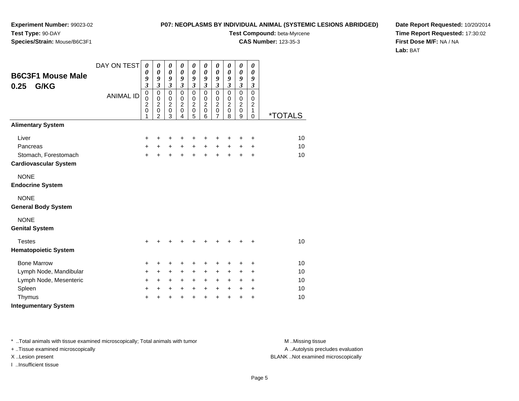#### **P07: NEOPLASMS BY INDIVIDUAL ANIMAL (SYSTEMIC LESIONS ABRIDGED)**

**Test Compound:** beta-Myrcene

**CAS Number:** 123-35-3

**Date Report Requested:** 10/20/2014**Time Report Requested:** 17:30:02**First Dose M/F:** NA / NA**Lab:** BAT

| <b>B6C3F1 Mouse Male</b><br>G/KG<br>0.25  | DAY ON TEST      | $\boldsymbol{\theta}$<br>0<br>9<br>$\overline{\mathbf{3}}$   | 0<br>$\boldsymbol{\theta}$<br>9<br>$\overline{\mathbf{3}}$                    | 0<br>$\boldsymbol{\theta}$<br>9<br>$\mathfrak{z}$         | 0<br>$\boldsymbol{\theta}$<br>9<br>$\overline{\mathbf{3}}$   | 0<br>$\boldsymbol{\theta}$<br>9<br>$\mathfrak{z}$                | 0<br>$\boldsymbol{\theta}$<br>9<br>$\overline{\mathbf{3}}$     | 0<br>$\boldsymbol{\theta}$<br>9<br>$\mathfrak{z}$                         | 0<br>$\boldsymbol{\theta}$<br>9<br>$\mathfrak{z}$                | $\boldsymbol{\theta}$<br>$\boldsymbol{\theta}$<br>9<br>$\mathfrak{z}$ | $\pmb{\theta}$<br>0<br>9<br>$\boldsymbol{\mathfrak{z}}$     |                              |
|-------------------------------------------|------------------|--------------------------------------------------------------|-------------------------------------------------------------------------------|-----------------------------------------------------------|--------------------------------------------------------------|------------------------------------------------------------------|----------------------------------------------------------------|---------------------------------------------------------------------------|------------------------------------------------------------------|-----------------------------------------------------------------------|-------------------------------------------------------------|------------------------------|
|                                           | <b>ANIMAL ID</b> | $\overline{0}$<br>0<br>$\overline{c}$<br>$\overline{0}$<br>1 | $\mathbf 0$<br>$\pmb{0}$<br>$\boldsymbol{2}$<br>$\mathbf 0$<br>$\mathfrak{p}$ | $\Omega$<br>$\,0\,$<br>$\overline{c}$<br>$\mathbf 0$<br>3 | $\mathbf 0$<br>$\,0\,$<br>$\boldsymbol{2}$<br>$\pmb{0}$<br>4 | $\mathbf 0$<br>$\pmb{0}$<br>$\boldsymbol{2}$<br>$\mathbf 0$<br>5 | $\mathbf 0$<br>$\mathbf 0$<br>$\overline{c}$<br>$\pmb{0}$<br>6 | $\mathbf 0$<br>$\pmb{0}$<br>$\overline{2}$<br>$\pmb{0}$<br>$\overline{7}$ | $\mathbf 0$<br>$\mathbf 0$<br>$\overline{c}$<br>$\mathbf 0$<br>8 | $\mathbf 0$<br>$\pmb{0}$<br>$\overline{2}$<br>$\mathbf 0$<br>9        | $\mathbf 0$<br>$\pmb{0}$<br>$\overline{c}$<br>1<br>$\Omega$ | <u><i><b>*TOTALS</b></i></u> |
| <b>Alimentary System</b>                  |                  |                                                              |                                                                               |                                                           |                                                              |                                                                  |                                                                |                                                                           |                                                                  |                                                                       |                                                             |                              |
| Liver                                     |                  | +                                                            | +                                                                             | +                                                         | +                                                            | +                                                                | +                                                              | +                                                                         | +                                                                | +                                                                     | +                                                           | 10                           |
| Pancreas                                  |                  | +                                                            | $+$                                                                           | $+$                                                       | $+$                                                          | $\ddot{}$                                                        | $+$                                                            | $\ddot{}$                                                                 | $+$                                                              | $\ddot{}$                                                             | $\ddot{}$                                                   | 10                           |
| Stomach, Forestomach                      |                  | $\ddot{}$                                                    | $\ddot{}$                                                                     | $\ddot{}$                                                 | $\ddot{}$                                                    | $\ddot{}$                                                        | $\ddot{}$                                                      | $\ddot{}$                                                                 | $\ddot{}$                                                        | $+$                                                                   | $\ddot{}$                                                   | 10                           |
| <b>Cardiovascular System</b>              |                  |                                                              |                                                                               |                                                           |                                                              |                                                                  |                                                                |                                                                           |                                                                  |                                                                       |                                                             |                              |
| <b>NONE</b>                               |                  |                                                              |                                                                               |                                                           |                                                              |                                                                  |                                                                |                                                                           |                                                                  |                                                                       |                                                             |                              |
| <b>Endocrine System</b>                   |                  |                                                              |                                                                               |                                                           |                                                              |                                                                  |                                                                |                                                                           |                                                                  |                                                                       |                                                             |                              |
| <b>NONE</b><br><b>General Body System</b> |                  |                                                              |                                                                               |                                                           |                                                              |                                                                  |                                                                |                                                                           |                                                                  |                                                                       |                                                             |                              |
| <b>NONE</b><br><b>Genital System</b>      |                  |                                                              |                                                                               |                                                           |                                                              |                                                                  |                                                                |                                                                           |                                                                  |                                                                       |                                                             |                              |
| <b>Testes</b>                             |                  | $\ddot{}$                                                    | +                                                                             | +                                                         |                                                              |                                                                  |                                                                | ٠                                                                         |                                                                  |                                                                       | $\ddot{}$                                                   | 10                           |
| <b>Hematopoietic System</b>               |                  |                                                              |                                                                               |                                                           |                                                              |                                                                  |                                                                |                                                                           |                                                                  |                                                                       |                                                             |                              |
| <b>Bone Marrow</b>                        |                  | +                                                            | +                                                                             | +                                                         | +                                                            | +                                                                | +                                                              | +                                                                         | +                                                                | +                                                                     | +                                                           | 10                           |
| Lymph Node, Mandibular                    |                  | $\ddot{}$                                                    | $\ddot{}$                                                                     | $\ddot{}$                                                 | $\ddot{}$                                                    | $\ddot{}$                                                        | +                                                              | +                                                                         | +                                                                | +                                                                     | $\ddot{}$                                                   | 10                           |
| Lymph Node, Mesenteric                    |                  | $\ddot{}$                                                    | $\ddot{}$                                                                     | $\ddot{}$                                                 | $\ddot{}$                                                    | $\ddot{}$                                                        | $\ddot{}$                                                      | $\ddot{}$                                                                 | $\ddot{}$                                                        | $\ddot{}$                                                             | +                                                           | 10                           |
| Spleen                                    |                  | $\ddot{}$                                                    | +                                                                             | $\ddot{}$                                                 | $\ddot{}$                                                    | $+$                                                              | $\ddot{}$                                                      | $\ddot{}$                                                                 | $\ddot{}$                                                        | +                                                                     | +                                                           | 10                           |
| Thymus                                    |                  | +                                                            | +                                                                             | +                                                         |                                                              | $\ddot{}$                                                        | +                                                              | $\ddot{}$                                                                 | +                                                                | +                                                                     | $\ddot{}$                                                   | 10                           |
| <b>Integumentary System</b>               |                  |                                                              |                                                                               |                                                           |                                                              |                                                                  |                                                                |                                                                           |                                                                  |                                                                       |                                                             |                              |

\* ..Total animals with tissue examined microscopically; Total animals with tumor **M** . Missing tissue M ..Missing tissue

+ ..Tissue examined microscopically

I ..Insufficient tissue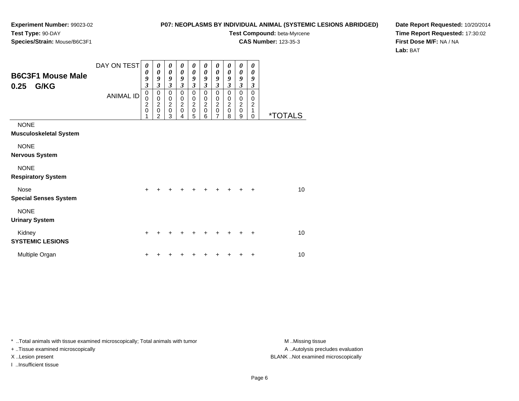#### **P07: NEOPLASMS BY INDIVIDUAL ANIMAL (SYSTEMIC LESIONS ABRIDGED)**

**Test Compound:** beta-Myrcene

**CAS Number:** 123-35-3

**Date Report Requested:** 10/20/2014**Time Report Requested:** 17:30:02**First Dose M/F:** NA / NA**Lab:** BAT

| <b>B6C3F1 Mouse Male</b><br>0.25<br>G/KG     | DAY ON TEST<br><b>ANIMAL ID</b> | 0<br>0<br>9<br>3<br>0<br>0<br>$\overline{\mathbf{c}}$<br>$\mathbf 0$ | 0<br>$\boldsymbol{\theta}$<br>9<br>$\overline{\mathbf{3}}$<br>$\pmb{0}$<br>$\mathbf 0$<br>$\boldsymbol{2}$<br>$\pmb{0}$<br>$\overline{2}$ | $\boldsymbol{\theta}$<br>$\boldsymbol{\theta}$<br>9<br>$\overline{\mathbf{3}}$<br>$\mathbf 0$<br>$\mathbf 0$<br>$\boldsymbol{2}$<br>$\pmb{0}$<br>3 | 0<br>0<br>9<br>$\boldsymbol{\beta}$<br>$\mathbf 0$<br>$\pmb{0}$<br>$\boldsymbol{2}$<br>$\pmb{0}$<br>4 | 0<br>0<br>9<br>$\mathfrak{z}$<br>$\mathbf 0$<br>$\pmb{0}$<br>$\frac{2}{0}$<br>5 | 0<br>0<br>9<br>$\mathfrak{z}$<br>0<br>0<br>$\overline{c}$<br>$\pmb{0}$<br>6 | 0<br>0<br>9<br>$\mathfrak{z}$<br>$\pmb{0}$<br>$\pmb{0}$<br>$\boldsymbol{2}$<br>$\mathsf 0$<br>$\overline{7}$ | $\boldsymbol{\theta}$<br>0<br>9<br>3<br>$\Omega$<br>$\mathbf 0$<br>$\boldsymbol{2}$<br>$\mathbf 0$<br>8 | 0<br>$\boldsymbol{\theta}$<br>9<br>$\mathfrak{z}$<br>$\pmb{0}$<br>$\mathbf 0$<br>$\boldsymbol{2}$<br>$\mathsf 0$<br>9 | 0<br>0<br>9<br>3<br>0<br>0<br>$\boldsymbol{2}$<br>1<br>$\Omega$ | <i><b>*TOTALS</b></i> |
|----------------------------------------------|---------------------------------|----------------------------------------------------------------------|-------------------------------------------------------------------------------------------------------------------------------------------|----------------------------------------------------------------------------------------------------------------------------------------------------|-------------------------------------------------------------------------------------------------------|---------------------------------------------------------------------------------|-----------------------------------------------------------------------------|--------------------------------------------------------------------------------------------------------------|---------------------------------------------------------------------------------------------------------|-----------------------------------------------------------------------------------------------------------------------|-----------------------------------------------------------------|-----------------------|
| <b>NONE</b><br><b>Musculoskeletal System</b> |                                 |                                                                      |                                                                                                                                           |                                                                                                                                                    |                                                                                                       |                                                                                 |                                                                             |                                                                                                              |                                                                                                         |                                                                                                                       |                                                                 |                       |
| <b>NONE</b><br><b>Nervous System</b>         |                                 |                                                                      |                                                                                                                                           |                                                                                                                                                    |                                                                                                       |                                                                                 |                                                                             |                                                                                                              |                                                                                                         |                                                                                                                       |                                                                 |                       |
| <b>NONE</b><br><b>Respiratory System</b>     |                                 |                                                                      |                                                                                                                                           |                                                                                                                                                    |                                                                                                       |                                                                                 |                                                                             |                                                                                                              |                                                                                                         |                                                                                                                       |                                                                 |                       |
| <b>Nose</b><br><b>Special Senses System</b>  |                                 | $\ddot{}$                                                            |                                                                                                                                           |                                                                                                                                                    |                                                                                                       |                                                                                 |                                                                             |                                                                                                              |                                                                                                         | +                                                                                                                     | $\ddot{}$                                                       | 10 <sup>1</sup>       |
| <b>NONE</b><br><b>Urinary System</b>         |                                 |                                                                      |                                                                                                                                           |                                                                                                                                                    |                                                                                                       |                                                                                 |                                                                             |                                                                                                              |                                                                                                         |                                                                                                                       |                                                                 |                       |
| Kidney<br><b>SYSTEMIC LESIONS</b>            |                                 | $\ddot{}$                                                            |                                                                                                                                           |                                                                                                                                                    |                                                                                                       |                                                                                 |                                                                             |                                                                                                              |                                                                                                         |                                                                                                                       | $\ddot{}$                                                       | 10                    |
| Multiple Organ                               |                                 | +                                                                    |                                                                                                                                           |                                                                                                                                                    |                                                                                                       |                                                                                 |                                                                             |                                                                                                              |                                                                                                         |                                                                                                                       | ٠                                                               | 10                    |

\* ..Total animals with tissue examined microscopically; Total animals with tumor **M** . Missing tissue M ..Missing tissue

+ ..Tissue examined microscopically

I ..Insufficient tissue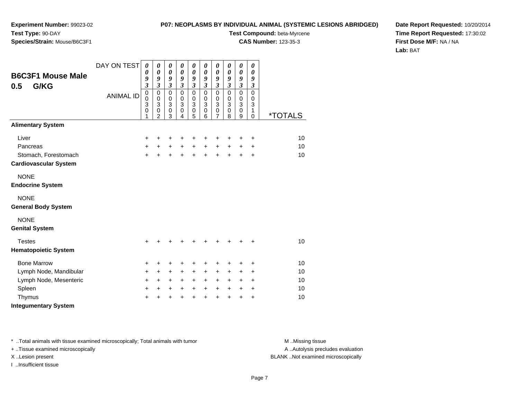#### **P07: NEOPLASMS BY INDIVIDUAL ANIMAL (SYSTEMIC LESIONS ABRIDGED)**

**Test Compound:** beta-Myrcene

**CAS Number:** 123-35-3

**Date Report Requested:** 10/20/2014**Time Report Requested:** 17:30:02**First Dose M/F:** NA / NA**Lab:** BAT

| <b>B6C3F1 Mouse Male</b><br>G/KG<br>0.5   | DAY ON TEST      | $\boldsymbol{\theta}$<br>0<br>9<br>$\mathfrak{z}$ | $\boldsymbol{\theta}$<br>$\boldsymbol{\theta}$<br>9<br>$\overline{\mathbf{3}}$ | $\boldsymbol{\theta}$<br>$\pmb{\theta}$<br>9<br>$\mathfrak{z}$ | 0<br>$\boldsymbol{\theta}$<br>$\boldsymbol{g}$<br>$\mathfrak{z}$ | $\boldsymbol{\theta}$<br>$\boldsymbol{\theta}$<br>9<br>$\mathfrak{z}$ | 0<br>0<br>9<br>$\mathfrak{z}$                                  | $\boldsymbol{\theta}$<br>$\boldsymbol{\theta}$<br>9<br>$\mathfrak{z}$                | $\boldsymbol{\theta}$<br>$\boldsymbol{\theta}$<br>9<br>$\mathfrak{z}$ | 0<br>$\pmb{\theta}$<br>9<br>$\mathfrak{z}$                    | 0<br>0<br>9<br>$\boldsymbol{\beta}$       |                       |
|-------------------------------------------|------------------|---------------------------------------------------|--------------------------------------------------------------------------------|----------------------------------------------------------------|------------------------------------------------------------------|-----------------------------------------------------------------------|----------------------------------------------------------------|--------------------------------------------------------------------------------------|-----------------------------------------------------------------------|---------------------------------------------------------------|-------------------------------------------|-----------------------|
|                                           | <b>ANIMAL ID</b> | $\overline{0}$<br>0<br>3<br>0<br>1                | $\mathbf 0$<br>$\pmb{0}$<br>3<br>$\mathbf 0$<br>$\mathfrak{p}$                 | $\mathbf 0$<br>$\pmb{0}$<br>$\mathbf{3}$<br>$\pmb{0}$<br>3     | $\mathbf 0$<br>$\pmb{0}$<br>$\mathbf{3}$<br>$\pmb{0}$<br>4       | $\pmb{0}$<br>$\pmb{0}$<br>$\mathbf{3}$<br>$\mathbf 0$<br>5            | $\mathbf 0$<br>$\mathbf 0$<br>$\mathbf{3}$<br>$\mathbf 0$<br>6 | $\mathbf 0$<br>$\pmb{0}$<br>$\ensuremath{\mathsf{3}}$<br>$\pmb{0}$<br>$\overline{7}$ | $\mathbf 0$<br>$\pmb{0}$<br>$\mathbf{3}$<br>$\pmb{0}$<br>8            | $\overline{0}$<br>$\pmb{0}$<br>$\overline{3}$<br>$\,0\,$<br>9 | $\mathbf 0$<br>0<br>3<br>1<br>$\mathbf 0$ | <i><b>*TOTALS</b></i> |
| <b>Alimentary System</b>                  |                  |                                                   |                                                                                |                                                                |                                                                  |                                                                       |                                                                |                                                                                      |                                                                       |                                                               |                                           |                       |
| Liver                                     |                  | +                                                 | +                                                                              | $\ddot{}$                                                      | +                                                                | +                                                                     | +                                                              | +                                                                                    | ÷                                                                     | +                                                             | $\ddot{}$                                 | 10                    |
| Pancreas                                  |                  | +                                                 | $+$                                                                            | $+$                                                            | $+$                                                              | $\ddot{}$                                                             | $+$                                                            | $\ddot{}$                                                                            | $+$                                                                   | $\ddot{}$                                                     | $\ddot{}$                                 | 10                    |
| Stomach, Forestomach                      |                  | $\ddot{}$                                         | ÷                                                                              | $\ddot{}$                                                      |                                                                  | $\ddot{}$                                                             | $\ddot{}$                                                      | $+$                                                                                  | $+$                                                                   | $+$                                                           | $\ddot{}$                                 | 10                    |
| <b>Cardiovascular System</b>              |                  |                                                   |                                                                                |                                                                |                                                                  |                                                                       |                                                                |                                                                                      |                                                                       |                                                               |                                           |                       |
| <b>NONE</b>                               |                  |                                                   |                                                                                |                                                                |                                                                  |                                                                       |                                                                |                                                                                      |                                                                       |                                                               |                                           |                       |
| <b>Endocrine System</b>                   |                  |                                                   |                                                                                |                                                                |                                                                  |                                                                       |                                                                |                                                                                      |                                                                       |                                                               |                                           |                       |
| <b>NONE</b><br><b>General Body System</b> |                  |                                                   |                                                                                |                                                                |                                                                  |                                                                       |                                                                |                                                                                      |                                                                       |                                                               |                                           |                       |
| <b>NONE</b><br><b>Genital System</b>      |                  |                                                   |                                                                                |                                                                |                                                                  |                                                                       |                                                                |                                                                                      |                                                                       |                                                               |                                           |                       |
| <b>Testes</b>                             |                  | $\ddot{}$                                         |                                                                                |                                                                |                                                                  |                                                                       |                                                                | ٠                                                                                    |                                                                       |                                                               | +                                         | 10                    |
| <b>Hematopoietic System</b>               |                  |                                                   |                                                                                |                                                                |                                                                  |                                                                       |                                                                |                                                                                      |                                                                       |                                                               |                                           |                       |
| <b>Bone Marrow</b>                        |                  | +                                                 | +                                                                              | $\ddot{}$                                                      | +                                                                | +                                                                     | +                                                              | +                                                                                    | +                                                                     | +                                                             | $\ddot{}$                                 | 10                    |
| Lymph Node, Mandibular                    |                  | +                                                 | $\ddot{}$                                                                      | $\ddot{}$                                                      | $\ddot{}$                                                        | $\ddot{}$                                                             | $\ddot{}$                                                      | $\ddot{}$                                                                            | $\ddot{}$                                                             | +                                                             | $\ddot{}$                                 | 10                    |
| Lymph Node, Mesenteric                    |                  | $\ddot{}$                                         | $\ddot{}$                                                                      | $\ddot{}$                                                      | $\ddot{}$                                                        | $\ddot{}$                                                             | $\ddot{}$                                                      | $\ddot{}$                                                                            | $\ddot{}$                                                             | $\ddot{}$                                                     | $\ddot{}$                                 | 10                    |
| Spleen                                    |                  | $\ddot{}$                                         | +                                                                              | $\ddot{}$                                                      | $\ddot{}$                                                        | $\ddot{}$                                                             | $\ddot{}$                                                      | $\ddot{}$                                                                            | $\ddot{}$                                                             | $\ddot{}$                                                     | $\ddot{}$                                 | 10                    |
| Thymus                                    |                  | +                                                 |                                                                                | +                                                              |                                                                  | $\ddot{}$                                                             | $\ddot{}$                                                      | $\ddot{}$                                                                            | +                                                                     | +                                                             | +                                         | 10                    |
| <b>Integumentary System</b>               |                  |                                                   |                                                                                |                                                                |                                                                  |                                                                       |                                                                |                                                                                      |                                                                       |                                                               |                                           |                       |

\* ..Total animals with tissue examined microscopically; Total animals with tumor **M** . Missing tissue M ..Missing tissue

+ ..Tissue examined microscopically

I ..Insufficient tissue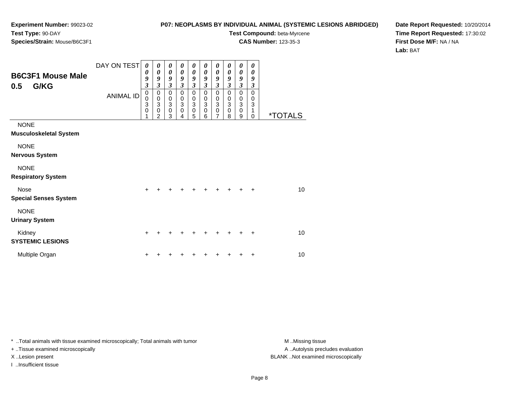#### **P07: NEOPLASMS BY INDIVIDUAL ANIMAL (SYSTEMIC LESIONS ABRIDGED)**

**Test Compound:** beta-Myrcene

**CAS Number:** 123-35-3

**Date Report Requested:** 10/20/2014**Time Report Requested:** 17:30:02**First Dose M/F:** NA / NA**Lab:** BAT

| <b>B6C3F1 Mouse Male</b><br>G/KG<br>0.5      | DAY ON TEST<br><b>ANIMAL ID</b> | 0<br>0<br>9<br>$\overline{\mathbf{3}}$<br>$\mathbf 0$<br>0<br>3<br>0 | 0<br>0<br>9<br>$\overline{\mathbf{3}}$<br>$\mathbf 0$<br>$\pmb{0}$<br>$\overline{3}$<br>$\mathbf 0$<br>$\overline{2}$ | 0<br>$\boldsymbol{\theta}$<br>9<br>$\mathfrak{z}$<br>$\pmb{0}$<br>$_3^0$<br>$\mathbf 0$<br>3 | 0<br>$\boldsymbol{\theta}$<br>9<br>$\mathfrak{z}$<br>0<br>$_3^0$<br>$\mathbf 0$<br>4 | 0<br>0<br>9<br>$\mathfrak{z}$<br>$\pmb{0}$<br>$_3^0$<br>$\pmb{0}$<br>5 | 0<br>0<br>9<br>$\mathfrak{z}$<br>$\mathbf 0$<br>0<br>$\overline{3}$<br>$\pmb{0}$<br>6 | 0<br>0<br>9<br>$\boldsymbol{\beta}$<br>0<br>0<br>$\overline{3}$<br>$\pmb{0}$<br>$\overline{7}$ | 0<br>0<br>9<br>3<br>$\mathbf 0$<br>0<br>$\sqrt{3}$<br>$\mathbf 0$<br>8 | $\boldsymbol{\theta}$<br>0<br>9<br>$\mathfrak{z}$<br>$\mathbf 0$<br>$\pmb{0}$<br>$\overline{3}$<br>$\pmb{0}$<br>9 | 0<br>0<br>9<br>3<br>$\mathbf 0$<br>0<br>$\ensuremath{\mathsf{3}}$<br>1<br>$\mathbf 0$ | <i><b>*TOTALS</b></i> |
|----------------------------------------------|---------------------------------|----------------------------------------------------------------------|-----------------------------------------------------------------------------------------------------------------------|----------------------------------------------------------------------------------------------|--------------------------------------------------------------------------------------|------------------------------------------------------------------------|---------------------------------------------------------------------------------------|------------------------------------------------------------------------------------------------|------------------------------------------------------------------------|-------------------------------------------------------------------------------------------------------------------|---------------------------------------------------------------------------------------|-----------------------|
| <b>NONE</b><br><b>Musculoskeletal System</b> |                                 |                                                                      |                                                                                                                       |                                                                                              |                                                                                      |                                                                        |                                                                                       |                                                                                                |                                                                        |                                                                                                                   |                                                                                       |                       |
| <b>NONE</b><br><b>Nervous System</b>         |                                 |                                                                      |                                                                                                                       |                                                                                              |                                                                                      |                                                                        |                                                                                       |                                                                                                |                                                                        |                                                                                                                   |                                                                                       |                       |
| <b>NONE</b><br><b>Respiratory System</b>     |                                 |                                                                      |                                                                                                                       |                                                                                              |                                                                                      |                                                                        |                                                                                       |                                                                                                |                                                                        |                                                                                                                   |                                                                                       |                       |
| Nose<br><b>Special Senses System</b>         |                                 | $\ddot{}$                                                            |                                                                                                                       |                                                                                              |                                                                                      |                                                                        |                                                                                       | +                                                                                              |                                                                        | ٠                                                                                                                 | $\ddot{}$                                                                             | 10                    |
| <b>NONE</b><br><b>Urinary System</b>         |                                 |                                                                      |                                                                                                                       |                                                                                              |                                                                                      |                                                                        |                                                                                       |                                                                                                |                                                                        |                                                                                                                   |                                                                                       |                       |
| Kidney<br><b>SYSTEMIC LESIONS</b>            |                                 | $\ddot{}$                                                            |                                                                                                                       |                                                                                              |                                                                                      |                                                                        |                                                                                       | ٠                                                                                              |                                                                        |                                                                                                                   | $\ddot{}$                                                                             | 10                    |
| Multiple Organ                               |                                 | ٠                                                                    |                                                                                                                       |                                                                                              |                                                                                      |                                                                        |                                                                                       |                                                                                                |                                                                        |                                                                                                                   | ٠                                                                                     | 10                    |

\* ..Total animals with tissue examined microscopically; Total animals with tumor **M** . Missing tissue M ..Missing tissue

+ ..Tissue examined microscopically

I ..Insufficient tissue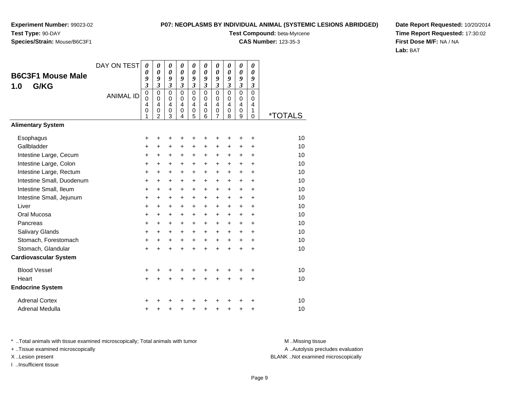# **Species/Strain:** Mouse/B6C3F1

#### **P07: NEOPLASMS BY INDIVIDUAL ANIMAL (SYSTEMIC LESIONS ABRIDGED)**

**Test Compound:** beta-Myrcene

**CAS Number:** 123-35-3

**Date Report Requested:** 10/20/2014**Time Report Requested:** 17:30:02**First Dose M/F:** NA / NA**Lab:** BAT

|                              | DAY ON TEST      | 0<br>0                        | 0<br>0                        | 0<br>0                                 | 0<br>0                        | $\boldsymbol{\theta}$<br>0                  | 0<br>0                                 | 0<br>0                                 | 0<br>0                                     | 0<br>0                           | 0<br>0                                 |                       |
|------------------------------|------------------|-------------------------------|-------------------------------|----------------------------------------|-------------------------------|---------------------------------------------|----------------------------------------|----------------------------------------|--------------------------------------------|----------------------------------|----------------------------------------|-----------------------|
| <b>B6C3F1 Mouse Male</b>     |                  | 9                             | 9                             | 9                                      | 9                             | 9                                           | 9                                      | 9                                      | 9                                          | 9                                | 9                                      |                       |
| G/KG<br>1.0                  |                  | $\mathfrak{z}$<br>$\mathbf 0$ | $\mathfrak{z}$<br>$\mathbf 0$ | $\mathfrak{z}$<br>$\mathbf 0$          | $\mathfrak{z}$<br>$\mathbf 0$ | 3<br>$\mathbf 0$                            | $\overline{\mathbf{3}}$<br>$\mathbf 0$ | $\overline{\mathbf{3}}$<br>$\mathbf 0$ | $\boldsymbol{\mathfrak{z}}$<br>$\mathbf 0$ | $\mathfrak{z}$<br>$\overline{0}$ | $\boldsymbol{\beta}$<br>$\overline{0}$ |                       |
|                              | <b>ANIMAL ID</b> | $\mathbf 0$                   | $\mathbf 0$                   | $\mathbf 0$                            | $\mathbf 0$                   | $\mathbf 0$                                 | $\mathbf 0$                            | $\mathbf 0$                            | $\mathbf 0$                                | $\Omega$                         | $\Omega$                               |                       |
|                              |                  | 4<br>0                        | $\overline{\mathbf{4}}$<br>0  | $\overline{\mathbf{4}}$<br>$\mathbf 0$ | $\overline{4}$<br>0           | $\overline{\mathbf{4}}$<br>$\boldsymbol{0}$ | $\overline{4}$<br>$\mathbf 0$          | 4<br>$\mathbf 0$                       | $\overline{4}$<br>$\mathbf 0$              | 4<br>$\mathbf 0$                 | 4<br>1                                 |                       |
|                              |                  | 1                             | $\overline{2}$                | 3                                      | 4                             | 5                                           | 6                                      | 7                                      | 8                                          | 9                                | $\mathbf 0$                            | <i><b>*TOTALS</b></i> |
| <b>Alimentary System</b>     |                  |                               |                               |                                        |                               |                                             |                                        |                                        |                                            |                                  |                                        |                       |
| Esophagus                    |                  | +                             | +                             | +                                      | +                             | +                                           | ٠                                      | +                                      |                                            |                                  | +                                      | 10                    |
| Gallbladder                  |                  | +                             | $\ddot{}$                     | $\ddot{}$                              | $\ddot{}$                     | +                                           | +                                      | $\ddot{}$                              | $\ddot{}$                                  | $\ddot{}$                        | +                                      | 10                    |
| Intestine Large, Cecum       |                  | $\ddot{}$                     | $\ddot{}$                     | $\ddot{}$                              | $\ddot{}$                     | $\ddot{}$                                   | $\ddot{}$                              | $\ddot{}$                              | $\ddot{}$                                  | $\ddot{}$                        | $\ddot{}$                              | 10                    |
| Intestine Large, Colon       |                  | $\ddot{}$                     | $\ddot{}$                     | +                                      | $\ddot{}$                     | $\ddot{}$                                   | $\ddot{}$                              | +                                      | $\ddot{}$                                  | $+$                              | $\ddot{}$                              | 10                    |
| Intestine Large, Rectum      |                  | +                             | $\ddot{}$                     | $\ddot{}$                              | $\ddot{}$                     | $\ddot{}$                                   | $\ddot{}$                              | $\ddot{}$                              | $+$                                        | $+$                              | $\ddot{}$                              | 10                    |
| Intestine Small, Duodenum    |                  | +                             | +                             | +                                      | +                             | +                                           | +                                      | +                                      | $\ddot{}$                                  | $\ddot{}$                        | $\ddot{}$                              | 10                    |
| Intestine Small, Ileum       |                  | $\ddot{}$                     | $\ddot{}$                     | +                                      | $\ddot{}$                     | +                                           | $\ddot{}$                              | $\ddot{}$                              | $\ddot{}$                                  | $\ddot{}$                        | $\ddot{}$                              | 10                    |
| Intestine Small, Jejunum     |                  | +                             | +                             | $\ddot{}$                              | $\ddot{}$                     | $\ddot{}$                                   | $\ddot{}$                              | $\ddot{}$                              | $\ddot{}$                                  | $+$                              | $\ddot{}$                              | 10                    |
| Liver                        |                  | $\ddot{}$                     | $\ddot{}$                     | +                                      | +                             | +                                           | $\ddot{}$                              | $\ddot{}$                              | $\ddot{}$                                  | $\ddot{}$                        | +                                      | 10                    |
| Oral Mucosa                  |                  | +                             | +                             | +                                      | +                             | +                                           | +                                      | $\ddot{}$                              | $\ddot{}$                                  | $\ddot{}$                        | +                                      | 10                    |
| Pancreas                     |                  | $\ddot{}$                     | $\ddot{}$                     | +                                      | $\ddot{}$                     | $\ddot{}$                                   | $\ddot{}$                              | $\ddot{}$                              | $\ddot{}$                                  | $+$                              | $\ddot{}$                              | 10                    |
| Salivary Glands              |                  | +                             | $\ddot{}$                     | +                                      | $\ddot{}$                     | +                                           | $\ddot{}$                              | $\ddot{}$                              | $\ddot{}$                                  | $\ddot{}$                        | +                                      | 10                    |
| Stomach, Forestomach         |                  | +                             | $\ddot{}$                     | +                                      | $\ddot{}$                     | $\ddot{}$                                   | $\ddot{}$                              | $\ddot{}$                              | $\ddot{}$                                  | $\ddot{}$                        | $\ddot{}$                              | 10                    |
| Stomach, Glandular           |                  | $\ddot{}$                     | $\ddot{}$                     | $\ddot{}$                              | $\ddot{}$                     | $\ddot{}$                                   | $\ddot{}$                              | $\ddot{}$                              | $\ddot{}$                                  | $\ddot{}$                        | +                                      | 10                    |
| <b>Cardiovascular System</b> |                  |                               |                               |                                        |                               |                                             |                                        |                                        |                                            |                                  |                                        |                       |
| <b>Blood Vessel</b>          |                  | +                             | +                             | +                                      | +                             | ٠                                           | ٠                                      | ٠                                      |                                            |                                  | +                                      | 10                    |
| Heart                        |                  | $\ddot{}$                     | $\ddot{}$                     | $\ddot{}$                              | $\ddot{}$                     | $\ddot{}$                                   | $\ddot{}$                              | $\ddot{}$                              | $+$                                        | $\ddot{}$                        | +                                      | 10                    |
| <b>Endocrine System</b>      |                  |                               |                               |                                        |                               |                                             |                                        |                                        |                                            |                                  |                                        |                       |
| <b>Adrenal Cortex</b>        |                  | +                             |                               | ٠                                      |                               |                                             |                                        |                                        |                                            |                                  | ٠                                      | 10                    |
| Adrenal Medulla              |                  | +                             | +                             | +                                      | +                             | +                                           | ٠                                      | +                                      | +                                          | +                                | +                                      | 10                    |

\* ..Total animals with tissue examined microscopically; Total animals with tumor **M** . Missing tissue M ..Missing tissue

+ ..Tissue examined microscopically

I ..Insufficient tissue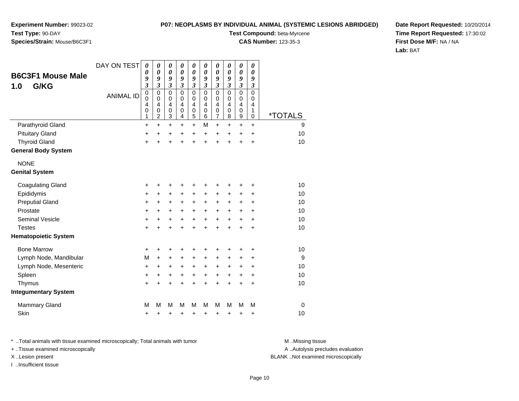**Experiment Number:** 99023-02**Test Type:** 90-DAY**Species/Strain:** Mouse/B6C3F1

**Test Compound:** beta-Myrcene

**CAS Number:** 123-35-3

**Date Report Requested:** 10/20/2014**Time Report Requested:** 17:30:02**First Dose M/F:** NA / NA**Lab:** BAT

| <b>B6C3F1 Mouse Male</b>    | DAY ON TEST      | 0<br>0<br>9          | 0<br>0<br>9                | 0<br>0<br>9              | 0<br>0<br>9              | 0<br>$\boldsymbol{\theta}$<br>9 | $\pmb{\theta}$<br>0<br>9 | $\boldsymbol{\theta}$<br>0<br>9                               | 0<br>0<br>9 | 0<br>0<br>9 | $\pmb{\theta}$<br>$\boldsymbol{\theta}$<br>9 |                       |
|-----------------------------|------------------|----------------------|----------------------------|--------------------------|--------------------------|---------------------------------|--------------------------|---------------------------------------------------------------|-------------|-------------|----------------------------------------------|-----------------------|
| G/KG<br>1.0                 |                  | $\boldsymbol{\beta}$ | 3                          | 3                        | 3                        | 3                               | 3                        | $\overline{\mathbf{3}}$                                       | 3           | 3           | 3                                            |                       |
|                             | <b>ANIMAL ID</b> | $\pmb{0}$<br>0       | $\mathbf 0$<br>$\mathbf 0$ | $\mathsf 0$<br>0         | $\mathbf 0$<br>0         | $\mathbf 0$<br>0                | $\mathbf 0$<br>0         | $\mathbf 0$<br>$\mathbf 0$                                    | 0<br>0      | 0<br>0      | $\mathbf 0$<br>0                             |                       |
|                             |                  | 4<br>0<br>1          | 4<br>0<br>$\overline{c}$   | $\overline{4}$<br>0<br>3 | $\overline{4}$<br>0<br>4 | $\overline{4}$<br>0<br>5        | 4<br>0<br>6              | $\overline{\mathbf{4}}$<br>$\boldsymbol{0}$<br>$\overline{7}$ | 4<br>0<br>8 | 4<br>0<br>9 | 4<br>1<br>0                                  | <i><b>*TOTALS</b></i> |
| Parathyroid Gland           |                  | $\ddot{}$            | $\ddot{}$                  | $\ddot{}$                | $\ddot{}$                | $\ddot{}$                       | м                        | $+$                                                           | $\ddot{}$   | $\ddot{}$   | $\ddot{}$                                    | 9                     |
| <b>Pituitary Gland</b>      |                  | $\ddot{}$            | $\ddot{}$                  | +                        | $\ddot{}$                | $\ddot{}$                       | $\ddot{}$                | $\ddot{}$                                                     | +           | $\ddot{}$   | $\ddot{}$                                    | 10                    |
| <b>Thyroid Gland</b>        |                  | $\ddot{}$            | Ŧ.                         | $\ddot{}$                | $\ddot{}$                | $\ddot{}$                       | +                        | $\ddot{}$                                                     | $\ddot{}$   | $\ddot{}$   | $\ddot{}$                                    | 10                    |
| <b>General Body System</b>  |                  |                      |                            |                          |                          |                                 |                          |                                                               |             |             |                                              |                       |
| <b>NONE</b>                 |                  |                      |                            |                          |                          |                                 |                          |                                                               |             |             |                                              |                       |
| <b>Genital System</b>       |                  |                      |                            |                          |                          |                                 |                          |                                                               |             |             |                                              |                       |
| <b>Coagulating Gland</b>    |                  | +                    | +                          | +                        | +                        | +                               | +                        | +                                                             | +           | +           | +                                            | 10                    |
| Epididymis                  |                  | +                    | +                          | +                        | +                        | +                               | $\pm$                    | +                                                             | +           | +           | +                                            | 10                    |
| <b>Preputial Gland</b>      |                  | +                    | +                          | +                        | +                        | +                               | +                        | +                                                             | +           | +           | +                                            | 10                    |
| Prostate                    |                  | $\ddot{}$            | +                          | +                        | $\ddot{}$                | $\ddot{}$                       | $\ddot{}$                | $\ddot{}$                                                     | $\ddot{}$   | +           | $\ddot{}$                                    | 10                    |
| <b>Seminal Vesicle</b>      |                  | +                    | +                          | +                        | +                        | $\ddot{}$                       | $\ddot{}$                | $\ddot{}$                                                     | $\ddot{}$   | $\ddot{}$   | +                                            | 10                    |
| <b>Testes</b>               |                  | $\ddot{}$            | $\ddot{}$                  | $\ddot{}$                | $\ddot{}$                | $\ddot{}$                       | $+$                      | $\ddot{}$                                                     | $\ddot{}$   | $\ddot{}$   | $\ddot{}$                                    | 10                    |
| <b>Hematopoietic System</b> |                  |                      |                            |                          |                          |                                 |                          |                                                               |             |             |                                              |                       |
| <b>Bone Marrow</b>          |                  | +                    | +                          | +                        | +                        | +                               | +                        | ٠                                                             | +           | +           | +                                            | 10                    |
| Lymph Node, Mandibular      |                  | M                    | $\ddot{}$                  | $\ddot{}$                | $\ddot{}$                | $\ddot{}$                       | $\ddot{}$                | +                                                             | ٠           | +           | $\ddot{}$                                    | 9                     |
| Lymph Node, Mesenteric      |                  | +                    | +                          | +                        | +                        | +                               | +                        | +                                                             | +           | +           | +                                            | 10                    |
| Spleen                      |                  | +                    | +                          | +                        | +                        | +                               | $\ddot{}$                | +                                                             | $\ddot{}$   | +           | +                                            | 10                    |
| Thymus                      |                  | $\ddot{}$            | $\ddot{}$                  | $\ddot{}$                | $\ddot{}$                | $\ddot{}$                       | $\ddot{}$                | $\ddot{}$                                                     | $\ddot{}$   | $\ddot{}$   | +                                            | 10                    |
| <b>Integumentary System</b> |                  |                      |                            |                          |                          |                                 |                          |                                                               |             |             |                                              |                       |
| <b>Mammary Gland</b>        |                  | M                    | M                          | M                        | M                        | M                               | м                        | M                                                             | М           | M           | M                                            | $\mathbf 0$           |
| Skin                        |                  | +                    | +                          | +                        | +                        | +                               | +                        | +                                                             | +           | +           | +                                            | 10                    |

\* ..Total animals with tissue examined microscopically; Total animals with tumor **M** . Missing tissue M ..Missing tissue

+ ..Tissue examined microscopically

I ..Insufficient tissue

A ..Autolysis precludes evaluation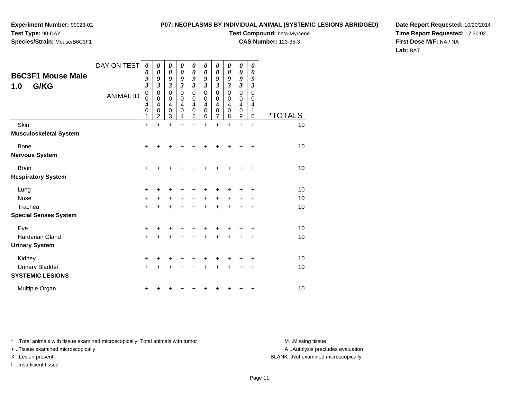# **Species/Strain:** Mouse/B6C3F1

### **P07: NEOPLASMS BY INDIVIDUAL ANIMAL (SYSTEMIC LESIONS ABRIDGED)**

**Test Compound:** beta-Myrcene

**CAS Number:** 123-35-3

**Date Report Requested:** 10/20/2014**Time Report Requested:** 17:30:02**First Dose M/F:** NA / NA**Lab:** BAT

| <b>B6C3F1 Mouse Male</b><br>G/KG<br>1.0           | DAY ON TEST<br><b>ANIMAL ID</b> | 0<br>0<br>9<br>$\overline{\mathbf{3}}$<br>0<br>0<br>4<br>0<br>1 | 0<br>0<br>9<br>3<br>0<br>$\mathbf 0$<br>4<br>0<br>$\overline{2}$ | 0<br>0<br>9<br>3<br>0<br>$\mathbf 0$<br>4<br>0<br>3 | 0<br>$\boldsymbol{\theta}$<br>9<br>3<br>0<br>$\mathbf 0$<br>4<br>0<br>4 | 0<br>$\boldsymbol{\theta}$<br>9<br>3<br>$\mathbf 0$<br>$\mathbf 0$<br>$\overline{4}$<br>$\mathbf 0$<br>5 | 0<br>0<br>9<br>$\mathfrak{z}$<br>$\mathbf 0$<br>0<br>$\overline{4}$<br>$\mathbf 0$<br>6 | 0<br>0<br>9<br>$\overline{\mathbf{3}}$<br>0<br>0<br>$\overline{\mathbf{4}}$<br>$\mathbf 0$<br>7 | 0<br>0<br>9<br>$\mathfrak{z}$<br>$\mathbf 0$<br>0<br>$\overline{4}$<br>$\pmb{0}$<br>8 | 0<br>0<br>9<br>3<br>$\mathbf 0$<br>$\mathbf 0$<br>4<br>$\mathbf 0$<br>9 | 0<br>0<br>9<br>$\boldsymbol{\beta}$<br>$\mathbf 0$<br>0<br>$\overline{4}$<br>1<br>$\mathbf 0$ | <i><b>*TOTALS</b></i> |
|---------------------------------------------------|---------------------------------|-----------------------------------------------------------------|------------------------------------------------------------------|-----------------------------------------------------|-------------------------------------------------------------------------|----------------------------------------------------------------------------------------------------------|-----------------------------------------------------------------------------------------|-------------------------------------------------------------------------------------------------|---------------------------------------------------------------------------------------|-------------------------------------------------------------------------|-----------------------------------------------------------------------------------------------|-----------------------|
| Skin                                              |                                 | $\ddot{}$                                                       | $\ddot{}$                                                        | $\ddot{}$                                           | $\ddot{}$                                                               | +                                                                                                        | $\ddot{}$                                                                               | $\ddot{}$                                                                                       | $\ddot{}$                                                                             | $\ddot{}$                                                               | $\ddot{}$                                                                                     | 10                    |
| <b>Musculoskeletal System</b>                     |                                 |                                                                 |                                                                  |                                                     |                                                                         |                                                                                                          |                                                                                         |                                                                                                 |                                                                                       |                                                                         |                                                                                               |                       |
| <b>Bone</b>                                       |                                 | $\ddot{}$                                                       |                                                                  | +                                                   |                                                                         |                                                                                                          |                                                                                         | +                                                                                               | +                                                                                     | ٠                                                                       | +                                                                                             | 10                    |
| <b>Nervous System</b>                             |                                 |                                                                 |                                                                  |                                                     |                                                                         |                                                                                                          |                                                                                         |                                                                                                 |                                                                                       |                                                                         |                                                                                               |                       |
| <b>Brain</b>                                      |                                 | +                                                               |                                                                  | +                                                   |                                                                         |                                                                                                          |                                                                                         | +                                                                                               | ٠                                                                                     | +                                                                       | +                                                                                             | 10                    |
| <b>Respiratory System</b>                         |                                 |                                                                 |                                                                  |                                                     |                                                                         |                                                                                                          |                                                                                         |                                                                                                 |                                                                                       |                                                                         |                                                                                               |                       |
| Lung                                              |                                 | +                                                               |                                                                  | +                                                   |                                                                         |                                                                                                          |                                                                                         | +                                                                                               | +                                                                                     | +                                                                       | +                                                                                             | 10                    |
| <b>Nose</b>                                       |                                 | $\ddot{}$                                                       |                                                                  | +                                                   | +                                                                       | $\ddot{}$                                                                                                | +                                                                                       | $\ddot{}$                                                                                       | $\ddot{}$                                                                             | $\ddot{}$                                                               | $\ddot{}$                                                                                     | 10                    |
| Trachea                                           |                                 | $\ddot{}$                                                       |                                                                  |                                                     |                                                                         |                                                                                                          |                                                                                         | $\ddot{}$                                                                                       | $\ddot{}$                                                                             | +                                                                       | ÷                                                                                             | 10                    |
| <b>Special Senses System</b>                      |                                 |                                                                 |                                                                  |                                                     |                                                                         |                                                                                                          |                                                                                         |                                                                                                 |                                                                                       |                                                                         |                                                                                               |                       |
| Eye                                               |                                 | +                                                               |                                                                  |                                                     |                                                                         |                                                                                                          |                                                                                         |                                                                                                 | +                                                                                     | +                                                                       | +                                                                                             | 10                    |
| <b>Harderian Gland</b>                            |                                 | $+$                                                             |                                                                  | +                                                   |                                                                         | $\ddot{}$                                                                                                | +                                                                                       | $\ddot{}$                                                                                       | $\ddot{}$                                                                             | $\ddot{}$                                                               | $\ddot{}$                                                                                     | 10                    |
| <b>Urinary System</b>                             |                                 |                                                                 |                                                                  |                                                     |                                                                         |                                                                                                          |                                                                                         |                                                                                                 |                                                                                       |                                                                         |                                                                                               |                       |
| Kidney                                            |                                 | $\ddot{}$                                                       |                                                                  | +                                                   |                                                                         |                                                                                                          | +                                                                                       | ٠                                                                                               | +                                                                                     | ٠                                                                       | ÷                                                                                             | 10                    |
| <b>Urinary Bladder</b><br><b>SYSTEMIC LESIONS</b> |                                 | +                                                               |                                                                  | +                                                   |                                                                         |                                                                                                          | +                                                                                       | ٠                                                                                               | +                                                                                     | $\ddot{}$                                                               | $\ddot{}$                                                                                     | 10                    |
| Multiple Organ                                    |                                 | +                                                               |                                                                  |                                                     |                                                                         |                                                                                                          |                                                                                         |                                                                                                 | ٠                                                                                     | +                                                                       | +                                                                                             | 10                    |

\* ..Total animals with tissue examined microscopically; Total animals with tumor **M** . Missing tissue M ..Missing tissue

+ ..Tissue examined microscopically

I ..Insufficient tissue

A ..Autolysis precludes evaluation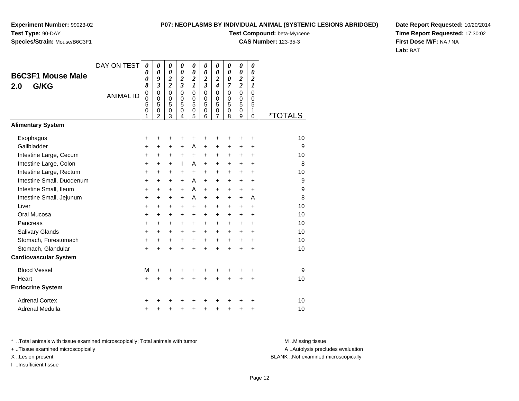# **Species/Strain:** Mouse/B6C3F1

#### **P07: NEOPLASMS BY INDIVIDUAL ANIMAL (SYSTEMIC LESIONS ABRIDGED)**

**Test Compound:** beta-Myrcene

**CAS Number:** 123-35-3

**Date Report Requested:** 10/20/2014**Time Report Requested:** 17:30:02**First Dose M/F:** NA / NA**Lab:** BAT

| <b>B6C3F1 Mouse Male</b><br>G/KG<br>2.0 | DAY ON TEST      |                                                        | 0<br>0<br>9<br>$\mathfrak{z}$                                    | 0<br>0<br>$\boldsymbol{2}$<br>$\overline{\mathbf{c}}$ | 0<br>$\boldsymbol{\theta}$<br>$\overline{2}$<br>$\mathfrak{z}$ | 0<br>$\boldsymbol{\theta}$<br>$\overline{\mathbf{c}}$<br>1 | 0<br>0<br>$\boldsymbol{2}$<br>$\overline{\mathbf{3}}$ | 0<br>0<br>$\overline{\mathbf{c}}$<br>$\overline{\boldsymbol{4}}$ | 0<br>$\boldsymbol{\theta}$<br>$\boldsymbol{\theta}$<br>7 | 0<br>$\boldsymbol{\theta}$<br>$\overline{\mathbf{c}}$<br>$\overline{\mathbf{c}}$ | 0<br>$\boldsymbol{\theta}$<br>$\boldsymbol{2}$<br>$\boldsymbol{l}$ |                       |
|-----------------------------------------|------------------|--------------------------------------------------------|------------------------------------------------------------------|-------------------------------------------------------|----------------------------------------------------------------|------------------------------------------------------------|-------------------------------------------------------|------------------------------------------------------------------|----------------------------------------------------------|----------------------------------------------------------------------------------|--------------------------------------------------------------------|-----------------------|
|                                         | <b>ANIMAL ID</b> | 8<br>$\pmb{0}$<br>$\mathbf 0$<br>5<br>$\mathbf 0$<br>1 | $\mathbf 0$<br>$\mathbf 0$<br>5<br>$\mathbf 0$<br>$\overline{2}$ | $\mathbf 0$<br>$\mathbf 0$<br>5<br>$\mathbf 0$<br>3   | $\Omega$<br>$\Omega$<br>5<br>$\mathbf 0$<br>4                  | $\mathbf 0$<br>0<br>5<br>$\pmb{0}$<br>5                    | $\Omega$<br>$\Omega$<br>5<br>$\mathbf 0$<br>6         | $\mathbf 0$<br>$\mathbf 0$<br>5<br>0<br>7                        | $\mathbf 0$<br>$\Omega$<br>5<br>$\mathbf 0$<br>8         | $\Omega$<br>0<br>5<br>$\mathbf 0$<br>9                                           | $\mathbf 0$<br>0<br>5<br>1<br>0                                    | <i><b>*TOTALS</b></i> |
| <b>Alimentary System</b>                |                  |                                                        |                                                                  |                                                       |                                                                |                                                            |                                                       |                                                                  |                                                          |                                                                                  |                                                                    |                       |
| Esophagus<br>Gallbladder                |                  | +<br>+                                                 | +<br>+                                                           | +<br>+                                                | +<br>+                                                         | +<br>A                                                     | $\ddot{}$                                             | +<br>+                                                           | +<br>+                                                   | +<br>+                                                                           | +<br>+                                                             | 10<br>9               |
| Intestine Large, Cecum                  |                  | $\ddot{}$                                              | $\ddot{}$                                                        | $\ddot{}$                                             | $\ddot{}$                                                      | $\ddot{}$                                                  | $\ddot{}$                                             | $\ddot{}$                                                        | $\ddot{}$                                                | $\ddot{}$                                                                        | $\ddot{}$                                                          | 10                    |
| Intestine Large, Colon                  |                  | +                                                      | $\pm$                                                            | $\ddot{}$                                             | $\mathbf{I}$                                                   | A                                                          | $\ddot{}$                                             | $\ddot{}$                                                        | $\ddot{}$                                                | $\ddot{}$                                                                        | $\ddot{}$                                                          | 8                     |
| Intestine Large, Rectum                 |                  | $\ddot{}$                                              | $\ddot{}$                                                        | $\ddot{}$                                             | $\ddot{}$                                                      | $\ddot{}$                                                  | $+$                                                   | $\ddot{}$                                                        | $\ddot{}$                                                | $\ddot{}$                                                                        | $\ddot{}$                                                          | 10                    |
| Intestine Small, Duodenum               |                  | $\ddot{}$                                              | +                                                                | +                                                     | +                                                              | A                                                          | $\ddot{}$                                             | +                                                                | +                                                        | $\ddot{}$                                                                        | $\ddot{}$                                                          | 9                     |
| Intestine Small, Ileum                  |                  | +                                                      | $\ddot{}$                                                        | $\ddot{}$                                             | $\ddot{}$                                                      | A                                                          | $\ddot{}$                                             | $\ddot{}$                                                        | $\ddot{}$                                                | $\ddot{}$                                                                        | $\ddot{}$                                                          | 9                     |
| Intestine Small, Jejunum                |                  | $\ddot{}$                                              | +                                                                | +                                                     | +                                                              | A                                                          | $\ddot{}$                                             | +                                                                | $\ddot{}$                                                | $\ddot{}$                                                                        | A                                                                  | 8                     |
| Liver                                   |                  | $\ddot{}$                                              | $\ddot{}$                                                        | $\ddot{}$                                             | $\ddot{}$                                                      | $\ddot{}$                                                  | $\ddot{}$                                             | $\ddot{}$                                                        | $\ddot{}$                                                | $\ddot{}$                                                                        | $\ddot{}$                                                          | 10                    |
| Oral Mucosa                             |                  | $\ddot{}$                                              | +                                                                | +                                                     | +                                                              | +                                                          | $\ddot{}$                                             | +                                                                | +                                                        | $\ddot{}$                                                                        | +                                                                  | 10                    |
| Pancreas                                |                  | $\ddot{}$                                              | $\ddot{}$                                                        | $\ddot{}$                                             | $\ddot{}$                                                      | $+$                                                        | $\ddot{}$                                             | $\ddot{}$                                                        | $\ddot{}$                                                | $+$                                                                              | $\ddot{}$                                                          | 10                    |
| Salivary Glands                         |                  | $\ddot{}$                                              | $\ddot{}$                                                        | +                                                     | +                                                              | $\ddot{}$                                                  | $\ddot{}$                                             | $\ddot{}$                                                        | $\ddot{}$                                                | $\ddot{}$                                                                        | +                                                                  | 10                    |
| Stomach, Forestomach                    |                  | +                                                      | $\ddot{}$                                                        | +                                                     | $\ddot{}$                                                      | $\ddot{}$                                                  | $\ddot{}$                                             | $\ddot{}$                                                        | $\ddot{}$                                                | $\ddot{}$                                                                        | $\ddot{}$                                                          | 10                    |
| Stomach, Glandular                      |                  | $\ddot{}$                                              | $\ddot{}$                                                        | $\ddot{}$                                             | $\ddot{}$                                                      | $\ddot{}$                                                  | $\ddot{}$                                             | $\ddot{}$                                                        | $\ddot{}$                                                | $\ddot{}$                                                                        | $\ddot{}$                                                          | 10                    |
| <b>Cardiovascular System</b>            |                  |                                                        |                                                                  |                                                       |                                                                |                                                            |                                                       |                                                                  |                                                          |                                                                                  |                                                                    |                       |
| <b>Blood Vessel</b>                     |                  | М                                                      |                                                                  | +                                                     | +                                                              |                                                            |                                                       |                                                                  |                                                          |                                                                                  | +                                                                  | 9                     |
| Heart                                   |                  | $\ddot{}$                                              | $\ddot{}$                                                        | $\ddot{}$                                             | $\ddot{}$                                                      | $\ddot{}$                                                  | $\ddot{}$                                             | $\ddot{}$                                                        | $\ddot{}$                                                | $\ddot{}$                                                                        | $\ddot{}$                                                          | 10                    |
| <b>Endocrine System</b>                 |                  |                                                        |                                                                  |                                                       |                                                                |                                                            |                                                       |                                                                  |                                                          |                                                                                  |                                                                    |                       |
| <b>Adrenal Cortex</b>                   |                  |                                                        |                                                                  |                                                       |                                                                |                                                            |                                                       |                                                                  |                                                          |                                                                                  |                                                                    | 10                    |
| Adrenal Medulla                         |                  | +                                                      |                                                                  | +                                                     | +                                                              | $\ddot{}$                                                  | +                                                     | +                                                                | +                                                        | +                                                                                | +                                                                  | 10                    |

\* ..Total animals with tissue examined microscopically; Total animals with tumor **M** . Missing tissue M ..Missing tissue

+ ..Tissue examined microscopically

I ..Insufficient tissue

A ..Autolysis precludes evaluation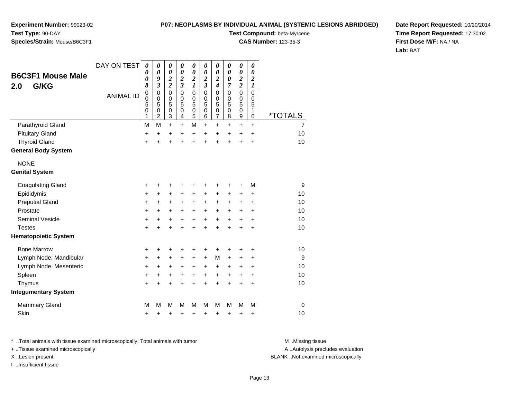**Experiment Number:** 99023-02**Test Type:** 90-DAY

## **Species/Strain:** Mouse/B6C3F1

**Test Compound:** beta-Myrcene

**CAS Number:** 123-35-3

**Date Report Requested:** 10/20/2014**Time Report Requested:** 17:30:02**First Dose M/F:** NA / NA**Lab:** BAT

|                             | DAY ON TEST      | 0<br>0                                       | 0<br>0                                                                            | 0<br>0                                                                         | 0<br>$\boldsymbol{\theta}$                                           | 0<br>$\boldsymbol{\theta}$                                                     | 0<br>0                                                               | 0<br>0                                                            | 0<br>0                     | 0<br>$\boldsymbol{\theta}$                                                 | 0<br>0                                                                  |                       |
|-----------------------------|------------------|----------------------------------------------|-----------------------------------------------------------------------------------|--------------------------------------------------------------------------------|----------------------------------------------------------------------|--------------------------------------------------------------------------------|----------------------------------------------------------------------|-------------------------------------------------------------------|----------------------------|----------------------------------------------------------------------------|-------------------------------------------------------------------------|-----------------------|
| <b>B6C3F1 Mouse Male</b>    |                  | 0                                            | 9                                                                                 | $\overline{\mathbf{c}}$                                                        | $\overline{\mathbf{c}}$                                              | $\overline{\mathbf{c}}$                                                        | $\boldsymbol{2}$                                                     | $\overline{\mathbf{c}}$                                           | 0                          | $\overline{\mathbf{c}}$                                                    | $\boldsymbol{2}$                                                        |                       |
| G/KG<br>2.0                 | <b>ANIMAL ID</b> | 8<br>$\pmb{0}$<br>$\mathbf 0$<br>5<br>0<br>1 | $\overline{\mathbf{3}}$<br>$\mathbf 0$<br>$\mathbf 0$<br>5<br>0<br>$\overline{2}$ | $\overline{\mathbf{c}}$<br>$\mathbf 0$<br>$\mathbf 0$<br>5<br>$\mathbf 0$<br>3 | $\overline{\mathbf{3}}$<br>$\mathbf 0$<br>$\mathbf 0$<br>5<br>0<br>4 | $\boldsymbol{l}$<br>$\pmb{0}$<br>$\pmb{0}$<br>$\overline{5}$<br>$\pmb{0}$<br>5 | $\overline{\mathbf{3}}$<br>$\mathbf 0$<br>$\mathbf 0$<br>5<br>0<br>6 | $\overline{\boldsymbol{4}}$<br>0<br>0<br>5<br>0<br>$\overline{7}$ | 7<br>0<br>0<br>5<br>0<br>8 | $\overline{\mathbf{c}}$<br>$\mathbf 0$<br>$\mathbf 0$<br>5<br>$\,0\,$<br>9 | $\boldsymbol{l}$<br>$\mathbf 0$<br>$\mathbf 0$<br>5<br>1<br>$\mathbf 0$ | <i><b>*TOTALS</b></i> |
| Parathyroid Gland           |                  | M                                            | M                                                                                 | $\ddot{}$                                                                      | +                                                                    | M                                                                              | $\ddot{}$                                                            | +                                                                 | +                          | +                                                                          | $\ddot{}$                                                               | $\overline{7}$        |
| <b>Pituitary Gland</b>      |                  | +                                            | $\ddot{}$                                                                         | +                                                                              | +                                                                    | $\ddot{}$                                                                      | +                                                                    | +                                                                 | +                          | +                                                                          | +                                                                       | 10                    |
| <b>Thyroid Gland</b>        |                  | $\ddot{}$                                    | $\ddot{}$                                                                         | $\ddot{}$                                                                      | $\ddot{}$                                                            | $\ddot{}$                                                                      | ÷                                                                    | $\ddot{}$                                                         | $\ddot{}$                  | $\ddot{}$                                                                  | $\ddot{}$                                                               | 10                    |
| <b>General Body System</b>  |                  |                                              |                                                                                   |                                                                                |                                                                      |                                                                                |                                                                      |                                                                   |                            |                                                                            |                                                                         |                       |
| <b>NONE</b>                 |                  |                                              |                                                                                   |                                                                                |                                                                      |                                                                                |                                                                      |                                                                   |                            |                                                                            |                                                                         |                       |
| <b>Genital System</b>       |                  |                                              |                                                                                   |                                                                                |                                                                      |                                                                                |                                                                      |                                                                   |                            |                                                                            |                                                                         |                       |
| <b>Coagulating Gland</b>    |                  | +                                            | +                                                                                 | +                                                                              | +                                                                    | +                                                                              | +                                                                    | +                                                                 | +                          | +                                                                          | M                                                                       | 9                     |
| Epididymis                  |                  | +                                            | +                                                                                 | +                                                                              | ٠                                                                    | $\ddot{}$                                                                      | $\pm$                                                                | +                                                                 | +                          | +                                                                          | +                                                                       | 10                    |
| <b>Preputial Gland</b>      |                  | +                                            | +                                                                                 | +                                                                              | +                                                                    | $\ddot{}$                                                                      | +                                                                    | +                                                                 | +                          | +                                                                          | +                                                                       | 10                    |
| Prostate                    |                  | $\ddot{}$                                    | +                                                                                 | +                                                                              | $\ddot{}$                                                            | $\ddot{}$                                                                      | $\ddot{}$                                                            | +                                                                 | $\pm$                      | +                                                                          | $\ddot{}$                                                               | 10                    |
| <b>Seminal Vesicle</b>      |                  | +                                            | +                                                                                 | +                                                                              | $\ddot{}$                                                            | $\ddot{}$                                                                      | $\ddot{}$                                                            | $\ddot{}$                                                         | $\ddot{}$                  | $\ddot{}$                                                                  | $\ddot{}$                                                               | 10                    |
| <b>Testes</b>               |                  | $\ddot{}$                                    | $\ddot{}$                                                                         | $\ddot{}$                                                                      | $\ddot{}$                                                            | $\ddot{}$                                                                      | $\ddot{}$                                                            | $\ddot{}$                                                         | $\ddot{}$                  | $\ddot{}$                                                                  | $\ddot{}$                                                               | 10                    |
| <b>Hematopoietic System</b> |                  |                                              |                                                                                   |                                                                                |                                                                      |                                                                                |                                                                      |                                                                   |                            |                                                                            |                                                                         |                       |
| <b>Bone Marrow</b>          |                  | +                                            | +                                                                                 | +                                                                              | +                                                                    | +                                                                              | +                                                                    | +                                                                 | +                          | +                                                                          | +                                                                       | 10                    |
| Lymph Node, Mandibular      |                  | +                                            | +                                                                                 | +                                                                              | +                                                                    | $\ddot{}$                                                                      | +                                                                    | M                                                                 | +                          | +                                                                          | ÷                                                                       | 9                     |
| Lymph Node, Mesenteric      |                  | $\ddot{}$                                    | +                                                                                 | +                                                                              | +                                                                    | $\ddot{}$                                                                      | $\ddot{}$                                                            | +                                                                 | +                          | +                                                                          | $\ddot{}$                                                               | 10                    |
| Spleen                      |                  | $\ddot{}$                                    | +                                                                                 | +                                                                              | +                                                                    | $\ddot{}$                                                                      | $\ddot{}$                                                            | $\ddot{}$                                                         | $\ddot{}$                  | $\ddot{}$                                                                  | +                                                                       | 10                    |
| Thymus                      |                  | $\ddot{}$                                    | $\ddot{}$                                                                         | $\ddot{}$                                                                      | $\ddot{}$                                                            | $\ddot{}$                                                                      | $\ddot{}$                                                            | $\ddot{}$                                                         | $\ddot{}$                  | $\ddot{}$                                                                  | $\ddot{}$                                                               | 10                    |
| <b>Integumentary System</b> |                  |                                              |                                                                                   |                                                                                |                                                                      |                                                                                |                                                                      |                                                                   |                            |                                                                            |                                                                         |                       |
| <b>Mammary Gland</b>        |                  | M                                            | М                                                                                 | M                                                                              | М                                                                    | M                                                                              | М                                                                    | M                                                                 | M                          | M                                                                          | M                                                                       | $\mathbf 0$           |
| Skin                        |                  | +                                            | +                                                                                 | +                                                                              | +                                                                    | +                                                                              | +                                                                    | +                                                                 | +                          | +                                                                          | +                                                                       | 10                    |

\* ..Total animals with tissue examined microscopically; Total animals with tumor **M** . Missing tissue M ..Missing tissue

+ ..Tissue examined microscopically

I ..Insufficient tissue

A ..Autolysis precludes evaluation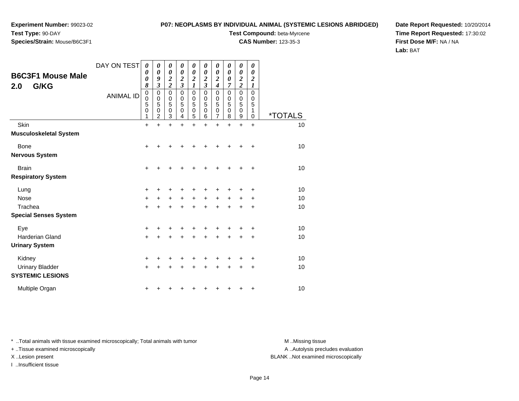# **Species/Strain:** Mouse/B6C3F1

#### **P07: NEOPLASMS BY INDIVIDUAL ANIMAL (SYSTEMIC LESIONS ABRIDGED)**

**Test Compound:** beta-Myrcene

**CAS Number:** 123-35-3

**Date Report Requested:** 10/20/2014**Time Report Requested:** 17:30:02**First Dose M/F:** NA / NA**Lab:** BAT

| <b>B6C3F1 Mouse Male</b><br>2.0<br>G/KG           | DAY ON TEST<br><b>ANIMAL ID</b> | 0<br>0<br>0<br>8<br>0<br>0<br>5<br>0 | 0<br>0<br>9<br>3<br>0<br>$\mathbf 0$<br>5<br>0 | 0<br>0<br>$\boldsymbol{2}$<br>$\overline{\mathbf{c}}$<br>$\mathbf 0$<br>$\mathbf 0$<br>5<br>0 | 0<br>0<br>$\boldsymbol{2}$<br>$\overline{\mathbf{3}}$<br>0<br>$\mathbf 0$<br>5<br>0 | 0<br>0<br>$\boldsymbol{2}$<br>$\boldsymbol{l}$<br>$\pmb{0}$<br>$\mathbf 0$<br>5<br>$\mathbf 0$ | 0<br>0<br>$\overline{2}$<br>$\mathfrak{z}$<br>$\mathbf 0$<br>$\mathbf 0$<br>5<br>$\mathbf 0$ | 0<br>0<br>$\overline{2}$<br>$\boldsymbol{4}$<br>0<br>0<br>5<br>0 | 0<br>0<br>0<br>7<br>$\mathbf 0$<br>$\pmb{0}$<br>5<br>$\mathbf 0$ | 0<br>0<br>$\boldsymbol{2}$<br>$\overline{2}$<br>$\mathbf 0$<br>$\pmb{0}$<br>5<br>$\mathbf 0$ | 0<br>0<br>$\overline{c}$<br>$\boldsymbol{l}$<br>$\mathbf 0$<br>0<br>5<br>1 | <i><b>*TOTALS</b></i> |
|---------------------------------------------------|---------------------------------|--------------------------------------|------------------------------------------------|-----------------------------------------------------------------------------------------------|-------------------------------------------------------------------------------------|------------------------------------------------------------------------------------------------|----------------------------------------------------------------------------------------------|------------------------------------------------------------------|------------------------------------------------------------------|----------------------------------------------------------------------------------------------|----------------------------------------------------------------------------|-----------------------|
| Skin                                              |                                 | 1<br>$+$                             | 2<br>$\ddot{}$                                 | 3<br>$\ddot{}$                                                                                | 4<br>$\ddot{}$                                                                      | 5<br>$\ddot{}$                                                                                 | 6<br>$\ddot{}$                                                                               | 7<br>$\ddot{}$                                                   | 8<br>$\ddot{}$                                                   | 9<br>$\ddot{}$                                                                               | $\mathbf 0$<br>$\ddot{}$                                                   | 10                    |
| <b>Musculoskeletal System</b>                     |                                 |                                      |                                                |                                                                                               |                                                                                     |                                                                                                |                                                                                              |                                                                  |                                                                  |                                                                                              |                                                                            |                       |
| Bone                                              |                                 | $\pm$                                |                                                |                                                                                               |                                                                                     |                                                                                                |                                                                                              | +                                                                | +                                                                | ٠                                                                                            | ÷                                                                          | 10                    |
| <b>Nervous System</b>                             |                                 |                                      |                                                |                                                                                               |                                                                                     |                                                                                                |                                                                                              |                                                                  |                                                                  |                                                                                              |                                                                            |                       |
| <b>Brain</b>                                      |                                 | $\pm$                                |                                                | +                                                                                             |                                                                                     |                                                                                                |                                                                                              | +                                                                | ٠                                                                | ٠                                                                                            | +                                                                          | 10                    |
| <b>Respiratory System</b>                         |                                 |                                      |                                                |                                                                                               |                                                                                     |                                                                                                |                                                                                              |                                                                  |                                                                  |                                                                                              |                                                                            |                       |
| Lung                                              |                                 | +                                    |                                                | ٠                                                                                             |                                                                                     |                                                                                                |                                                                                              | ٠                                                                | +                                                                | +                                                                                            | +                                                                          | 10                    |
| <b>Nose</b>                                       |                                 | +                                    |                                                | +                                                                                             | +                                                                                   | $\ddot{}$                                                                                      | $\ddot{}$                                                                                    | $\ddot{}$                                                        | $\ddot{}$                                                        | +                                                                                            | +                                                                          | 10                    |
| Trachea                                           |                                 | $\ddot{}$                            |                                                | +                                                                                             |                                                                                     |                                                                                                |                                                                                              | $\ddot{}$                                                        | $\ddot{}$                                                        | $\ddot{}$                                                                                    | ÷                                                                          | 10                    |
| <b>Special Senses System</b>                      |                                 |                                      |                                                |                                                                                               |                                                                                     |                                                                                                |                                                                                              |                                                                  |                                                                  |                                                                                              |                                                                            |                       |
| Eye                                               |                                 | +                                    |                                                |                                                                                               |                                                                                     |                                                                                                |                                                                                              |                                                                  | +                                                                | +                                                                                            | +                                                                          | 10                    |
| <b>Harderian Gland</b>                            |                                 | $+$                                  |                                                | +                                                                                             | ÷                                                                                   | $\ddot{}$                                                                                      | $\div$                                                                                       | $\pm$                                                            | $\pm$                                                            | $\pm$                                                                                        | +                                                                          | 10                    |
| <b>Urinary System</b>                             |                                 |                                      |                                                |                                                                                               |                                                                                     |                                                                                                |                                                                                              |                                                                  |                                                                  |                                                                                              |                                                                            |                       |
| Kidney                                            |                                 | $\ddot{}$                            |                                                |                                                                                               |                                                                                     |                                                                                                |                                                                                              |                                                                  | +                                                                | +                                                                                            | +                                                                          | 10                    |
| <b>Urinary Bladder</b><br><b>SYSTEMIC LESIONS</b> |                                 | $\pm$                                |                                                |                                                                                               |                                                                                     |                                                                                                | ٠                                                                                            | +                                                                | +                                                                | +                                                                                            | $\ddot{}$                                                                  | 10                    |
| Multiple Organ                                    |                                 | +                                    |                                                |                                                                                               |                                                                                     |                                                                                                |                                                                                              |                                                                  | ٠                                                                | +                                                                                            | +                                                                          | 10                    |

\* ..Total animals with tissue examined microscopically; Total animals with tumor **M** . Missing tissue M ..Missing tissue

+ ..Tissue examined microscopically

I ..Insufficient tissue

A ..Autolysis precludes evaluation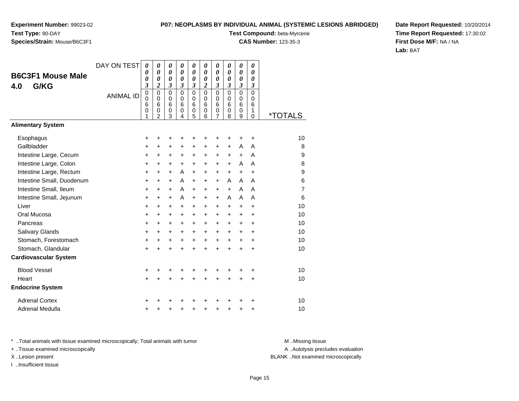#### **P07: NEOPLASMS BY INDIVIDUAL ANIMAL (SYSTEMIC LESIONS ABRIDGED)**

**Test Compound:** beta-Myrcene

**CAS Number:** 123-35-3

**Date Report Requested:** 10/20/2014**Time Report Requested:** 17:30:02**First Dose M/F:** NA / NA**Lab:** BAT

|                              | DAY ON TEST      | 0<br>0                             | 0<br>$\boldsymbol{\theta}$                                                               | 0<br>0                     | 0<br>$\boldsymbol{\theta}$                  | 0<br>$\boldsymbol{\theta}$                  | $\boldsymbol{\theta}$<br>$\boldsymbol{\theta}$ | 0<br>0                               | 0<br>0                                                | 0<br>0                                                | $\boldsymbol{\theta}$<br>0                  |                       |
|------------------------------|------------------|------------------------------------|------------------------------------------------------------------------------------------|----------------------------|---------------------------------------------|---------------------------------------------|------------------------------------------------|--------------------------------------|-------------------------------------------------------|-------------------------------------------------------|---------------------------------------------|-----------------------|
| <b>B6C3F1 Mouse Male</b>     |                  | 0                                  | 0                                                                                        | 0                          | 0                                           | $\boldsymbol{\theta}$                       | 0                                              | 0                                    | 0                                                     | 0                                                     | $\boldsymbol{\theta}$                       |                       |
| G/KG<br>4.0                  | <b>ANIMAL ID</b> | 3<br>$\pmb{0}$<br>0<br>6<br>0<br>1 | $\overline{\mathbf{c}}$<br>$\mathbf 0$<br>$\Omega$<br>6<br>$\mathbf 0$<br>$\overline{2}$ | 3<br>0<br>0<br>6<br>0<br>3 | 3<br>$\mathbf 0$<br>$\Omega$<br>6<br>0<br>4 | 3<br>$\mathbf 0$<br>$\Omega$<br>6<br>0<br>5 | 2<br>$\Omega$<br>$\Omega$<br>6<br>0<br>6       | 3<br>$\mathbf 0$<br>0<br>6<br>0<br>7 | 3<br>$\mathbf 0$<br>$\Omega$<br>6<br>$\mathbf 0$<br>8 | 3<br>$\mathbf 0$<br>$\Omega$<br>6<br>$\mathbf 0$<br>9 | 3<br>$\mathbf 0$<br>$\Omega$<br>6<br>1<br>0 | <i><b>*TOTALS</b></i> |
| <b>Alimentary System</b>     |                  |                                    |                                                                                          |                            |                                             |                                             |                                                |                                      |                                                       |                                                       |                                             |                       |
| Esophagus                    |                  | +                                  | +                                                                                        | +                          | +                                           | +                                           |                                                |                                      | +                                                     | +                                                     | +                                           | 10                    |
| Gallbladder                  |                  | +                                  | $\pm$                                                                                    | +                          | +                                           | +                                           | $\ddot{}$                                      | $\pm$                                | $\ddot{}$                                             | A                                                     | A                                           | 8                     |
| Intestine Large, Cecum       |                  | +                                  | +                                                                                        | +                          | +                                           | +                                           | $\ddot{}$                                      | $\ddot{}$                            | $\ddot{}$                                             | $+$                                                   | A                                           | 9                     |
| Intestine Large, Colon       |                  | +                                  | $\ddot{}$                                                                                | $\ddot{}$                  | +                                           | $\ddot{}$                                   | $\ddot{}$                                      | $\ddot{}$                            | $\ddot{}$                                             | A                                                     | A                                           | 8                     |
| Intestine Large, Rectum      |                  | +                                  | $\ddot{}$                                                                                | $\ddot{}$                  | A                                           | $\ddot{}$                                   | $\ddot{}$                                      | $\ddot{}$                            | $\ddot{}$                                             | $\ddot{}$                                             | $\ddot{}$                                   | 9                     |
| Intestine Small, Duodenum    |                  | +                                  | $\ddot{}$                                                                                | $\ddot{}$                  | A                                           | $\ddot{}$                                   | $\ddot{}$                                      | $\ddot{}$                            | A                                                     | A                                                     | A                                           | 6                     |
| Intestine Small, Ileum       |                  | +                                  | +                                                                                        | +                          | A                                           | $\ddot{}$                                   | $\ddot{}$                                      | $\ddot{}$                            | $+$                                                   | A                                                     | A                                           | $\overline{7}$        |
| Intestine Small, Jejunum     |                  | +                                  | $+$                                                                                      | $\ddot{}$                  | A                                           | $\ddot{}$                                   | $\ddot{}$                                      | $\ddot{}$                            | A                                                     | A                                                     | A                                           | 6                     |
| Liver                        |                  | +                                  | $\pm$                                                                                    | +                          | +                                           | $\ddot{}$                                   | $\ddot{}$                                      | $\ddot{}$                            | $\ddot{}$                                             | $\ddot{}$                                             | +                                           | 10                    |
| Oral Mucosa                  |                  | $\ddot{}$                          | $\ddot{}$                                                                                | +                          | $\ddot{}$                                   | $\ddot{}$                                   | $\ddot{}$                                      | $\ddot{}$                            | +                                                     | $\pm$                                                 | +                                           | 10                    |
| Pancreas                     |                  | +                                  | $\ddot{}$                                                                                | $\ddot{}$                  | $\ddot{}$                                   | $\ddot{}$                                   | $\ddot{}$                                      | $\ddot{}$                            | $\ddot{}$                                             | $\ddot{}$                                             | +                                           | 10                    |
| Salivary Glands              |                  | $\ddot{}$                          | $+$                                                                                      | +                          | $\ddot{}$                                   | $\ddot{}$                                   | $\ddot{}$                                      | $\ddot{}$                            | $+$                                                   | $\ddot{}$                                             | +                                           | 10                    |
| Stomach, Forestomach         |                  | +                                  | $\ddot{}$                                                                                | +                          | $\ddot{}$                                   | $\ddot{}$                                   | $\ddot{}$                                      | $\ddot{}$                            | $\ddot{}$                                             | $\ddot{}$                                             | +                                           | 10                    |
| Stomach, Glandular           |                  | $\ddot{}$                          | $\ddot{}$                                                                                | $\ddot{}$                  | $\ddot{}$                                   | $\ddot{}$                                   | $\ddot{}$                                      | $\ddot{}$                            | $\ddot{}$                                             | $\ddot{}$                                             | $\ddot{}$                                   | 10                    |
| <b>Cardiovascular System</b> |                  |                                    |                                                                                          |                            |                                             |                                             |                                                |                                      |                                                       |                                                       |                                             |                       |
| <b>Blood Vessel</b>          |                  | +                                  |                                                                                          |                            |                                             | +                                           |                                                |                                      |                                                       |                                                       | +                                           | 10                    |
| Heart                        |                  | $\ddot{}$                          | +                                                                                        | +                          | +                                           | $\ddot{}$                                   | $\ddot{}$                                      | $\ddot{}$                            | $\ddot{}$                                             | +                                                     | +                                           | 10                    |
| <b>Endocrine System</b>      |                  |                                    |                                                                                          |                            |                                             |                                             |                                                |                                      |                                                       |                                                       |                                             |                       |
| <b>Adrenal Cortex</b>        |                  | +                                  |                                                                                          |                            |                                             |                                             |                                                |                                      |                                                       |                                                       | ٠                                           | 10                    |
| Adrenal Medulla              |                  | +                                  |                                                                                          | +                          | +                                           | +                                           | +                                              | +                                    | +                                                     | +                                                     | +                                           | 10                    |

\* ..Total animals with tissue examined microscopically; Total animals with tumor **M** . Missing tissue M ..Missing tissue

+ ..Tissue examined microscopically

I ..Insufficient tissue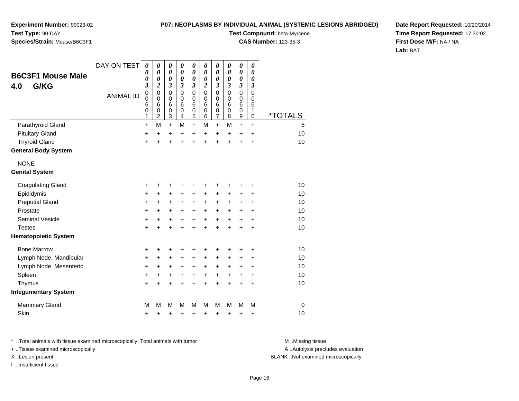**Experiment Number:** 99023-02**Test Type:** 90-DAY

# **Species/Strain:** Mouse/B6C3F1

**Test Compound:** beta-Myrcene

**CAS Number:** 123-35-3

**Date Report Requested:** 10/20/2014**Time Report Requested:** 17:30:02**First Dose M/F:** NA / NA**Lab:** BAT

| <b>B6C3F1 Mouse Male</b><br>G/KG<br>4.0 | DAY ON TEST<br><b>ANIMAL ID</b> | $\boldsymbol{\theta}$<br>0<br>0<br>3<br>$\pmb{0}$<br>$\mathbf 0$<br>6<br>0 | 0<br>0<br>$\boldsymbol{\theta}$<br>2<br>$\pmb{0}$<br>$\mathbf 0$<br>6<br>0 | $\boldsymbol{\theta}$<br>0<br>0<br>3<br>$\mathbf 0$<br>$\mathbf 0$<br>6<br>0 | 0<br>0<br>0<br>3<br>$\mathbf 0$<br>0<br>6<br>0 | 0<br>0<br>$\boldsymbol{\theta}$<br>3<br>$\mathbf 0$<br>0<br>6<br>0 | 0<br>0<br>0<br>2<br>$\mathbf 0$<br>0<br>6<br>0 | $\pmb{\theta}$<br>0<br>0<br>3<br>$\mathbf 0$<br>0<br>6<br>$\boldsymbol{0}$ | $\pmb{\theta}$<br>0<br>0<br>3<br>$\mathbf 0$<br>0<br>6<br>0 | 0<br>0<br>0<br>3<br>0<br>0<br>6<br>0 | 0<br>0<br>0<br>3<br>0<br>0<br>6<br>1 |                            |
|-----------------------------------------|---------------------------------|----------------------------------------------------------------------------|----------------------------------------------------------------------------|------------------------------------------------------------------------------|------------------------------------------------|--------------------------------------------------------------------|------------------------------------------------|----------------------------------------------------------------------------|-------------------------------------------------------------|--------------------------------------|--------------------------------------|----------------------------|
| Parathyroid Gland                       |                                 | 1<br>$\ddot{}$                                                             | $\overline{c}$<br>M                                                        | 3<br>$\ddot{}$                                                               | 4<br>М                                         | 5<br>$\ddot{}$                                                     | 6<br>М                                         | $\overline{7}$<br>$\ddot{}$                                                | 8<br>M                                                      | 9<br>$\ddot{}$                       | 0<br>$\ddot{}$                       | <i><b>*TOTALS</b></i><br>6 |
| <b>Pituitary Gland</b>                  |                                 | +                                                                          | $\ddot{}$                                                                  | +                                                                            | $\ddot{}$                                      | $\ddot{}$                                                          | $\ddot{}$                                      | +                                                                          | $\ddot{}$                                                   | +                                    | $\ddot{}$                            | 10                         |
| <b>Thyroid Gland</b>                    |                                 | +                                                                          | +                                                                          | $\ddot{}$                                                                    | $\ddot{}$                                      | $\ddot{}$                                                          | $\ddot{}$                                      | $\ddot{}$                                                                  | $\ddot{}$                                                   | $\ddot{}$                            | $\ddot{}$                            | 10                         |
| <b>General Body System</b>              |                                 |                                                                            |                                                                            |                                                                              |                                                |                                                                    |                                                |                                                                            |                                                             |                                      |                                      |                            |
| <b>NONE</b>                             |                                 |                                                                            |                                                                            |                                                                              |                                                |                                                                    |                                                |                                                                            |                                                             |                                      |                                      |                            |
| <b>Genital System</b>                   |                                 |                                                                            |                                                                            |                                                                              |                                                |                                                                    |                                                |                                                                            |                                                             |                                      |                                      |                            |
| <b>Coagulating Gland</b>                |                                 | +                                                                          | +                                                                          | +                                                                            | +                                              | +                                                                  | +                                              | +                                                                          | +                                                           | +                                    | +                                    | 10                         |
| Epididymis                              |                                 | +                                                                          | +                                                                          | +                                                                            | +                                              | +                                                                  | +                                              | +                                                                          | +                                                           | +                                    | +                                    | 10                         |
| <b>Preputial Gland</b>                  |                                 | +                                                                          | +                                                                          | +                                                                            | +                                              | +                                                                  | +                                              | +                                                                          | $\ddot{}$                                                   | +                                    | +                                    | 10                         |
| Prostate                                |                                 | $\ddot{}$                                                                  | +                                                                          | +                                                                            | +                                              | +                                                                  | $\ddot{}$                                      | $\ddot{}$                                                                  | $\ddot{}$                                                   | $\pm$                                | $\ddot{}$                            | 10                         |
| <b>Seminal Vesicle</b>                  |                                 | +                                                                          | +                                                                          | $\ddot{}$                                                                    | +                                              | $\ddot{}$                                                          | $\ddot{}$                                      | $\ddot{}$                                                                  | $\ddot{}$                                                   | $\ddot{}$                            | $\ddot{}$                            | 10                         |
| <b>Testes</b>                           |                                 | +                                                                          | $\ddot{}$                                                                  | $\ddot{}$                                                                    | $\ddot{}$                                      | $\ddot{}$                                                          | $\ddot{}$                                      | $\ddot{}$                                                                  | $\ddot{}$                                                   | $\ddot{}$                            | $\ddot{}$                            | 10                         |
| <b>Hematopoietic System</b>             |                                 |                                                                            |                                                                            |                                                                              |                                                |                                                                    |                                                |                                                                            |                                                             |                                      |                                      |                            |
| <b>Bone Marrow</b>                      |                                 | +                                                                          | +                                                                          | +                                                                            | +                                              | +                                                                  | ٠                                              | +                                                                          | ٠                                                           | +                                    | +                                    | 10                         |
| Lymph Node, Mandibular                  |                                 | +                                                                          | $\ddot{}$                                                                  | $\ddot{}$                                                                    | $\ddot{}$                                      | $\ddot{}$                                                          | $\ddot{}$                                      | +                                                                          | $\ddot{}$                                                   | +                                    | $\ddot{}$                            | 10                         |
| Lymph Node, Mesenteric                  |                                 | +                                                                          | +                                                                          | +                                                                            | +                                              | +                                                                  | +                                              | +                                                                          | +                                                           | +                                    | +                                    | 10                         |
| Spleen                                  |                                 | +                                                                          | +                                                                          | +                                                                            | +                                              | $\ddot{}$                                                          | $\ddot{}$                                      | $\ddot{}$                                                                  | +                                                           | +                                    | +                                    | 10                         |
| Thymus                                  |                                 | $\ddot{}$                                                                  | +                                                                          | $\ddot{}$                                                                    | $\ddot{}$                                      | $\ddot{}$                                                          | $\ddot{}$                                      | $\ddot{}$                                                                  | $\ddot{}$                                                   | $\ddot{}$                            | $\ddot{}$                            | 10                         |
| <b>Integumentary System</b>             |                                 |                                                                            |                                                                            |                                                                              |                                                |                                                                    |                                                |                                                                            |                                                             |                                      |                                      |                            |
| <b>Mammary Gland</b>                    |                                 | M                                                                          | М                                                                          | M                                                                            | М                                              | M                                                                  | М                                              | M                                                                          | М                                                           | М                                    | M                                    | $\mathbf 0$                |
| Skin                                    |                                 | +                                                                          | +                                                                          | +                                                                            | +                                              | +                                                                  | +                                              | +                                                                          | +                                                           | +                                    | +                                    | 10                         |

\* ..Total animals with tissue examined microscopically; Total animals with tumor **M** . Missing tissue M ..Missing tissue

+ ..Tissue examined microscopically

I ..Insufficient tissue

A ..Autolysis precludes evaluation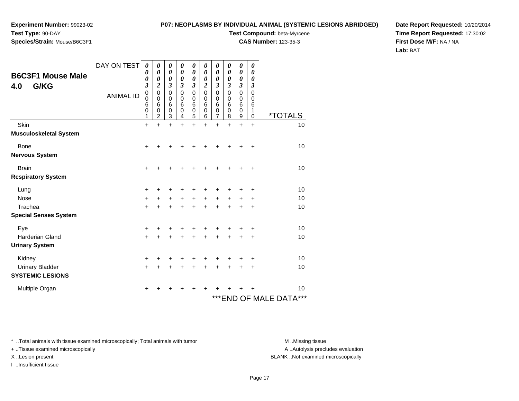**Experiment Number:** 99023-02

#### **P07: NEOPLASMS BY INDIVIDUAL ANIMAL (SYSTEMIC LESIONS ABRIDGED)**

**Test Type:** 90-DAY

**Species/Strain:** Mouse/B6C3F1

**Test Compound:** beta-Myrcene

**CAS Number:** 123-35-3

**Date Report Requested:** 10/20/2014**Time Report Requested:** 17:30:02**First Dose M/F:** NA / NA**Lab:** BAT

| <b>B6C3F1 Mouse Male</b><br>G/KG<br>4.0 | DAY ON TEST<br><b>ANIMAL ID</b> | 0<br>0<br>0<br>$\boldsymbol{\beta}$<br>$\mathbf 0$<br>0<br>6<br>$\boldsymbol{0}$<br>1 | 0<br>0<br>0<br>$\boldsymbol{2}$<br>$\pmb{0}$<br>$\mathbf 0$<br>6<br>0<br>2 | 0<br>$\boldsymbol{\theta}$<br>0<br>3<br>$\mathbf 0$<br>0<br>6<br>$\boldsymbol{0}$<br>3 | 0<br>0<br>0<br>3<br>0<br>0<br>6<br>0<br>4 | 0<br>0<br>0<br>3<br>$\mathsf 0$<br>0<br>6<br>0<br>5 | 0<br>$\boldsymbol{\theta}$<br>0<br>2<br>0<br>0<br>6<br>0<br>6 | 0<br>0<br>0<br>3<br>$\mathbf 0$<br>0<br>6<br>0<br>7 | 0<br>0<br>0<br>$\boldsymbol{\beta}$<br>$\mathbf 0$<br>0<br>6<br>0<br>8 | 0<br>0<br>0<br>$\boldsymbol{\beta}$<br>$\mathbf 0$<br>0<br>6<br>$\mathbf 0$<br>9 | 0<br>0<br>0<br>$\boldsymbol{\beta}$<br>$\mathbf 0$<br>0<br>6<br>1<br>0 | <i><b>*TOTALS</b></i>      |
|-----------------------------------------|---------------------------------|---------------------------------------------------------------------------------------|----------------------------------------------------------------------------|----------------------------------------------------------------------------------------|-------------------------------------------|-----------------------------------------------------|---------------------------------------------------------------|-----------------------------------------------------|------------------------------------------------------------------------|----------------------------------------------------------------------------------|------------------------------------------------------------------------|----------------------------|
| Skin                                    |                                 | $\ddot{}$                                                                             | $\ddot{}$                                                                  | $\ddot{}$                                                                              | ÷                                         | ÷                                                   | ÷                                                             | $\ddot{}$                                           | ÷                                                                      | $\ddot{}$                                                                        | $\ddot{}$                                                              | 10                         |
| <b>Musculoskeletal System</b>           |                                 |                                                                                       |                                                                            |                                                                                        |                                           |                                                     |                                                               |                                                     |                                                                        |                                                                                  |                                                                        |                            |
| <b>Bone</b><br><b>Nervous System</b>    |                                 | +                                                                                     |                                                                            |                                                                                        |                                           |                                                     |                                                               |                                                     |                                                                        |                                                                                  | +                                                                      | 10                         |
| <b>Brain</b>                            |                                 | +                                                                                     |                                                                            |                                                                                        |                                           |                                                     |                                                               |                                                     |                                                                        |                                                                                  | ÷                                                                      | 10                         |
| <b>Respiratory System</b>               |                                 |                                                                                       |                                                                            |                                                                                        |                                           |                                                     |                                                               |                                                     |                                                                        |                                                                                  |                                                                        |                            |
| Lung                                    |                                 | +                                                                                     |                                                                            |                                                                                        |                                           |                                                     |                                                               |                                                     |                                                                        |                                                                                  | ÷                                                                      | 10                         |
| <b>Nose</b>                             |                                 | +                                                                                     |                                                                            | $\ddot{}$                                                                              | $\ddot{}$                                 | $\ddot{}$                                           | $\ddot{}$                                                     | $\ddot{}$                                           |                                                                        |                                                                                  | ٠                                                                      | 10                         |
| Trachea                                 |                                 | $\ddot{}$                                                                             |                                                                            | +                                                                                      | +                                         | +                                                   | +                                                             | +                                                   | ÷                                                                      |                                                                                  | ÷                                                                      | 10                         |
| <b>Special Senses System</b>            |                                 |                                                                                       |                                                                            |                                                                                        |                                           |                                                     |                                                               |                                                     |                                                                        |                                                                                  |                                                                        |                            |
| Eye                                     |                                 | +                                                                                     |                                                                            | +                                                                                      |                                           | +                                                   |                                                               |                                                     |                                                                        |                                                                                  | ÷                                                                      | 10                         |
| <b>Harderian Gland</b>                  |                                 | $\ddot{}$                                                                             |                                                                            |                                                                                        |                                           |                                                     |                                                               | +                                                   |                                                                        | +                                                                                | $\ddot{}$                                                              | 10                         |
| <b>Urinary System</b>                   |                                 |                                                                                       |                                                                            |                                                                                        |                                           |                                                     |                                                               |                                                     |                                                                        |                                                                                  |                                                                        |                            |
| Kidney                                  |                                 | +                                                                                     | +                                                                          | +                                                                                      |                                           | +                                                   |                                                               |                                                     |                                                                        |                                                                                  | +                                                                      | 10                         |
| <b>Urinary Bladder</b>                  |                                 | +                                                                                     | +                                                                          | ٠                                                                                      | +                                         | ٠                                                   | +                                                             | +                                                   |                                                                        |                                                                                  | $\ddot{}$                                                              | 10                         |
| <b>SYSTEMIC LESIONS</b>                 |                                 |                                                                                       |                                                                            |                                                                                        |                                           |                                                     |                                                               |                                                     |                                                                        |                                                                                  |                                                                        |                            |
| Multiple Organ                          |                                 | +                                                                                     |                                                                            |                                                                                        |                                           |                                                     |                                                               |                                                     |                                                                        |                                                                                  |                                                                        | 10                         |
|                                         |                                 |                                                                                       |                                                                            |                                                                                        |                                           |                                                     |                                                               |                                                     |                                                                        |                                                                                  |                                                                        | ***<br>***END OF MALE DATA |

\* ..Total animals with tissue examined microscopically; Total animals with tumor **M** . Missing tissue M ..Missing tissue

+ ..Tissue examined microscopically

I ..Insufficient tissue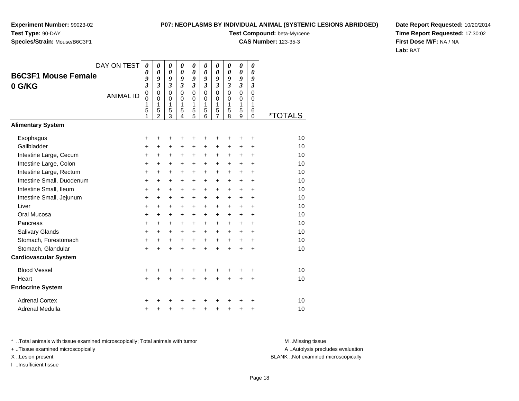#### **P07: NEOPLASMS BY INDIVIDUAL ANIMAL (SYSTEMIC LESIONS ABRIDGED)**

**Test Compound:** beta-Myrcene

**CAS Number:** 123-35-3

**Date Report Requested:** 10/20/2014**Time Report Requested:** 17:30:02**First Dose M/F:** NA / NA**Lab:** BAT

|                                      | DAY ON TEST      | 0<br>0                           | 0<br>$\boldsymbol{\theta}$                          | 0<br>0                                 | 0<br>$\boldsymbol{\theta}$          | $\boldsymbol{\theta}$<br>$\boldsymbol{\theta}$ | 0<br>$\boldsymbol{\theta}$             | 0<br>0                                              | 0<br>0                              | 0<br>$\boldsymbol{\theta}$   | 0<br>0                                 |                       |
|--------------------------------------|------------------|----------------------------------|-----------------------------------------------------|----------------------------------------|-------------------------------------|------------------------------------------------|----------------------------------------|-----------------------------------------------------|-------------------------------------|------------------------------|----------------------------------------|-----------------------|
| <b>B6C3F1 Mouse Female</b><br>0 G/KG |                  | 9<br>$\overline{\mathbf{3}}$     | 9<br>$\mathfrak{z}$                                 | 9<br>$\mathfrak{z}$                    | 9<br>$\mathfrak{z}$                 | 9<br>$\mathfrak{z}$                            | 9<br>$\mathfrak{z}$                    | 9<br>$\mathfrak{z}$                                 | 9<br>$\overline{\mathbf{3}}$        | 9<br>$\overline{\mathbf{3}}$ | 9<br>$\mathfrak{z}$                    |                       |
|                                      | <b>ANIMAL ID</b> | 0<br>$\mathbf{0}$<br>1<br>5<br>1 | $\mathbf 0$<br>$\Omega$<br>1<br>5<br>$\overline{2}$ | $\mathbf 0$<br>$\Omega$<br>1<br>5<br>3 | $\Omega$<br>$\Omega$<br>1<br>5<br>4 | $\mathbf 0$<br>$\Omega$<br>1<br>5<br>5         | $\mathbf 0$<br>$\Omega$<br>1<br>5<br>6 | $\mathbf 0$<br>$\Omega$<br>1<br>5<br>$\overline{7}$ | $\Omega$<br>$\Omega$<br>1<br>5<br>8 | 0<br>$\Omega$<br>1<br>5<br>9 | $\mathbf 0$<br>$\Omega$<br>1<br>6<br>0 | <i><b>*TOTALS</b></i> |
| <b>Alimentary System</b>             |                  |                                  |                                                     |                                        |                                     |                                                |                                        |                                                     |                                     |                              |                                        |                       |
| Esophagus                            |                  | +                                | +                                                   | +                                      | +                                   | +                                              | +                                      | +                                                   | +                                   | ٠                            | ÷                                      | 10                    |
| Gallbladder                          |                  | $\ddot{}$                        | +                                                   | $\ddot{}$                              | +                                   | $\ddot{}$                                      | $\ddot{}$                              | +                                                   | +                                   | $\ddot{}$                    | +                                      | 10                    |
| Intestine Large, Cecum               |                  | +                                | +                                                   | +                                      | +                                   | +                                              | +                                      | $\ddot{}$                                           | +                                   | +                            | +                                      | 10                    |
| Intestine Large, Colon               |                  | $\ddot{}$                        | $\ddot{}$                                           | $\ddot{}$                              | +                                   | $\ddot{}$                                      | $\pm$                                  | $\pm$                                               | +                                   | $\pm$                        | +                                      | 10                    |
| Intestine Large, Rectum              |                  | +                                | $\ddot{}$                                           | $\ddot{}$                              | $\ddot{}$                           | +                                              | $\ddot{}$                              | $\ddot{}$                                           | $\ddot{}$                           | +                            | $\ddot{}$                              | 10                    |
| Intestine Small, Duodenum            |                  | +                                | +                                                   | $\ddot{}$                              | $\ddot{}$                           | $\ddot{}$                                      | $\ddot{}$                              | $\ddot{}$                                           | $\ddot{}$                           | +                            | $\ddot{}$                              | 10                    |
| Intestine Small, Ileum               |                  | +                                | $\ddot{}$                                           | $\ddot{}$                              | $\ddot{}$                           | $\ddot{}$                                      | +                                      | $\ddot{}$                                           | $\ddot{}$                           | +                            | $\ddot{}$                              | 10                    |
| Intestine Small, Jejunum             |                  | $\ddot{}$                        | $\ddot{}$                                           | $\ddot{}$                              | +                                   | $\ddot{}$                                      | $\ddot{}$                              | $\pm$                                               | $\ddot{}$                           | $\ddot{}$                    | +                                      | 10                    |
| Liver                                |                  | $\ddot{}$                        | $\ddot{}$                                           | $\ddot{}$                              | $\ddot{}$                           | $\ddot{}$                                      | $\ddot{}$                              | $\ddot{}$                                           | $\ddot{}$                           | +                            | $\ddot{}$                              | 10                    |
| Oral Mucosa                          |                  | +                                | +                                                   | +                                      | +                                   | +                                              | $\ddot{}$                              | $\ddot{}$                                           | +                                   | +                            | +                                      | 10                    |
| Pancreas                             |                  | $\ddot{}$                        | $\ddot{}$                                           | $\ddot{}$                              | $\ddot{}$                           | $\ddot{}$                                      | $\ddot{}$                              | $\ddot{}$                                           | $\ddot{}$                           | $\ddot{}$                    | $\ddot{}$                              | 10                    |
| Salivary Glands                      |                  | +                                | $\ddot{}$                                           | $\ddot{}$                              | +                                   | $\ddot{}$                                      | $\ddot{}$                              | $\pm$                                               | $\ddot{}$                           | $\ddot{}$                    | +                                      | 10                    |
| Stomach, Forestomach                 |                  | $\ddot{}$                        | $\ddot{}$                                           | $\ddot{}$                              | $\ddot{}$                           | $\ddot{}$                                      | $\ddot{}$                              | $\ddot{}$                                           | $\ddot{}$                           | +                            | +                                      | 10                    |
| Stomach, Glandular                   |                  | $\ddot{}$                        | $\ddot{}$                                           | $\ddot{}$                              | $\ddot{}$                           | $\ddot{}$                                      | $\ddot{}$                              | $\ddot{}$                                           | $\ddot{}$                           | $\ddot{}$                    | $\ddot{}$                              | 10                    |
| <b>Cardiovascular System</b>         |                  |                                  |                                                     |                                        |                                     |                                                |                                        |                                                     |                                     |                              |                                        |                       |
| <b>Blood Vessel</b>                  |                  | +                                |                                                     | +                                      | +                                   | +                                              |                                        |                                                     |                                     |                              | +                                      | 10                    |
| Heart                                |                  | $\ddot{}$                        | $\ddot{}$                                           | $\ddot{}$                              | $\ddot{}$                           | $\ddot{}$                                      | $\ddot{}$                              | $\ddot{}$                                           | $\ddot{}$                           | $\ddot{}$                    | $\ddot{}$                              | 10                    |
| <b>Endocrine System</b>              |                  |                                  |                                                     |                                        |                                     |                                                |                                        |                                                     |                                     |                              |                                        |                       |
| <b>Adrenal Cortex</b>                |                  |                                  |                                                     |                                        |                                     |                                                |                                        |                                                     |                                     |                              | +                                      | 10                    |
| Adrenal Medulla                      |                  | +                                |                                                     | +                                      | +                                   | $\ddot{}$                                      | +                                      | +                                                   | +                                   | +                            | +                                      | 10                    |

\* ..Total animals with tissue examined microscopically; Total animals with tumor **M** . Missing tissue M ..Missing tissue

+ ..Tissue examined microscopically

I ..Insufficient tissue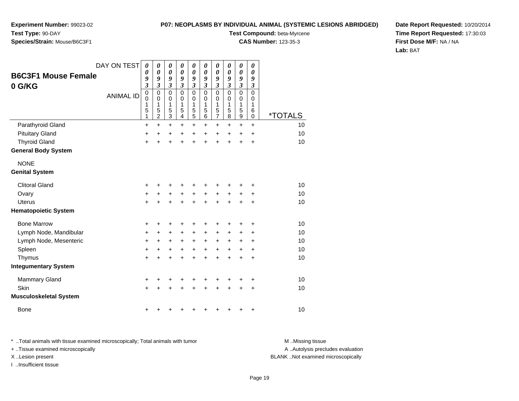**Experiment Number:** 99023-02**Test Type:** 90-DAY

# **Species/Strain:** Mouse/B6C3F1

**Test Compound:** beta-Myrcene

**CAS Number:** 123-35-3

**Date Report Requested:** 10/20/2014**Time Report Requested:** 17:30:03**First Dose M/F:** NA / NA**Lab:** BAT

| <b>B6C3F1 Mouse Female</b>    | DAY ON TEST      | $\boldsymbol{\theta}$<br>0                | 0<br>$\boldsymbol{\theta}$                           | 0<br>$\boldsymbol{\theta}$                | 0<br>$\boldsymbol{\theta}$          | 0<br>$\boldsymbol{\theta}$                | 0<br>$\pmb{\theta}$                       | 0<br>$\boldsymbol{\theta}$                   | 0<br>0                       | $\boldsymbol{\theta}$<br>$\boldsymbol{\theta}$           | 0<br>0                          |                       |
|-------------------------------|------------------|-------------------------------------------|------------------------------------------------------|-------------------------------------------|-------------------------------------|-------------------------------------------|-------------------------------------------|----------------------------------------------|------------------------------|----------------------------------------------------------|---------------------------------|-----------------------|
| 0 G/KG                        |                  | 9<br>$\boldsymbol{\mathfrak{z}}$          | 9<br>$\mathfrak{z}$                                  | 9<br>$\boldsymbol{\mathfrak{z}}$          | 9<br>$\boldsymbol{\beta}$           | 9<br>$\boldsymbol{\beta}$                 | 9<br>3                                    | 9<br>$\overline{\mathbf{3}}$                 | 9<br>$\overline{\mathbf{3}}$ | 9<br>$\boldsymbol{\mathfrak{z}}$                         | 9<br>3                          |                       |
|                               | <b>ANIMAL ID</b> | $\mathbf 0$<br>$\mathbf 0$<br>1<br>5<br>1 | $\pmb{0}$<br>$\mathbf 0$<br>1<br>5<br>$\overline{c}$ | $\mathbf 0$<br>$\mathbf 0$<br>1<br>5<br>3 | $\Omega$<br>$\Omega$<br>1<br>5<br>4 | $\mathbf 0$<br>$\mathbf 0$<br>1<br>5<br>5 | $\mathbf 0$<br>$\mathbf 0$<br>1<br>5<br>6 | $\mathbf 0$<br>0<br>1<br>5<br>$\overline{7}$ | 0<br>0<br>1<br>5<br>8        | $\mathbf 0$<br>$\mathbf 0$<br>1<br>5<br>$\boldsymbol{9}$ | $\mathbf 0$<br>0<br>1<br>6<br>0 | <i><b>*TOTALS</b></i> |
| Parathyroid Gland             |                  | +                                         | $\ddot{}$                                            | $\ddot{}$                                 | $\ddot{}$                           | $\ddot{}$                                 | $\ddot{}$                                 | +                                            | +                            | $\ddot{}$                                                | $+$                             | 10                    |
| <b>Pituitary Gland</b>        |                  | +                                         | +                                                    | +                                         | +                                   | $\ddot{}$                                 | $\ddot{}$                                 | $\ddot{}$                                    | $\ddot{}$                    | $\ddot{}$                                                | $\ddot{}$                       | 10                    |
| <b>Thyroid Gland</b>          |                  | $\ddot{}$                                 | $\ddot{}$                                            | $\ddot{}$                                 | $\ddot{}$                           | $\ddot{}$                                 | $\ddot{}$                                 | $\ddot{}$                                    | $\ddot{}$                    | $\ddot{}$                                                | +                               | 10                    |
| <b>General Body System</b>    |                  |                                           |                                                      |                                           |                                     |                                           |                                           |                                              |                              |                                                          |                                 |                       |
| <b>NONE</b>                   |                  |                                           |                                                      |                                           |                                     |                                           |                                           |                                              |                              |                                                          |                                 |                       |
| <b>Genital System</b>         |                  |                                           |                                                      |                                           |                                     |                                           |                                           |                                              |                              |                                                          |                                 |                       |
| <b>Clitoral Gland</b>         |                  | +                                         |                                                      | +                                         | +                                   |                                           |                                           |                                              |                              |                                                          |                                 | 10                    |
| Ovary                         |                  | $\ddot{}$                                 | $\ddot{}$                                            | +                                         | $\ddot{}$                           | $\ddot{}$                                 | +                                         | +                                            | +                            | +                                                        | +                               | 10                    |
| <b>Uterus</b>                 |                  | $\ddot{}$                                 |                                                      | $\ddot{}$                                 | $\ddot{}$                           | $\ddot{}$                                 | $\ddot{}$                                 | $\ddot{}$                                    | $\ddot{}$                    | $\ddot{}$                                                | $\ddot{}$                       | 10                    |
| <b>Hematopoietic System</b>   |                  |                                           |                                                      |                                           |                                     |                                           |                                           |                                              |                              |                                                          |                                 |                       |
| <b>Bone Marrow</b>            |                  | +                                         | +                                                    | +                                         | +                                   | +                                         | +                                         | +                                            | +                            | +                                                        | ٠                               | 10                    |
| Lymph Node, Mandibular        |                  | $\ddot{}$                                 | +                                                    | +                                         | +                                   | +                                         | $\ddot{}$                                 | +                                            | +                            | +                                                        |                                 | 10                    |
| Lymph Node, Mesenteric        |                  | +                                         | $\ddot{}$                                            | $\ddot{}$                                 | $\ddot{}$                           | $\ddot{}$                                 | $\ddot{}$                                 | +                                            | +                            | +                                                        |                                 | 10                    |
| Spleen                        |                  | $\ddot{}$                                 | +                                                    | $\ddot{}$                                 | $\ddot{}$                           | $\ddot{}$                                 | $\ddot{}$                                 | +                                            | $\ddot{}$                    | $\ddot{}$                                                | $\ddot{}$                       | 10                    |
| Thymus                        |                  | $\ddot{}$                                 | +                                                    | $\ddot{}$                                 | $\ddot{}$                           | $\ddot{}$                                 | $\ddot{}$                                 | $\ddot{}$                                    | $\ddot{}$                    | $\ddot{}$                                                | $\ddot{}$                       | 10                    |
| <b>Integumentary System</b>   |                  |                                           |                                                      |                                           |                                     |                                           |                                           |                                              |                              |                                                          |                                 |                       |
| <b>Mammary Gland</b>          |                  | +                                         | +                                                    | +                                         | +                                   | +                                         | +                                         | +                                            | +                            | +                                                        | +                               | 10                    |
| Skin                          |                  | $\ddot{}$                                 |                                                      |                                           |                                     | +                                         |                                           |                                              |                              | +                                                        | +                               | 10                    |
| <b>Musculoskeletal System</b> |                  |                                           |                                                      |                                           |                                     |                                           |                                           |                                              |                              |                                                          |                                 |                       |
| <b>Bone</b>                   |                  | +                                         |                                                      |                                           | ٠                                   |                                           |                                           |                                              | +                            | +                                                        | +                               | 10                    |

\* ..Total animals with tissue examined microscopically; Total animals with tumor **M** . Missing tissue M ..Missing tissue A ..Autolysis precludes evaluation + ..Tissue examined microscopically X ..Lesion present BLANK ..Not examined microscopicallyI ..Insufficient tissue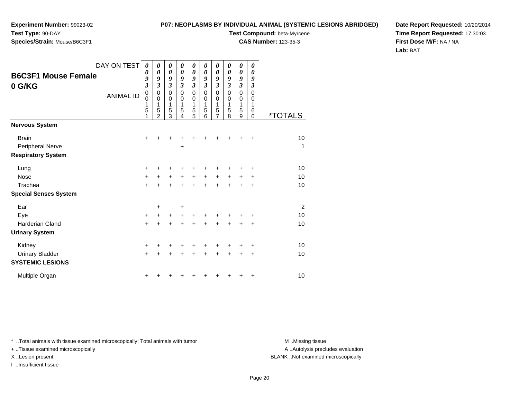# **Species/Strain:** Mouse/B6C3F1

**P07: NEOPLASMS BY INDIVIDUAL ANIMAL (SYSTEMIC LESIONS ABRIDGED)**

**Test Compound:** beta-Myrcene

**CAS Number:** 123-35-3

**Date Report Requested:** 10/20/2014**Time Report Requested:** 17:30:03**First Dose M/F:** NA / NA**Lab:** BAT

| DAY ON TEST                                                   | $\boldsymbol{\theta}$         | 0                                          | 0                        | 0                               | 0                               | 0                               | 0                                            | 0                        | 0                        | 0                                            |                |
|---------------------------------------------------------------|-------------------------------|--------------------------------------------|--------------------------|---------------------------------|---------------------------------|---------------------------------|----------------------------------------------|--------------------------|--------------------------|----------------------------------------------|----------------|
| <b>B6C3F1 Mouse Female</b><br>0 G/KG                          | 0<br>9<br>$\mathfrak{z}$      | 0<br>9<br>$\overline{\mathbf{3}}$          | 0<br>9<br>$\mathfrak{z}$ | $\boldsymbol{\theta}$<br>9<br>3 | $\boldsymbol{\theta}$<br>9<br>3 | $\boldsymbol{\theta}$<br>9<br>3 | $\boldsymbol{\theta}$<br>9<br>$\mathfrak{z}$ | 0<br>9<br>$\mathfrak{z}$ | 0<br>9<br>$\mathfrak{z}$ | $\boldsymbol{\theta}$<br>9<br>$\mathfrak{z}$ |                |
| <b>ANIMAL ID</b>                                              | $\pmb{0}$<br>0<br>1<br>5<br>1 | 0<br>$\pmb{0}$<br>1<br>5<br>$\mathfrak{p}$ | 0<br>0<br>1<br>5<br>3    | 0<br>0<br>1<br>5<br>4           | 0<br>0<br>1<br>5<br>5           | 0<br>0<br>1<br>5<br>6           | 0<br>$\mathbf 0$<br>1<br>5<br>7              | 0<br>0<br>1<br>5<br>8    | 0<br>0<br>1<br>5<br>9    | 0<br>0<br>1<br>6<br>$\Omega$                 | *TOTALS        |
| <b>Nervous System</b>                                         |                               |                                            |                          |                                 |                                 |                                 |                                              |                          |                          |                                              |                |
| <b>Brain</b><br>Peripheral Nerve<br><b>Respiratory System</b> | $\ddot{}$                     |                                            | +                        | +                               |                                 |                                 |                                              |                          |                          | +                                            | 10<br>1        |
| Lung                                                          | +                             |                                            |                          |                                 |                                 |                                 |                                              |                          |                          | ٠                                            | 10             |
| <b>Nose</b>                                                   | +                             | $\ddot{}$                                  | +                        | $\ddot{}$                       | +                               | $\ddot{}$                       | +                                            | $\ddot{}$                | $\pm$                    | +                                            | 10             |
| Trachea                                                       | $\ddot{}$                     | $\ddot{}$                                  | $\pm$                    | $\div$                          | $\pm$                           | $\div$                          | ÷                                            | ÷                        | $\div$                   | +                                            | 10             |
| <b>Special Senses System</b>                                  |                               |                                            |                          |                                 |                                 |                                 |                                              |                          |                          |                                              |                |
| Ear                                                           |                               | +                                          |                          | +                               |                                 |                                 |                                              |                          |                          |                                              | $\overline{2}$ |
| Eye                                                           | $\ddot{}$                     | +                                          | $\pm$                    | +                               |                                 |                                 |                                              |                          |                          | +                                            | 10             |
| <b>Harderian Gland</b>                                        | $\ddot{}$                     | +                                          | +                        | +                               | +                               |                                 |                                              |                          |                          | +                                            | 10             |
| <b>Urinary System</b>                                         |                               |                                            |                          |                                 |                                 |                                 |                                              |                          |                          |                                              |                |
| Kidney                                                        | +                             |                                            |                          |                                 |                                 |                                 |                                              |                          |                          | +                                            | 10             |
| <b>Urinary Bladder</b><br><b>SYSTEMIC LESIONS</b>             | $\ddot{}$                     |                                            | +                        | +                               | +                               | ÷                               | +                                            | ÷                        | +                        | +                                            | 10             |
| Multiple Organ                                                | +                             |                                            |                          |                                 |                                 |                                 |                                              |                          |                          | +                                            | 10             |

\* ..Total animals with tissue examined microscopically; Total animals with tumor **M** . Missing tissue M ..Missing tissue

+ ..Tissue examined microscopically

I ..Insufficient tissue

A ..Autolysis precludes evaluation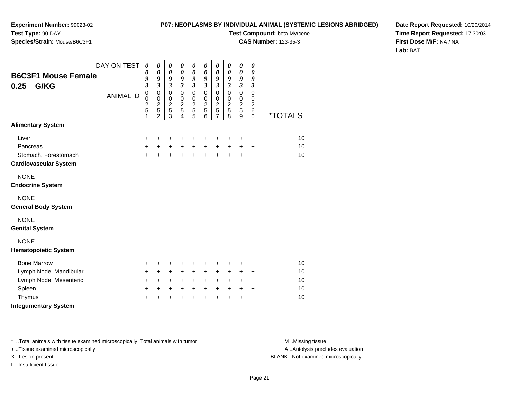#### **P07: NEOPLASMS BY INDIVIDUAL ANIMAL (SYSTEMIC LESIONS ABRIDGED)**

**Test Compound:** beta-Myrcene

**CAS Number:** 123-35-3

**Date Report Requested:** 10/20/2014**Time Report Requested:** 17:30:03**First Dose M/F:** NA / NA**Lab:** BAT

| <b>B6C3F1 Mouse Female</b><br>0.25<br>G/KG                                | DAY ON TEST<br><b>ANIMAL ID</b> | $\boldsymbol{\theta}$<br>$\boldsymbol{\theta}$<br>9<br>$\overline{\mathbf{3}}$<br>$\mathbf 0$<br>$\mathbf 0$<br>$\frac{2}{5}$<br>1 | 0<br>0<br>9<br>$\overline{3}$<br>$\mathbf 0$<br>$\mathbf 0$<br>$\overline{c}$<br>5<br>$\overline{2}$ | 0<br>$\boldsymbol{\theta}$<br>9<br>$\mathfrak{z}$<br>$\mathbf 0$<br>$\pmb{0}$<br>$\overline{c}$<br>$\overline{5}$<br>3 | 0<br>$\boldsymbol{\theta}$<br>9<br>$\mathfrak{z}$<br>$\mathbf 0$<br>$\mathbf 0$<br>$\overline{c}$<br>5<br>$\overline{4}$ | 0<br>$\boldsymbol{\theta}$<br>$\boldsymbol{g}$<br>$\mathfrak{z}$<br>$\mathbf 0$<br>$\mathbf 0$<br>$\frac{2}{5}$<br>5 | $\boldsymbol{\theta}$<br>$\boldsymbol{\theta}$<br>$\boldsymbol{g}$<br>$\mathfrak{z}$<br>$\mathbf 0$<br>$\,0\,$<br>$\frac{2}{5}$<br>$\overline{6}$ | 0<br>$\boldsymbol{\theta}$<br>9<br>$\overline{\mathbf{3}}$<br>$\mathbf 0$<br>$\,0\,$<br>$\frac{2}{5}$<br>$\overline{7}$ | 0<br>$\boldsymbol{\theta}$<br>$\boldsymbol{g}$<br>$\mathfrak{z}$<br>$\pmb{0}$<br>$\,0\,$<br>$\frac{2}{5}$<br>$\bar{8}$ | 0<br>0<br>9<br>$\mathfrak{z}$<br>$\mathbf 0$<br>$\pmb{0}$<br>$\overline{2}$<br>5<br>9 | 0<br>$\boldsymbol{\theta}$<br>9<br>$\boldsymbol{\beta}$<br>$\mathbf 0$<br>0<br>$\overline{c}$<br>6<br>$\Omega$ | <i><b>*TOTALS</b></i> |
|---------------------------------------------------------------------------|---------------------------------|------------------------------------------------------------------------------------------------------------------------------------|------------------------------------------------------------------------------------------------------|------------------------------------------------------------------------------------------------------------------------|--------------------------------------------------------------------------------------------------------------------------|----------------------------------------------------------------------------------------------------------------------|---------------------------------------------------------------------------------------------------------------------------------------------------|-------------------------------------------------------------------------------------------------------------------------|------------------------------------------------------------------------------------------------------------------------|---------------------------------------------------------------------------------------|----------------------------------------------------------------------------------------------------------------|-----------------------|
| <b>Alimentary System</b>                                                  |                                 |                                                                                                                                    |                                                                                                      |                                                                                                                        |                                                                                                                          |                                                                                                                      |                                                                                                                                                   |                                                                                                                         |                                                                                                                        |                                                                                       |                                                                                                                |                       |
| Liver<br>Pancreas<br>Stomach, Forestomach<br><b>Cardiovascular System</b> |                                 | $\ddot{}$<br>$\ddot{}$<br>$+$                                                                                                      | +<br>$\ddot{}$<br>$\ddot{}$                                                                          | $\ddot{}$<br>$+$<br>$\ddot{}$                                                                                          | ÷<br>$\ddot{}$<br>$+$                                                                                                    | +<br>$\ddot{}$<br>$\ddot{}$                                                                                          | $\ddot{}$<br>$\ddot{}$<br>$+$                                                                                                                     | +<br>$\ddot{}$<br>$\ddot{}$                                                                                             | +<br>$\ddot{}$<br>$\ddot{}$                                                                                            | +<br>+<br>$\ddot{}$                                                                   | $\ddot{}$<br>$\ddot{}$<br>$\ddot{}$                                                                            | 10<br>10<br>10        |
| <b>NONE</b><br><b>Endocrine System</b>                                    |                                 |                                                                                                                                    |                                                                                                      |                                                                                                                        |                                                                                                                          |                                                                                                                      |                                                                                                                                                   |                                                                                                                         |                                                                                                                        |                                                                                       |                                                                                                                |                       |
| <b>NONE</b><br><b>General Body System</b>                                 |                                 |                                                                                                                                    |                                                                                                      |                                                                                                                        |                                                                                                                          |                                                                                                                      |                                                                                                                                                   |                                                                                                                         |                                                                                                                        |                                                                                       |                                                                                                                |                       |
| <b>NONE</b><br><b>Genital System</b>                                      |                                 |                                                                                                                                    |                                                                                                      |                                                                                                                        |                                                                                                                          |                                                                                                                      |                                                                                                                                                   |                                                                                                                         |                                                                                                                        |                                                                                       |                                                                                                                |                       |
| <b>NONE</b><br><b>Hematopoietic System</b>                                |                                 |                                                                                                                                    |                                                                                                      |                                                                                                                        |                                                                                                                          |                                                                                                                      |                                                                                                                                                   |                                                                                                                         |                                                                                                                        |                                                                                       |                                                                                                                |                       |
| <b>Bone Marrow</b>                                                        |                                 | $\ddot{}$                                                                                                                          | +                                                                                                    | $\ddot{}$                                                                                                              | ٠                                                                                                                        | +                                                                                                                    | $\ddot{}$                                                                                                                                         | +                                                                                                                       | +                                                                                                                      | ٠                                                                                     | $\ddot{}$                                                                                                      | 10                    |
| Lymph Node, Mandibular                                                    |                                 | $\ddot{}$                                                                                                                          | $\ddot{}$                                                                                            | $+$                                                                                                                    | $+$                                                                                                                      | $\ddot{}$                                                                                                            | $\ddot{}$                                                                                                                                         | $\ddot{}$                                                                                                               | $\ddot{}$                                                                                                              | $\ddot{}$                                                                             | $\ddot{}$                                                                                                      | 10                    |
| Lymph Node, Mesenteric                                                    |                                 | $+$                                                                                                                                | $\ddot{}$                                                                                            | $+$                                                                                                                    | $+$                                                                                                                      | +                                                                                                                    | $+$                                                                                                                                               | $+$                                                                                                                     | $+$                                                                                                                    | $\ddot{}$                                                                             | $\ddot{}$                                                                                                      | 10                    |
| Spleen                                                                    |                                 | $\ddot{}$                                                                                                                          | +                                                                                                    | +                                                                                                                      | $\ddot{}$                                                                                                                | +                                                                                                                    | $\ddot{}$                                                                                                                                         | +                                                                                                                       | $\ddot{}$                                                                                                              | +                                                                                     | $\ddot{}$                                                                                                      | 10                    |
| Thymus<br><b>Integumentary System</b>                                     |                                 | $\ddot{}$                                                                                                                          | $\ddot{}$                                                                                            | $\ddot{}$                                                                                                              | $\ddot{}$                                                                                                                | $\ddot{}$                                                                                                            | $\ddot{}$                                                                                                                                         | $\ddot{}$                                                                                                               | $\ddot{}$                                                                                                              | +                                                                                     | $\ddot{}$                                                                                                      | 10                    |

\* ..Total animals with tissue examined microscopically; Total animals with tumor **M** . Missing tissue M ..Missing tissue

+ ..Tissue examined microscopically

I ..Insufficient tissue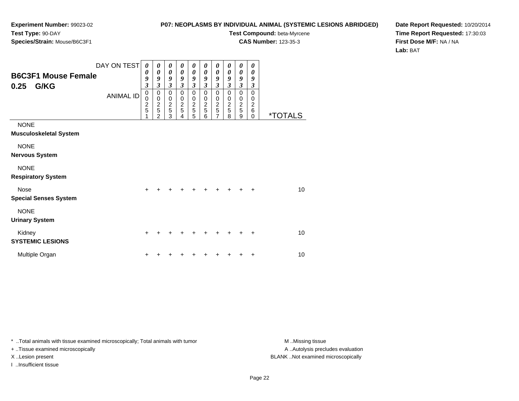#### **P07: NEOPLASMS BY INDIVIDUAL ANIMAL (SYSTEMIC LESIONS ABRIDGED)**

**Test Compound:** beta-Myrcene

**CAS Number:** 123-35-3

**Date Report Requested:** 10/20/2014**Time Report Requested:** 17:30:03**First Dose M/F:** NA / NA**Lab:** BAT

| <b>B6C3F1 Mouse Female</b><br>0.25<br>G/KG   | DAY ON TEST<br><b>ANIMAL ID</b> | 0<br>$\boldsymbol{\theta}$<br>9<br>$\mathfrak{z}$<br>$\mathbf 0$<br>$\pmb{0}$<br>$\frac{2}{5}$ | 0<br>0<br>9<br>$\mathfrak{z}$<br>$\pmb{0}$<br>$\pmb{0}$<br>$\frac{2}{5}$<br>$\overline{2}$ | 0<br>$\boldsymbol{\theta}$<br>9<br>$\mathfrak{z}$<br>$\mathbf 0$<br>$\pmb{0}$<br>$\frac{2}{5}$<br>3 | 0<br>$\boldsymbol{\theta}$<br>9<br>$\mathfrak{z}$<br>$\mathbf 0$<br>$\pmb{0}$<br>$\frac{2}{5}$<br>4 | 0<br>$\boldsymbol{\theta}$<br>9<br>$\overline{\mathbf{3}}$<br>$\mathbf 0$<br>$\begin{array}{c} 0 \\ 2 \\ 5 \end{array}$<br>5 | 0<br>0<br>9<br>3<br>0<br>0<br>$\frac{2}{5}$<br>6 | 0<br>0<br>9<br>3<br>0<br>0<br>$\frac{2}{5}$<br>7 | 0<br>$\boldsymbol{\theta}$<br>9<br>$\mathfrak{z}$<br>$\mathbf 0$<br>0<br>$\frac{2}{5}$<br>8 | 0<br>$\boldsymbol{\theta}$<br>9<br>$\mathfrak{z}$<br>$\mathbf 0$<br>$\mathbf 0$<br>$\frac{2}{5}$<br>9 | 0<br>0<br>9<br>3<br>$\mathbf 0$<br>0<br>$\overline{c}$<br>$\,6$<br>0 | <i><b>*TOTALS</b></i> |
|----------------------------------------------|---------------------------------|------------------------------------------------------------------------------------------------|--------------------------------------------------------------------------------------------|-----------------------------------------------------------------------------------------------------|-----------------------------------------------------------------------------------------------------|------------------------------------------------------------------------------------------------------------------------------|--------------------------------------------------|--------------------------------------------------|---------------------------------------------------------------------------------------------|-------------------------------------------------------------------------------------------------------|----------------------------------------------------------------------|-----------------------|
| <b>NONE</b><br><b>Musculoskeletal System</b> |                                 |                                                                                                |                                                                                            |                                                                                                     |                                                                                                     |                                                                                                                              |                                                  |                                                  |                                                                                             |                                                                                                       |                                                                      |                       |
| <b>NONE</b><br><b>Nervous System</b>         |                                 |                                                                                                |                                                                                            |                                                                                                     |                                                                                                     |                                                                                                                              |                                                  |                                                  |                                                                                             |                                                                                                       |                                                                      |                       |
| <b>NONE</b><br><b>Respiratory System</b>     |                                 |                                                                                                |                                                                                            |                                                                                                     |                                                                                                     |                                                                                                                              |                                                  |                                                  |                                                                                             |                                                                                                       |                                                                      |                       |
| <b>Nose</b><br><b>Special Senses System</b>  |                                 | $\ddot{}$                                                                                      |                                                                                            | +                                                                                                   |                                                                                                     |                                                                                                                              |                                                  |                                                  |                                                                                             |                                                                                                       | ÷                                                                    | 10                    |
| <b>NONE</b><br><b>Urinary System</b>         |                                 |                                                                                                |                                                                                            |                                                                                                     |                                                                                                     |                                                                                                                              |                                                  |                                                  |                                                                                             |                                                                                                       |                                                                      |                       |
| Kidney<br><b>SYSTEMIC LESIONS</b>            |                                 | $\pm$                                                                                          |                                                                                            |                                                                                                     |                                                                                                     |                                                                                                                              |                                                  |                                                  |                                                                                             |                                                                                                       | $\ddot{}$                                                            | 10                    |
| Multiple Organ                               |                                 |                                                                                                |                                                                                            |                                                                                                     |                                                                                                     |                                                                                                                              |                                                  |                                                  |                                                                                             |                                                                                                       | ٠                                                                    | 10                    |

\* ..Total animals with tissue examined microscopically; Total animals with tumor **M** . Missing tissue M ..Missing tissue

+ ..Tissue examined microscopically

I ..Insufficient tissue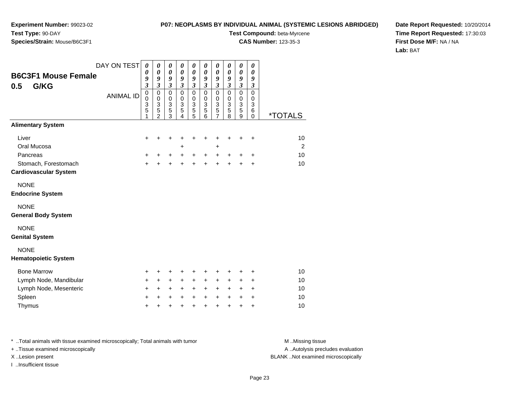#### **P07: NEOPLASMS BY INDIVIDUAL ANIMAL (SYSTEMIC LESIONS ABRIDGED)**

**Test Compound:** beta-Myrcene

**CAS Number:** 123-35-3

**Date Report Requested:** 10/20/2014**Time Report Requested:** 17:30:03**First Dose M/F:** NA / NA**Lab:** BAT

| <b>B6C3F1 Mouse Female</b><br>G/KG<br>0.5            | DAY ON TEST<br><b>ANIMAL ID</b> | $\boldsymbol{\theta}$<br>$\boldsymbol{\theta}$<br>9<br>$\mathfrak{z}$<br>$\mathbf 0$<br>$\mathbf 0$<br>$\frac{3}{5}$<br>1 | 0<br>$\pmb{\theta}$<br>9<br>$\mathfrak{z}$<br>0<br>0<br>$\ensuremath{\mathsf{3}}$<br>5<br>$\overline{2}$ | 0<br>$\boldsymbol{\theta}$<br>9<br>$\boldsymbol{\mathfrak{z}}$<br>$\pmb{0}$<br>0<br>3<br>$\overline{5}$<br>3 | 0<br>$\boldsymbol{\theta}$<br>9<br>$\boldsymbol{\mathfrak{z}}$<br>0<br>0<br>3<br>5<br>4 | 0<br>0<br>9<br>$\boldsymbol{\beta}$<br>$\mathbf 0$<br>0<br>$\ensuremath{\mathsf{3}}$<br>5<br>5 | 0<br>0<br>9<br>$\mathfrak{z}$<br>$\pmb{0}$<br>0<br>3<br>5<br>6 | $\boldsymbol{\theta}$<br>$\boldsymbol{\theta}$<br>9<br>$\boldsymbol{\beta}$<br>$\pmb{0}$<br>$\pmb{0}$<br>$\frac{3}{5}$<br>$\overline{7}$ | 0<br>$\boldsymbol{\theta}$<br>9<br>$\boldsymbol{\beta}$<br>$\pmb{0}$<br>$\pmb{0}$<br>$\frac{3}{5}$<br>8 | $\pmb{\theta}$<br>$\boldsymbol{\theta}$<br>9<br>$\boldsymbol{\mathfrak{z}}$<br>$\pmb{0}$<br>$\,0\,$<br>$\frac{3}{5}$<br>9 | 0<br>$\boldsymbol{\theta}$<br>9<br>$\boldsymbol{\beta}$<br>$\mathbf 0$<br>0<br>3<br>6<br>$\mathbf 0$ | <i><b>*TOTALS</b></i> |
|------------------------------------------------------|---------------------------------|---------------------------------------------------------------------------------------------------------------------------|----------------------------------------------------------------------------------------------------------|--------------------------------------------------------------------------------------------------------------|-----------------------------------------------------------------------------------------|------------------------------------------------------------------------------------------------|----------------------------------------------------------------|------------------------------------------------------------------------------------------------------------------------------------------|---------------------------------------------------------------------------------------------------------|---------------------------------------------------------------------------------------------------------------------------|------------------------------------------------------------------------------------------------------|-----------------------|
| <b>Alimentary System</b>                             |                                 |                                                                                                                           |                                                                                                          |                                                                                                              |                                                                                         |                                                                                                |                                                                |                                                                                                                                          |                                                                                                         |                                                                                                                           |                                                                                                      |                       |
| Liver                                                |                                 | +                                                                                                                         | +                                                                                                        | +                                                                                                            |                                                                                         | +                                                                                              | +                                                              | +                                                                                                                                        | +                                                                                                       | +                                                                                                                         | $\ddot{}$                                                                                            | 10                    |
| Oral Mucosa                                          |                                 |                                                                                                                           |                                                                                                          |                                                                                                              | +                                                                                       |                                                                                                |                                                                | +                                                                                                                                        |                                                                                                         |                                                                                                                           |                                                                                                      | 2                     |
| Pancreas                                             |                                 | $\ddot{}$                                                                                                                 | $\pm$                                                                                                    | $\ddot{}$                                                                                                    | $\ddot{}$                                                                               | $\ddot{}$                                                                                      | $\ddot{}$                                                      | $+$                                                                                                                                      | $\ddot{}$                                                                                               | $\ddot{}$                                                                                                                 | $\ddot{}$                                                                                            | 10                    |
| Stomach, Forestomach<br><b>Cardiovascular System</b> |                                 | $\ddot{}$                                                                                                                 | $\ddot{}$                                                                                                | $\ddot{}$                                                                                                    | $\ddot{}$                                                                               | $\ddot{}$                                                                                      | $\ddot{}$                                                      | $\ddot{}$                                                                                                                                | $\ddot{}$                                                                                               | $\ddot{}$                                                                                                                 | +                                                                                                    | 10                    |
| <b>NONE</b><br><b>Endocrine System</b>               |                                 |                                                                                                                           |                                                                                                          |                                                                                                              |                                                                                         |                                                                                                |                                                                |                                                                                                                                          |                                                                                                         |                                                                                                                           |                                                                                                      |                       |
| <b>NONE</b><br><b>General Body System</b>            |                                 |                                                                                                                           |                                                                                                          |                                                                                                              |                                                                                         |                                                                                                |                                                                |                                                                                                                                          |                                                                                                         |                                                                                                                           |                                                                                                      |                       |
| <b>NONE</b><br><b>Genital System</b>                 |                                 |                                                                                                                           |                                                                                                          |                                                                                                              |                                                                                         |                                                                                                |                                                                |                                                                                                                                          |                                                                                                         |                                                                                                                           |                                                                                                      |                       |
| <b>NONE</b><br><b>Hematopoietic System</b>           |                                 |                                                                                                                           |                                                                                                          |                                                                                                              |                                                                                         |                                                                                                |                                                                |                                                                                                                                          |                                                                                                         |                                                                                                                           |                                                                                                      |                       |
| <b>Bone Marrow</b>                                   |                                 | +                                                                                                                         | +                                                                                                        | +                                                                                                            | +                                                                                       | +                                                                                              | +                                                              | +                                                                                                                                        | +                                                                                                       | +                                                                                                                         | +                                                                                                    | 10                    |
| Lymph Node, Mandibular                               |                                 | +                                                                                                                         | $\ddot{}$                                                                                                | $\ddot{}$                                                                                                    | +                                                                                       | $\ddot{}$                                                                                      | $\ddot{}$                                                      | $\ddot{}$                                                                                                                                | +                                                                                                       | +                                                                                                                         | +                                                                                                    | 10                    |
| Lymph Node, Mesenteric                               |                                 | $\ddot{}$                                                                                                                 | $+$                                                                                                      | $\ddot{}$                                                                                                    | $\ddot{}$                                                                               | $\ddot{}$                                                                                      | $\ddot{}$                                                      | $\ddot{}$                                                                                                                                | $\ddot{}$                                                                                               | +                                                                                                                         | $\ddot{}$                                                                                            | 10                    |
| Spleen                                               |                                 | $\ddot{}$                                                                                                                 | $\ddot{}$                                                                                                | $\ddot{}$                                                                                                    | +                                                                                       | $\ddot{}$                                                                                      | $\ddot{}$                                                      | +                                                                                                                                        | +                                                                                                       | +                                                                                                                         | $\ddot{}$                                                                                            | 10                    |
| Thymus                                               |                                 | $\ddot{}$                                                                                                                 |                                                                                                          | +                                                                                                            | $\ddot{}$                                                                               | $\ddot{}$                                                                                      | $\ddot{}$                                                      | $\ddot{}$                                                                                                                                | $\ddot{}$                                                                                               | $\ddot{}$                                                                                                                 | $\ddot{}$                                                                                            | 10                    |

\* ..Total animals with tissue examined microscopically; Total animals with tumor **M** . Missing tissue M ..Missing tissue + ..Tissue examined microscopically X ..Lesion present BLANK ..Not examined microscopically

I ..Insufficient tissue

A ..Autolysis precludes evaluation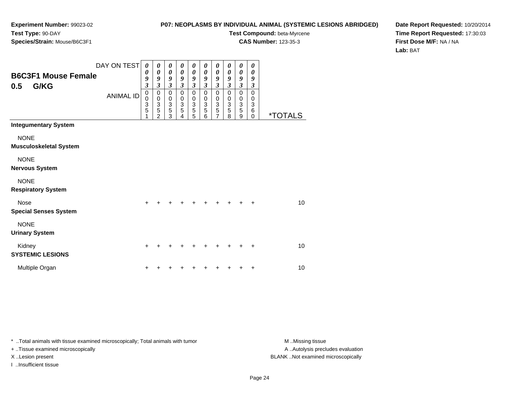#### **P07: NEOPLASMS BY INDIVIDUAL ANIMAL (SYSTEMIC LESIONS ABRIDGED)**

**Test Compound:** beta-Myrcene

**CAS Number:** 123-35-3

**Date Report Requested:** 10/20/2014**Time Report Requested:** 17:30:03**First Dose M/F:** NA / NA**Lab:** BAT

| <b>B6C3F1 Mouse Female</b><br>G/KG<br>0.5                                            | DAY ON TEST<br><b>ANIMAL ID</b> | 0<br>0<br>9<br>$\mathfrak{z}$<br>$\pmb{0}$<br>0<br>3<br>5 | 0<br>$\boldsymbol{\theta}$<br>9<br>$\mathfrak{z}$<br>$\mathbf 0$<br>$\pmb{0}$<br>$\frac{3}{5}$<br>$\overline{2}$ | 0<br>$\boldsymbol{\theta}$<br>9<br>$\overline{\mathbf{3}}$<br>0<br>$\mathbf 0$<br>$\frac{3}{5}$ | 0<br>$\boldsymbol{\theta}$<br>9<br>$\mathfrak{z}$<br>$\mathbf 0$<br>$\mathbf 0$<br>$\ensuremath{\mathsf{3}}$<br>5<br>4 | 0<br>0<br>9<br>$\mathfrak{z}$<br>$\pmb{0}$<br>$\pmb{0}$<br>$\ensuremath{\mathsf{3}}$<br>$\overline{5}$<br>$\overline{5}$ | 0<br>$\boldsymbol{\theta}$<br>9<br>$\mathfrak{z}$<br>$\mathbf 0$<br>$\mathbf 0$<br>$\mathbf{3}$<br>$\overline{5}$<br>6 | 0<br>0<br>9<br>$\mathfrak{z}$<br>$\pmb{0}$<br>$\pmb{0}$<br>$\frac{3}{5}$<br>$\overline{7}$ | 0<br>$\boldsymbol{\theta}$<br>9<br>$\mathfrak{z}$<br>$\pmb{0}$<br>$\,0\,$<br>$\ensuremath{\mathsf{3}}$<br>$\overline{5}$<br>$\overline{8}$ | 0<br>$\boldsymbol{\theta}$<br>9<br>$\mathfrak{z}$<br>$\mathbf 0$<br>$\pmb{0}$<br>$\frac{3}{5}$<br>$\boldsymbol{9}$ | 0<br>0<br>9<br>$\mathfrak{z}$<br>$\mathbf 0$<br>0<br>$\ensuremath{\mathsf{3}}$<br>$\,6$<br>$\mathbf 0$ | <i><b>*TOTALS</b></i> |
|--------------------------------------------------------------------------------------|---------------------------------|-----------------------------------------------------------|------------------------------------------------------------------------------------------------------------------|-------------------------------------------------------------------------------------------------|------------------------------------------------------------------------------------------------------------------------|--------------------------------------------------------------------------------------------------------------------------|------------------------------------------------------------------------------------------------------------------------|--------------------------------------------------------------------------------------------|--------------------------------------------------------------------------------------------------------------------------------------------|--------------------------------------------------------------------------------------------------------------------|--------------------------------------------------------------------------------------------------------|-----------------------|
| <b>Integumentary System</b>                                                          |                                 |                                                           |                                                                                                                  |                                                                                                 |                                                                                                                        |                                                                                                                          |                                                                                                                        |                                                                                            |                                                                                                                                            |                                                                                                                    |                                                                                                        |                       |
| <b>NONE</b><br><b>Musculoskeletal System</b><br><b>NONE</b><br><b>Nervous System</b> |                                 |                                                           |                                                                                                                  |                                                                                                 |                                                                                                                        |                                                                                                                          |                                                                                                                        |                                                                                            |                                                                                                                                            |                                                                                                                    |                                                                                                        |                       |
| <b>NONE</b><br><b>Respiratory System</b>                                             |                                 |                                                           |                                                                                                                  |                                                                                                 |                                                                                                                        |                                                                                                                          |                                                                                                                        |                                                                                            |                                                                                                                                            |                                                                                                                    |                                                                                                        |                       |
| <b>Nose</b><br><b>Special Senses System</b>                                          |                                 | $\ddot{}$                                                 |                                                                                                                  |                                                                                                 |                                                                                                                        |                                                                                                                          | +                                                                                                                      |                                                                                            | +                                                                                                                                          |                                                                                                                    | ÷                                                                                                      | 10                    |
| <b>NONE</b><br><b>Urinary System</b>                                                 |                                 |                                                           |                                                                                                                  |                                                                                                 |                                                                                                                        |                                                                                                                          |                                                                                                                        |                                                                                            |                                                                                                                                            |                                                                                                                    |                                                                                                        |                       |
| Kidney<br><b>SYSTEMIC LESIONS</b>                                                    |                                 | +                                                         |                                                                                                                  |                                                                                                 |                                                                                                                        |                                                                                                                          |                                                                                                                        |                                                                                            |                                                                                                                                            |                                                                                                                    |                                                                                                        | 10                    |
| Multiple Organ                                                                       |                                 |                                                           |                                                                                                                  |                                                                                                 |                                                                                                                        |                                                                                                                          |                                                                                                                        |                                                                                            |                                                                                                                                            |                                                                                                                    | +                                                                                                      | 10                    |

\* ..Total animals with tissue examined microscopically; Total animals with tumor **M** . Missing tissue M ..Missing tissue

+ ..Tissue examined microscopically

I ..Insufficient tissue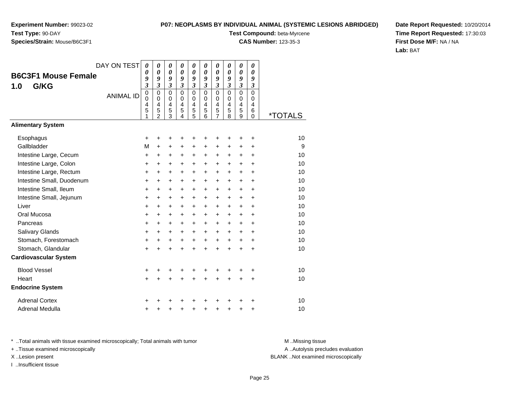#### **P07: NEOPLASMS BY INDIVIDUAL ANIMAL (SYSTEMIC LESIONS ABRIDGED)**

**Test Compound:** beta-Myrcene

**CAS Number:** 123-35-3

**Date Report Requested:** 10/20/2014**Time Report Requested:** 17:30:03**First Dose M/F:** NA / NA**Lab:** BAT

| <b>B6C3F1 Mouse Female</b><br>G/KG<br>1.0 | DAY ON TEST<br><b>ANIMAL ID</b> | $\boldsymbol{\theta}$<br>0<br>9<br>$\mathfrak{z}$<br>$\pmb{0}$<br>$\mathbf 0$<br>4 | 0<br>0<br>9<br>$\mathfrak{z}$<br>$\mathbf 0$<br>$\mathbf 0$<br>4 | 0<br>0<br>9<br>$\boldsymbol{\beta}$<br>$\mathbf 0$<br>$\mathbf 0$<br>4 | $\boldsymbol{\theta}$<br>$\boldsymbol{\theta}$<br>9<br>$\mathfrak{z}$<br>$\Omega$<br>$\Omega$<br>4 | $\boldsymbol{\theta}$<br>$\boldsymbol{\theta}$<br>9<br>$\boldsymbol{\mathfrak{z}}$<br>$\mathbf 0$<br>$\mathbf 0$<br>4 | 0<br>$\theta$<br>9<br>$\mathfrak{z}$<br>$\mathbf{0}$<br>$\Omega$<br>$\overline{4}$ | 0<br>0<br>9<br>$\overline{\mathbf{3}}$<br>0<br>$\mathbf 0$<br>4 | 0<br>0<br>9<br>3<br>$\Omega$<br>$\Omega$<br>4 | $\pmb{\theta}$<br>0<br>9<br>$\overline{\mathbf{3}}$<br>$\mathbf 0$<br>$\mathbf 0$<br>4 | 0<br>0<br>9<br>$\boldsymbol{\beta}$<br>$\mathbf 0$<br>0<br>$\overline{4}$ |                       |
|-------------------------------------------|---------------------------------|------------------------------------------------------------------------------------|------------------------------------------------------------------|------------------------------------------------------------------------|----------------------------------------------------------------------------------------------------|-----------------------------------------------------------------------------------------------------------------------|------------------------------------------------------------------------------------|-----------------------------------------------------------------|-----------------------------------------------|----------------------------------------------------------------------------------------|---------------------------------------------------------------------------|-----------------------|
|                                           |                                 | 5<br>1                                                                             | 5<br>$\mathfrak{p}$                                              | 5<br>3                                                                 | 5<br>4                                                                                             | 5<br>5                                                                                                                | 5<br>6                                                                             | 5<br>$\overline{7}$                                             | 5<br>8                                        | 5<br>9                                                                                 | 6<br>$\Omega$                                                             | <i><b>*TOTALS</b></i> |
| <b>Alimentary System</b>                  |                                 |                                                                                    |                                                                  |                                                                        |                                                                                                    |                                                                                                                       |                                                                                    |                                                                 |                                               |                                                                                        |                                                                           |                       |
| Esophagus                                 |                                 | +                                                                                  | +                                                                | +                                                                      | +                                                                                                  | +                                                                                                                     | +                                                                                  | +                                                               | +                                             | +                                                                                      | +                                                                         | 10                    |
| Gallbladder                               |                                 | M                                                                                  | $\ddot{}$                                                        | +                                                                      | +                                                                                                  | +                                                                                                                     | +                                                                                  | +                                                               | +                                             | +                                                                                      | +                                                                         | 9                     |
| Intestine Large, Cecum                    |                                 | $\ddot{}$                                                                          | $\ddot{}$                                                        | +                                                                      | +                                                                                                  | $\ddot{}$                                                                                                             | $\ddot{}$                                                                          | +                                                               | +                                             | $\ddot{}$                                                                              | $\ddot{}$                                                                 | 10                    |
| Intestine Large, Colon                    |                                 | $\ddot{}$                                                                          | +                                                                | +                                                                      | +                                                                                                  | $\ddot{}$                                                                                                             | $\ddot{}$                                                                          | +                                                               | +                                             | +                                                                                      | $\ddot{}$                                                                 | 10                    |
| Intestine Large, Rectum                   |                                 | $\ddot{}$                                                                          | $\ddot{}$                                                        | $\ddot{}$                                                              | +                                                                                                  | $\ddot{}$                                                                                                             | +                                                                                  | +                                                               | +                                             | +                                                                                      | $\ddot{}$                                                                 | 10                    |
| Intestine Small, Duodenum                 |                                 | $\ddot{}$                                                                          | $\ddot{}$                                                        | $\ddot{}$                                                              | $\ddot{}$                                                                                          | $\ddot{}$                                                                                                             | $\ddot{}$                                                                          | +                                                               | $\ddot{}$                                     | +                                                                                      | $\ddot{}$                                                                 | 10                    |
| Intestine Small, Ileum                    |                                 | +                                                                                  | $\ddot{}$                                                        | +                                                                      | +                                                                                                  | $\ddot{}$                                                                                                             | $\ddot{}$                                                                          | +                                                               | +                                             | $\ddot{}$                                                                              | $\ddot{}$                                                                 | 10                    |
| Intestine Small, Jejunum                  |                                 | $\ddot{}$                                                                          | +                                                                | +                                                                      | $\ddot{}$                                                                                          | $\ddot{}$                                                                                                             | $\ddot{}$                                                                          | +                                                               | $\ddot{}$                                     | +                                                                                      | $\ddot{}$                                                                 | 10                    |
| Liver                                     |                                 | $\ddot{}$                                                                          | $\ddot{}$                                                        | +                                                                      | $\ddot{}$                                                                                          | $\ddot{}$                                                                                                             | $\ddot{}$                                                                          | +                                                               | $\ddot{}$                                     | $\ddot{}$                                                                              | $\ddot{}$                                                                 | 10                    |
| Oral Mucosa                               |                                 | $\ddot{}$                                                                          | +                                                                | +                                                                      | +                                                                                                  | $\ddot{}$                                                                                                             | +                                                                                  | +                                                               | +                                             | +                                                                                      | $\ddot{}$                                                                 | 10                    |
| Pancreas                                  |                                 | $\ddot{}$                                                                          | $\ddot{}$                                                        | +                                                                      | $\ddot{}$                                                                                          | $\ddot{}$                                                                                                             | $\ddot{}$                                                                          | +                                                               | $\ddot{}$                                     | $\ddot{}$                                                                              | $\ddot{}$                                                                 | 10                    |
| Salivary Glands                           |                                 | $\ddot{}$                                                                          | $\ddot{}$                                                        | +                                                                      | $\ddot{}$                                                                                          | $+$                                                                                                                   | $\ddot{}$                                                                          | $\ddot{}$                                                       | $\ddot{}$                                     | $\ddot{}$                                                                              | $\ddot{}$                                                                 | 10                    |
| Stomach, Forestomach                      |                                 | +                                                                                  | $\ddot{}$                                                        | +                                                                      | $\ddot{}$                                                                                          | $\ddot{}$                                                                                                             | $\ddot{}$                                                                          | +                                                               | +                                             | +                                                                                      | $\ddot{}$                                                                 | 10                    |
| Stomach, Glandular                        |                                 | $\ddot{}$                                                                          | $\ddot{}$                                                        | $\ddot{}$                                                              | $\ddot{}$                                                                                          | $\ddot{}$                                                                                                             | $\ddot{}$                                                                          | $\ddot{}$                                                       | $\ddot{}$                                     | $\ddot{}$                                                                              | $\ddot{}$                                                                 | 10                    |
| <b>Cardiovascular System</b>              |                                 |                                                                                    |                                                                  |                                                                        |                                                                                                    |                                                                                                                       |                                                                                    |                                                                 |                                               |                                                                                        |                                                                           |                       |
| <b>Blood Vessel</b>                       |                                 | +                                                                                  | +                                                                | +                                                                      |                                                                                                    |                                                                                                                       |                                                                                    |                                                                 |                                               |                                                                                        | +                                                                         | 10                    |
| Heart                                     |                                 | $\ddot{}$                                                                          | $\ddot{}$                                                        | $\ddot{}$                                                              | $\ddot{}$                                                                                          | $\ddot{}$                                                                                                             | $\ddot{}$                                                                          | $\ddot{}$                                                       | $\ddot{}$                                     | $\ddot{}$                                                                              | $\ddot{}$                                                                 | 10                    |
| <b>Endocrine System</b>                   |                                 |                                                                                    |                                                                  |                                                                        |                                                                                                    |                                                                                                                       |                                                                                    |                                                                 |                                               |                                                                                        |                                                                           |                       |
| <b>Adrenal Cortex</b>                     |                                 | +                                                                                  |                                                                  |                                                                        |                                                                                                    |                                                                                                                       |                                                                                    |                                                                 |                                               |                                                                                        |                                                                           | 10                    |
| Adrenal Medulla                           |                                 | +                                                                                  | +                                                                | +                                                                      | +                                                                                                  | +                                                                                                                     | +                                                                                  | +                                                               | +                                             | +                                                                                      | +                                                                         | 10                    |

\* ..Total animals with tissue examined microscopically; Total animals with tumor **M** . Missing tissue M ..Missing tissue

+ ..Tissue examined microscopically

I ..Insufficient tissue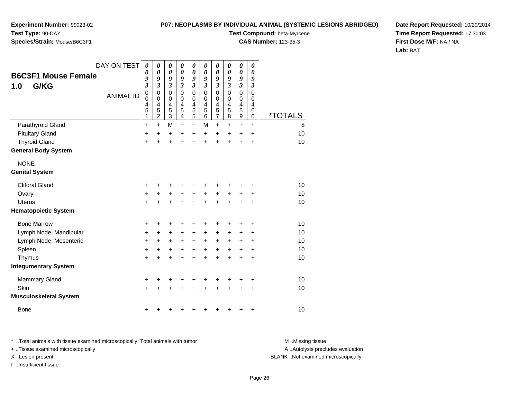**Experiment Number:** 99023-02**Test Type:** 90-DAY

# **Species/Strain:** Mouse/B6C3F1

**Test Compound:** beta-Myrcene

**CAS Number:** 123-35-3

**Date Report Requested:** 10/20/2014**Time Report Requested:** 17:30:03**First Dose M/F:** NA / NA**Lab:** BAT

|                               | DAY ON TEST      | 0                          | 0                   | $\boldsymbol{\theta}$        | 0                        | $\boldsymbol{\theta}$ | $\boldsymbol{\theta}$ | $\pmb{\theta}$             | 0              | $\pmb{\theta}$        | 0             |         |
|-------------------------------|------------------|----------------------------|---------------------|------------------------------|--------------------------|-----------------------|-----------------------|----------------------------|----------------|-----------------------|---------------|---------|
| <b>B6C3F1 Mouse Female</b>    |                  | 0<br>9                     | 0<br>9              | $\boldsymbol{\theta}$<br>9   | 0<br>9                   | 0<br>9                | 0<br>9                | $\boldsymbol{\theta}$<br>9 | 0<br>9         | 0<br>9                | 0<br>9        |         |
| G/KG<br>1.0                   |                  | $\boldsymbol{\beta}$       | $\mathfrak{z}$      | $\boldsymbol{\beta}$         | $\mathfrak{z}$           | $\boldsymbol{\beta}$  | 3                     | 3                          | $\mathfrak{z}$ | 3                     | 3             |         |
|                               | <b>ANIMAL ID</b> | $\mathbf 0$<br>$\mathbf 0$ | 0<br>$\mathbf 0$    | $\mathbf 0$<br>$\mathbf 0$   | $\mathbf{0}$<br>$\Omega$ | $\mathbf 0$<br>0      | $\Omega$<br>0         | $\mathbf 0$<br>0           | $\Omega$<br>0  | $\mathbf 0$<br>0      | $\Omega$<br>0 |         |
|                               |                  | 4                          | 4                   | 4                            | 4                        | 4                     | 4                     | 4                          | $\overline{4}$ | 4                     | 4             |         |
|                               |                  | 5<br>1                     | 5<br>$\overline{c}$ | $\sqrt{5}$<br>$\mathfrak{S}$ | 5<br>4                   | 5<br>5                | 5<br>6                | 5<br>$\overline{7}$        | 5<br>8         | 5<br>$\boldsymbol{9}$ | 6<br>0        | *TOTALS |
| Parathyroid Gland             |                  | $\ddot{}$                  | +                   | M                            | +                        | $\ddot{}$             | М                     | $\ddot{}$                  | +              | +                     | +             | 8       |
| <b>Pituitary Gland</b>        |                  | $\ddot{}$                  | $\ddot{}$           | $\ddot{}$                    | $\ddot{}$                | $\ddot{}$             | $\ddot{}$             | $\ddot{}$                  | $\ddot{}$      | $\ddot{}$             | $\ddot{}$     | 10      |
| <b>Thyroid Gland</b>          |                  | $\ddot{}$                  | $\ddot{}$           | $\ddot{}$                    | $\ddot{}$                | $\ddot{}$             | $\ddot{}$             | $\ddot{}$                  | $\ddot{}$      | $\ddot{}$             | $\ddot{}$     | 10      |
| <b>General Body System</b>    |                  |                            |                     |                              |                          |                       |                       |                            |                |                       |               |         |
| <b>NONE</b>                   |                  |                            |                     |                              |                          |                       |                       |                            |                |                       |               |         |
| <b>Genital System</b>         |                  |                            |                     |                              |                          |                       |                       |                            |                |                       |               |         |
| <b>Clitoral Gland</b>         |                  | +                          |                     | +                            |                          |                       |                       |                            |                |                       | +             | 10      |
| Ovary                         |                  | $\ddot{}$                  | +                   | +                            | $\ddot{}$                | +                     | $\ddot{}$             | +                          | $\ddot{}$      | ٠                     | ٠             | 10      |
| <b>Uterus</b>                 |                  | $\ddot{}$                  | ÷                   | $\ddot{}$                    | $\ddot{}$                | $\ddot{}$             | $\ddot{}$             | $\ddot{}$                  | ÷              | ÷                     | $\ddot{}$     | 10      |
| <b>Hematopoietic System</b>   |                  |                            |                     |                              |                          |                       |                       |                            |                |                       |               |         |
| <b>Bone Marrow</b>            |                  | +                          | +                   | +                            | +                        | +                     |                       | +                          | +              | +                     | +             | 10      |
| Lymph Node, Mandibular        |                  | $\ddot{}$                  | $\ddot{}$           | $\ddot{}$                    | $\ddot{}$                | $\ddot{}$             | $\ddot{}$             | $\ddot{}$                  | $\ddot{}$      | $\pm$                 | +             | 10      |
| Lymph Node, Mesenteric        |                  | $\ddot{}$                  | +                   | +                            | +                        | $\ddot{}$             | $\ddot{}$             | $\ddot{}$                  | $\ddot{}$      | +                     | +             | 10      |
| Spleen                        |                  | +                          | +                   | +                            | $\ddot{}$                | +                     | $\ddot{}$             | +                          | $\ddot{}$      | +                     | +             | 10      |
| Thymus                        |                  | $\ddot{}$                  | +                   | +                            | +                        | $\ddot{}$             | +                     | +                          | +              | +                     | +             | 10      |
| <b>Integumentary System</b>   |                  |                            |                     |                              |                          |                       |                       |                            |                |                       |               |         |
| Mammary Gland                 |                  | $\ddot{}$                  | +                   | +                            | +                        | +                     | +                     | +                          | ٠              | +                     | +             | 10      |
| Skin                          |                  | $\ddot{}$                  |                     | +                            |                          | +                     |                       | +                          | +              | +                     | +             | 10      |
| <b>Musculoskeletal System</b> |                  |                            |                     |                              |                          |                       |                       |                            |                |                       |               |         |
| <b>Bone</b>                   |                  | +                          |                     | ٠                            | ٠                        | +                     |                       | +                          | +              | +                     | +             | 10      |

\* ..Total animals with tissue examined microscopically; Total animals with tumor **M** . Missing tissue M ..Missing tissue A ..Autolysis precludes evaluation + ..Tissue examined microscopically X ..Lesion present BLANK ..Not examined microscopicallyI ..Insufficient tissue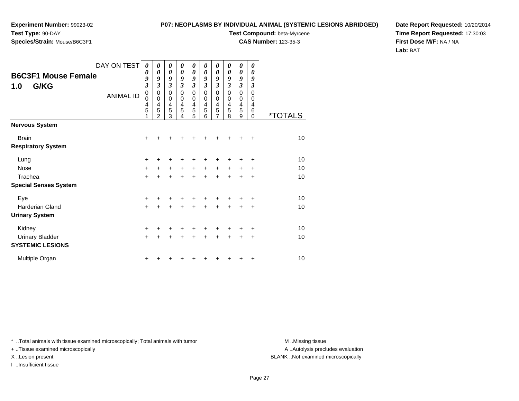**Species/Strain:** Mouse/B6C3F1

## **P07: NEOPLASMS BY INDIVIDUAL ANIMAL (SYSTEMIC LESIONS ABRIDGED)**

**Test Compound:** beta-Myrcene

**CAS Number:** 123-35-3

**Date Report Requested:** 10/20/2014**Time Report Requested:** 17:30:03**First Dose M/F:** NA / NA**Lab:** BAT

| DAY ON TEST                                       | $\boldsymbol{\theta}$      | 0                                            | 0                                            | 0                                                    | 0                               | 0                                            | $\theta$                                     | 0                                                    | 0                                                      | 0                                   |                       |
|---------------------------------------------------|----------------------------|----------------------------------------------|----------------------------------------------|------------------------------------------------------|---------------------------------|----------------------------------------------|----------------------------------------------|------------------------------------------------------|--------------------------------------------------------|-------------------------------------|-----------------------|
| <b>B6C3F1 Mouse Female</b><br>1.0<br>G/KG         | 0<br>9<br>3                | $\boldsymbol{\theta}$<br>9<br>3              | $\boldsymbol{\theta}$<br>9<br>$\mathfrak{z}$ | $\boldsymbol{\theta}$<br>9<br>$\mathfrak{z}$         | $\boldsymbol{\theta}$<br>9<br>3 | $\boldsymbol{\theta}$<br>9<br>$\mathfrak{z}$ | 0<br>9<br>3                                  | $\boldsymbol{\theta}$<br>9<br>$\mathfrak{z}$         | $\boldsymbol{\theta}$<br>9<br>$\boldsymbol{\beta}$     | 0<br>9<br>$\boldsymbol{\beta}$      |                       |
| <b>ANIMAL ID</b>                                  | $\mathbf 0$<br>0<br>4<br>5 | 0<br>$\mathbf 0$<br>$\overline{4}$<br>5<br>2 | $\mathbf 0$<br>$\mathbf 0$<br>4<br>5<br>3    | $\pmb{0}$<br>$\mathbf 0$<br>$\overline{4}$<br>5<br>4 | 0<br>$\mathbf 0$<br>4<br>5<br>5 | $\mathbf 0$<br>$\mathbf 0$<br>4<br>5<br>6    | 0<br>$\mathbf 0$<br>4<br>5<br>$\overline{7}$ | $\pmb{0}$<br>$\mathbf 0$<br>$\overline{4}$<br>5<br>8 | $\mathbf 0$<br>$\mathbf 0$<br>$\overline{4}$<br>5<br>9 | 0<br>0<br>4<br>$\,6$<br>$\mathbf 0$ | <i><b>*TOTALS</b></i> |
| Nervous System                                    |                            |                                              |                                              |                                                      |                                 |                                              |                                              |                                                      |                                                        |                                     |                       |
| <b>Brain</b><br><b>Respiratory System</b>         | $+$                        |                                              |                                              |                                                      |                                 | +                                            | +                                            | ٠                                                    | ٠                                                      | +                                   | 10                    |
| Lung                                              | $\ddot{}$                  |                                              |                                              |                                                      | +                               | +                                            | +                                            | +                                                    | ٠                                                      | +                                   | 10                    |
| Nose                                              | $\ddot{}$                  |                                              | $+$                                          | $\ddot{}$                                            | $\ddot{}$                       | $\ddot{}$                                    | $\ddot{}$                                    | $\ddot{}$                                            | $\ddot{}$                                              | +                                   | 10                    |
| Trachea                                           | $\ddot{}$                  |                                              |                                              |                                                      | $\ddot{}$                       | $\ddot{}$                                    | $\ddot{}$                                    | $\ddot{}$                                            | $\ddot{}$                                              | $\ddot{}$                           | 10                    |
| <b>Special Senses System</b>                      |                            |                                              |                                              |                                                      |                                 |                                              |                                              |                                                      |                                                        |                                     |                       |
| Eye                                               | +                          |                                              |                                              |                                                      |                                 |                                              | ٠                                            | +                                                    |                                                        | +                                   | 10                    |
| Harderian Gland<br><b>Urinary System</b>          | $\ddot{}$                  |                                              | +                                            | ÷                                                    | $\ddot{}$                       | $\ddot{}$                                    | $\ddot{}$                                    | $\ddot{}$                                            | +                                                      | +                                   | 10                    |
| Kidney                                            | $\ddot{}$                  |                                              |                                              |                                                      |                                 | ٠                                            | ٠                                            | +                                                    |                                                        | +                                   | 10                    |
| <b>Urinary Bladder</b><br><b>SYSTEMIC LESIONS</b> | $\ddot{}$                  |                                              | $\ddot{}$                                    | ÷                                                    | $\ddot{}$                       | $\ddot{}$                                    | $\ddot{}$                                    | $\ddot{}$                                            | $\ddot{}$                                              | +                                   | 10                    |
| Multiple Organ                                    | +                          |                                              |                                              |                                                      |                                 | ┿                                            | +                                            | +                                                    | ٠                                                      | +                                   | 10                    |

\* ..Total animals with tissue examined microscopically; Total animals with tumor **M** . Missing tissue M ..Missing tissue

+ ..Tissue examined microscopically

X ..Lesion present BLANK ..Not examined microscopically

I ..Insufficient tissue

A ..Autolysis precludes evaluation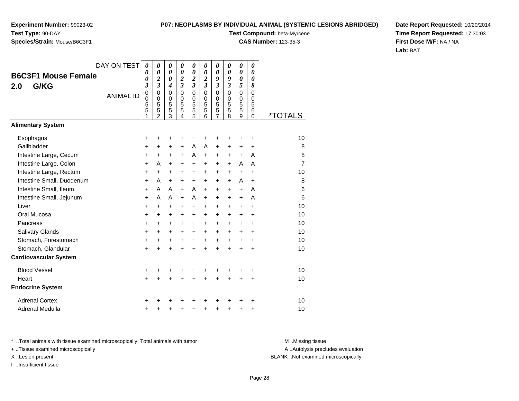# **Species/Strain:** Mouse/B6C3F1

**P07: NEOPLASMS BY INDIVIDUAL ANIMAL (SYSTEMIC LESIONS ABRIDGED)**

**Test Compound:** beta-Myrcene

**CAS Number:** 123-35-3

**Date Report Requested:** 10/20/2014**Time Report Requested:** 17:30:03**First Dose M/F:** NA / NA**Lab:** BAT

|                              | DAY ON TEST      | $\theta$                   | $\theta$                                         | 0                                     | 0                          | 0                            | 0                                                | 0                          | 0                          | $\boldsymbol{\theta}$    | 0                |                       |
|------------------------------|------------------|----------------------------|--------------------------------------------------|---------------------------------------|----------------------------|------------------------------|--------------------------------------------------|----------------------------|----------------------------|--------------------------|------------------|-----------------------|
| <b>B6C3F1 Mouse Female</b>   |                  | 0<br>0                     | $\boldsymbol{\theta}$<br>$\overline{\mathbf{c}}$ | 0<br>0                                | 0<br>2                     | 0<br>$\overline{\mathbf{c}}$ | $\boldsymbol{\theta}$<br>$\overline{\mathbf{c}}$ | 0<br>9                     | 0<br>9                     | 0<br>0                   | 0<br>0           |                       |
| G/KG<br>2.0                  |                  | 3                          | $\mathfrak{z}$                                   | $\boldsymbol{4}$                      | $\overline{\mathbf{3}}$    | 3                            | $\mathfrak{z}$                                   | $\overline{\mathbf{3}}$    | $\boldsymbol{\beta}$       | 5                        | 8                |                       |
|                              | <b>ANIMAL ID</b> | $\mathbf 0$<br>$\mathbf 0$ | $\mathbf 0$<br>$\mathbf 0$                       | $\mathbf 0$<br>0                      | $\mathbf 0$<br>$\mathbf 0$ | $\mathbf 0$<br>0             | $\mathbf 0$<br>$\mathbf 0$                       | $\mathbf 0$<br>$\mathbf 0$ | $\mathbf 0$<br>$\mathbf 0$ | $\mathbf 0$<br>0         | $\mathbf 0$<br>0 |                       |
|                              |                  | 5<br>5<br>1                | 5<br>5<br>$\overline{2}$                         | 5<br>$\overline{5}$<br>$\overline{3}$ | 5<br>5<br>4                | 5<br>5<br>5                  | 5<br>5<br>6                                      | 5<br>5<br>7                | 5<br>5<br>8                | 5<br>$\overline{5}$<br>9 | 5<br>6<br>0      | <i><b>*TOTALS</b></i> |
| <b>Alimentary System</b>     |                  |                            |                                                  |                                       |                            |                              |                                                  |                            |                            |                          |                  |                       |
| Esophagus                    |                  | +                          | +                                                | +                                     | +                          | +                            |                                                  | +                          | +                          | +                        | +                | 10                    |
| Gallbladder                  |                  | $\ddot{}$                  | $\ddot{}$                                        | $\ddot{}$                             | $\ddot{}$                  | A                            | A                                                | $\ddot{}$                  | $\ddot{}$                  | $\ddot{}$                | $\ddot{}$        | 8                     |
| Intestine Large, Cecum       |                  | $\ddot{}$                  | +                                                | +                                     | +                          | A                            | $\ddot{}$                                        | +                          | +                          | $\ddot{}$                | A                | 8                     |
| Intestine Large, Colon       |                  | +                          | A                                                | $\ddot{}$                             | $\ddot{}$                  | $\ddot{}$                    | $\ddot{}$                                        | $\ddot{}$                  | $\ddot{}$                  | A                        | A                | 7                     |
| Intestine Large, Rectum      |                  | $\ddot{}$                  | $\ddot{}$                                        | $\ddot{}$                             | $\ddot{}$                  | +                            | $\ddot{}$                                        | $\ddot{}$                  | $\ddot{}$                  | $\ddot{}$                | $\ddot{}$        | 10                    |
| Intestine Small, Duodenum    |                  | $\ddot{}$                  | A                                                | $+$                                   | +                          | +                            | $\ddot{}$                                        | +                          | +                          | A                        | $\ddot{}$        | 8                     |
| Intestine Small, Ileum       |                  | $\ddot{}$                  | A                                                | A                                     | $+$                        | A                            | $\ddot{}$                                        | +                          | $\ddot{}$                  | $\ddot{}$                | A                | 6                     |
| Intestine Small, Jejunum     |                  | +                          | A                                                | A                                     | $+$                        | A                            | $+$                                              | $\ddot{}$                  | $\ddot{}$                  | $\ddot{}$                | A                | 6                     |
| Liver                        |                  | +                          | $\ddot{}$                                        | +                                     | +                          | +                            | +                                                | +                          | +                          | +                        | $\ddot{}$        | 10                    |
| Oral Mucosa                  |                  | $\ddot{}$                  | +                                                | $\ddot{}$                             | $\ddot{}$                  | +                            | +                                                | +                          | $\ddot{}$                  | $\ddot{}$                | +                | 10                    |
| Pancreas                     |                  | $\ddot{}$                  | $\ddot{}$                                        | $+$                                   | +                          | +                            | $\ddot{}$                                        | $\ddot{}$                  | +                          | +                        | $\ddot{}$        | 10                    |
| Salivary Glands              |                  | +                          | $\ddot{}$                                        | $\ddot{}$                             | $\ddot{}$                  | $\ddot{}$                    | $\ddot{}$                                        | $\ddot{}$                  | $\ddot{}$                  | $\ddot{}$                | +                | 10                    |
| Stomach, Forestomach         |                  | $\ddot{}$                  | $\ddot{}$                                        | +                                     | +                          | $\ddot{}$                    | $\ddot{}$                                        | $\ddot{}$                  | $\ddot{}$                  | $\ddot{}$                | +                | 10                    |
| Stomach, Glandular           |                  | $\ddot{}$                  | $\ddot{}$                                        | $\ddot{}$                             | ÷                          | $\ddot{}$                    | $\ddot{}$                                        | $\ddot{}$                  | ÷                          | $\ddot{}$                | $\ddot{}$        | 10                    |
| <b>Cardiovascular System</b> |                  |                            |                                                  |                                       |                            |                              |                                                  |                            |                            |                          |                  |                       |
| <b>Blood Vessel</b>          |                  | +                          |                                                  |                                       |                            | +                            |                                                  |                            |                            | +                        | +                | 10                    |
| Heart                        |                  | +                          | $\ddot{}$                                        | $\ddot{}$                             | $\ddot{}$                  | $\ddot{}$                    | $\ddot{}$                                        | $\ddot{}$                  | $\ddot{}$                  | $\ddot{}$                | +                | 10                    |
| <b>Endocrine System</b>      |                  |                            |                                                  |                                       |                            |                              |                                                  |                            |                            |                          |                  |                       |
| <b>Adrenal Cortex</b>        |                  | +                          |                                                  |                                       |                            |                              |                                                  |                            |                            |                          | +                | 10                    |
| Adrenal Medulla              |                  | +                          | +                                                | +                                     | +                          | +                            | +                                                | +                          | +                          | +                        | +                | 10                    |

\* ..Total animals with tissue examined microscopically; Total animals with tumor **M** . Missing tissue M ..Missing tissue

+ ..Tissue examined microscopically

I ..Insufficient tissue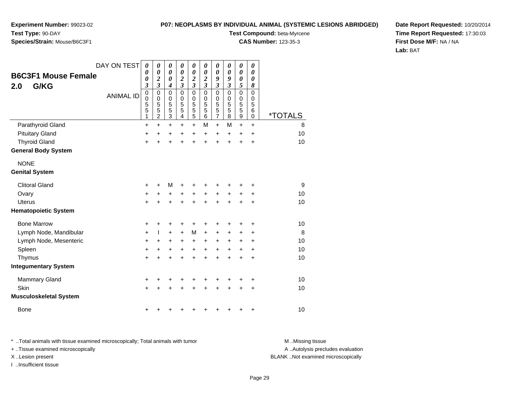**Experiment Number:** 99023-02**Test Type:** 90-DAY

# **Species/Strain:** Mouse/B6C3F1

**Test Compound:** beta-Myrcene

**CAS Number:** 123-35-3

**Date Report Requested:** 10/20/2014**Time Report Requested:** 17:30:03**First Dose M/F:** NA / NA**Lab:** BAT

| <b>B6C3F1 Mouse Female</b>    | DAY ON TEST      | $\boldsymbol{\theta}$<br>0                | 0<br>$\boldsymbol{\theta}$                           | $\boldsymbol{\theta}$<br>0      | 0<br>$\boldsymbol{\theta}$                  | 0<br>$\boldsymbol{\theta}$                   | 0<br>$\boldsymbol{\theta}$                 | $\pmb{\theta}$<br>$\boldsymbol{\theta}$                   | 0<br>0                           | 0<br>0                          | 0<br>0                          |         |
|-------------------------------|------------------|-------------------------------------------|------------------------------------------------------|---------------------------------|---------------------------------------------|----------------------------------------------|--------------------------------------------|-----------------------------------------------------------|----------------------------------|---------------------------------|---------------------------------|---------|
| G/KG<br>2.0                   |                  | 0<br>$\boldsymbol{\beta}$                 | $\boldsymbol{2}$<br>$\mathfrak{z}$                   | 0<br>$\boldsymbol{4}$           | $\boldsymbol{2}$<br>$\overline{\mathbf{3}}$ | $\boldsymbol{2}$<br>$\mathfrak{z}$           | 2<br>$\overline{\mathbf{3}}$               | 9<br>3                                                    | 9<br>$\mathfrak{z}$              | 0<br>5                          | 0<br>8                          |         |
|                               | <b>ANIMAL ID</b> | $\mathbf 0$<br>$\mathbf 0$<br>5<br>5<br>1 | $\mathbf 0$<br>$\pmb{0}$<br>5<br>5<br>$\overline{c}$ | $\mathbf 0$<br>0<br>5<br>5<br>3 | $\mathbf{0}$<br>$\mathbf 0$<br>5<br>5<br>4  | $\mathbf 0$<br>0<br>5<br>5<br>$\overline{5}$ | $\mathbf{0}$<br>$\mathbf 0$<br>5<br>5<br>6 | $\mathbf 0$<br>0<br>5<br>$\overline{5}$<br>$\overline{7}$ | $\mathbf{0}$<br>0<br>5<br>5<br>8 | $\mathbf 0$<br>0<br>5<br>5<br>9 | $\mathbf 0$<br>0<br>5<br>6<br>0 | *TOTALS |
| Parathyroid Gland             |                  | +                                         | $\ddot{}$                                            | $\ddot{}$                       | $\ddot{}$                                   | $\ddot{}$                                    | M                                          | $\ddot{}$                                                 | M                                | $\ddot{}$                       | $+$                             | 8       |
| <b>Pituitary Gland</b>        |                  | +                                         | +                                                    | +                               | +                                           | +                                            | $\ddot{}$                                  | +                                                         | $\pm$                            | $\pm$                           | $\ddot{}$                       | 10      |
| <b>Thyroid Gland</b>          |                  | +                                         |                                                      | $\ddot{}$                       | $\ddot{}$                                   | $\ddot{}$                                    | $\ddot{}$                                  | $\ddot{}$                                                 | $\ddot{}$                        | $\ddot{}$                       | $\ddot{}$                       | 10      |
| <b>General Body System</b>    |                  |                                           |                                                      |                                 |                                             |                                              |                                            |                                                           |                                  |                                 |                                 |         |
| <b>NONE</b>                   |                  |                                           |                                                      |                                 |                                             |                                              |                                            |                                                           |                                  |                                 |                                 |         |
| <b>Genital System</b>         |                  |                                           |                                                      |                                 |                                             |                                              |                                            |                                                           |                                  |                                 |                                 |         |
| <b>Clitoral Gland</b>         |                  | +                                         | ٠                                                    | M                               | +                                           | +                                            |                                            |                                                           |                                  |                                 | +                               | 9       |
| Ovary                         |                  | +                                         | +                                                    | +                               | +                                           | +                                            | +                                          | +                                                         | +                                | +                               | +                               | 10      |
| Uterus                        |                  | $\ddot{}$                                 |                                                      | $\ddot{}$                       | $\ddot{}$                                   | $\ddot{}$                                    | $\ddot{}$                                  | $\ddot{}$                                                 |                                  | +                               | +                               | 10      |
| <b>Hematopoietic System</b>   |                  |                                           |                                                      |                                 |                                             |                                              |                                            |                                                           |                                  |                                 |                                 |         |
| <b>Bone Marrow</b>            |                  | +                                         |                                                      | +                               | +                                           | +                                            | +                                          | +                                                         |                                  | +                               | +                               | 10      |
| Lymph Node, Mandibular        |                  | +                                         |                                                      | +                               | +                                           | M                                            | $\ddot{}$                                  | +                                                         | +                                | +                               | ٠                               | 8       |
| Lymph Node, Mesenteric        |                  | +                                         | $\ddot{}$                                            | +                               | +                                           | +                                            | $\ddot{}$                                  | +                                                         | $\ddot{}$                        | +                               | +                               | 10      |
| Spleen                        |                  | $\ddot{}$                                 | +                                                    | +                               | $\ddot{}$                                   | $\ddot{}$                                    | $\ddot{}$                                  | +                                                         | $\ddot{}$                        | +                               | $\ddot{}$                       | 10      |
| Thymus                        |                  | +                                         |                                                      | $\ddot{}$                       | +                                           | $\ddot{}$                                    | $\ddot{}$                                  | $\ddot{}$                                                 | +                                | +                               | +                               | 10      |
| <b>Integumentary System</b>   |                  |                                           |                                                      |                                 |                                             |                                              |                                            |                                                           |                                  |                                 |                                 |         |
| <b>Mammary Gland</b>          |                  | $\ddot{}$                                 | ٠                                                    | +                               | +                                           | +                                            | +                                          | +                                                         | ٠                                | +                               | +                               | 10      |
| Skin                          |                  | $\ddot{}$                                 |                                                      |                                 |                                             | +                                            |                                            | +                                                         |                                  | +                               | +                               | 10      |
| <b>Musculoskeletal System</b> |                  |                                           |                                                      |                                 |                                             |                                              |                                            |                                                           |                                  |                                 |                                 |         |
| <b>Bone</b>                   |                  | +                                         |                                                      |                                 | ۰                                           | +                                            |                                            |                                                           |                                  | +                               | +                               | 10      |

\* ..Total animals with tissue examined microscopically; Total animals with tumor **M** . Missing tissue M ..Missing tissue + ..Tissue examined microscopically

I ..Insufficient tissue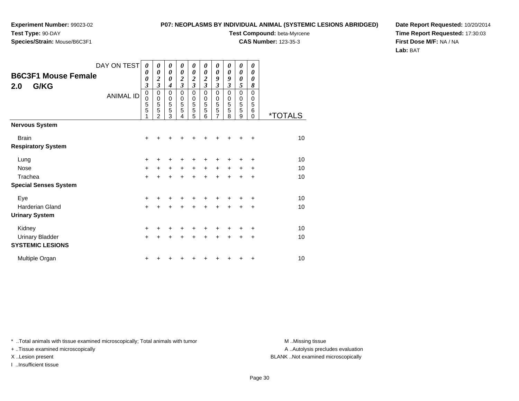**Species/Strain:** Mouse/B6C3F1

### **P07: NEOPLASMS BY INDIVIDUAL ANIMAL (SYSTEMIC LESIONS ABRIDGED)**

**Test Compound:** beta-Myrcene

**CAS Number:** 123-35-3

**Date Report Requested:** 10/20/2014**Time Report Requested:** 17:30:03**First Dose M/F:** NA / NA**Lab:** BAT

| <b>B6C3F1 Mouse Female</b><br>G/KG<br>2.0 | DAY ON TEST<br><b>ANIMAL ID</b> | 0<br>$\boldsymbol{\theta}$<br>$\boldsymbol{\theta}$<br>$\overline{\mathbf{3}}$<br>$\mathbf 0$<br>0<br>$\frac{5}{5}$ | 0<br>0<br>$\overline{\mathbf{c}}$<br>3<br>0<br>0<br>5<br>5<br>2 | 0<br>0<br>0<br>$\overline{\mathbf{4}}$<br>0<br>0<br>$\frac{5}{5}$<br>3 | 0<br>$\boldsymbol{\theta}$<br>$\overline{\mathbf{c}}$<br>3<br>0<br>0<br>5<br>5<br>4 | 0<br>$\boldsymbol{\theta}$<br>$\overline{\mathbf{c}}$<br>$\overline{3}$<br>0<br>$\mathbf 0$<br>5<br>5<br>5 | 0<br>$\boldsymbol{\theta}$<br>$\overline{\mathbf{c}}$<br>$\overline{\mathbf{3}}$<br>$\mathbf 0$<br>0<br>5<br>5<br>6 | 0<br>0<br>9<br>$\overline{\mathbf{3}}$<br>0<br>0<br>$\sqrt{5}$<br>$\overline{5}$<br>$\overline{7}$ | 0<br>$\boldsymbol{\theta}$<br>9<br>$\overline{\mathbf{3}}$<br>$\mathbf 0$<br>0<br>5<br>5<br>8 | 0<br>$\boldsymbol{\theta}$<br>0<br>5<br>$\mathbf 0$<br>0<br>5<br>5<br>9 | 0<br>0<br>0<br>8<br>$\Omega$<br>0<br>5<br>6<br>$\Omega$ | <i><b>*TOTALS</b></i> |
|-------------------------------------------|---------------------------------|---------------------------------------------------------------------------------------------------------------------|-----------------------------------------------------------------|------------------------------------------------------------------------|-------------------------------------------------------------------------------------|------------------------------------------------------------------------------------------------------------|---------------------------------------------------------------------------------------------------------------------|----------------------------------------------------------------------------------------------------|-----------------------------------------------------------------------------------------------|-------------------------------------------------------------------------|---------------------------------------------------------|-----------------------|
| <b>Nervous System</b>                     |                                 |                                                                                                                     |                                                                 |                                                                        |                                                                                     |                                                                                                            |                                                                                                                     |                                                                                                    |                                                                                               |                                                                         |                                                         |                       |
| <b>Brain</b><br><b>Respiratory System</b> |                                 | +                                                                                                                   |                                                                 |                                                                        |                                                                                     |                                                                                                            |                                                                                                                     |                                                                                                    |                                                                                               |                                                                         | +                                                       | 10                    |
| Lung                                      |                                 | $\ddot{}$                                                                                                           |                                                                 |                                                                        |                                                                                     |                                                                                                            |                                                                                                                     |                                                                                                    |                                                                                               | +                                                                       | $\ddot{}$                                               | 10                    |
| <b>Nose</b>                               |                                 | $\ddot{}$                                                                                                           | +                                                               | $\ddot{}$                                                              | $\ddot{}$                                                                           | $+$                                                                                                        | $\ddot{}$                                                                                                           | $\ddot{}$                                                                                          | $\ddot{}$                                                                                     | $+$                                                                     | ÷                                                       | 10                    |
| Trachea                                   |                                 | $\ddot{}$                                                                                                           | $\ddot{}$                                                       | $\ddot{}$                                                              | $\ddot{}$                                                                           | $\ddot{}$                                                                                                  | $\ddot{}$                                                                                                           | $\ddot{}$                                                                                          | $\ddot{}$                                                                                     | $\ddot{}$                                                               | $\ddot{}$                                               | 10                    |
| <b>Special Senses System</b>              |                                 |                                                                                                                     |                                                                 |                                                                        |                                                                                     |                                                                                                            |                                                                                                                     |                                                                                                    |                                                                                               |                                                                         |                                                         |                       |
| Eye                                       |                                 | +                                                                                                                   |                                                                 |                                                                        |                                                                                     |                                                                                                            |                                                                                                                     |                                                                                                    |                                                                                               |                                                                         | +                                                       | 10                    |
| <b>Harderian Gland</b>                    |                                 | $\ddot{}$                                                                                                           | +                                                               | +                                                                      | +                                                                                   | $\ddot{}$                                                                                                  | $\ddot{}$                                                                                                           | +                                                                                                  | $\ddot{}$                                                                                     | $\ddot{}$                                                               | $\ddot{}$                                               | 10                    |
| <b>Urinary System</b>                     |                                 |                                                                                                                     |                                                                 |                                                                        |                                                                                     |                                                                                                            |                                                                                                                     |                                                                                                    |                                                                                               |                                                                         |                                                         |                       |
| Kidney                                    |                                 | $\ddot{}$                                                                                                           |                                                                 |                                                                        |                                                                                     |                                                                                                            |                                                                                                                     |                                                                                                    | ٠                                                                                             | +                                                                       | $\ddot{}$                                               | 10                    |
| <b>Urinary Bladder</b>                    |                                 | $\ddot{}$                                                                                                           | +                                                               | $\ddot{}$                                                              | $\ddot{}$                                                                           | $\ddot{}$                                                                                                  | $\ddot{}$                                                                                                           | $\ddot{}$                                                                                          | $\ddot{}$                                                                                     | $\ddot{}$                                                               | $\ddot{}$                                               | 10                    |
| <b>SYSTEMIC LESIONS</b>                   |                                 |                                                                                                                     |                                                                 |                                                                        |                                                                                     |                                                                                                            |                                                                                                                     |                                                                                                    |                                                                                               |                                                                         |                                                         |                       |
| Multiple Organ                            |                                 | +                                                                                                                   |                                                                 |                                                                        |                                                                                     |                                                                                                            |                                                                                                                     |                                                                                                    |                                                                                               | +                                                                       | +                                                       | 10                    |

\* ..Total animals with tissue examined microscopically; Total animals with tumor **M** . Missing tissue M ..Missing tissue

+ ..Tissue examined microscopically

I ..Insufficient tissue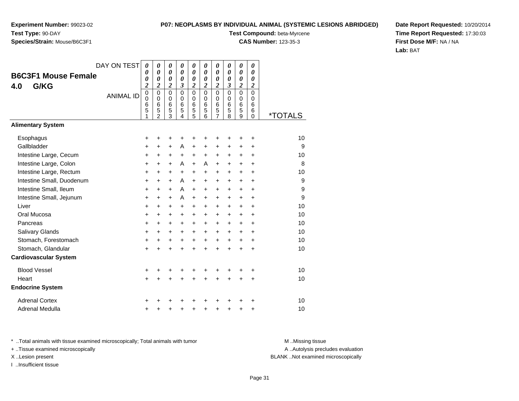#### **P07: NEOPLASMS BY INDIVIDUAL ANIMAL (SYSTEMIC LESIONS ABRIDGED)**

**Test Compound:** beta-Myrcene

**CAS Number:** 123-35-3

**Date Report Requested:** 10/20/2014**Time Report Requested:** 17:30:03**First Dose M/F:** NA / NA**Lab:** BAT

| <b>B6C3F1 Mouse Female</b><br>G/KG<br>4.0 | DAY ON TEST<br><b>ANIMAL ID</b> | $\boldsymbol{\theta}$<br>0<br>0<br>$\overline{c}$<br>$\pmb{0}$<br>$\mathbf 0$<br>6<br>$\overline{5}$<br>1 | 0<br>$\boldsymbol{\theta}$<br>0<br>$\boldsymbol{2}$<br>$\mathbf 0$<br>$\mathbf 0$<br>$6\phantom{1}6$<br>$\overline{5}$<br>$\mathfrak{p}$ | 0<br>0<br>0<br>$\boldsymbol{2}$<br>$\mathbf 0$<br>$\mathbf 0$<br>6<br>5<br>3 | 0<br>$\boldsymbol{\theta}$<br>0<br>3<br>$\Omega$<br>$\Omega$<br>6<br>5<br>4 | $\boldsymbol{\theta}$<br>$\boldsymbol{\theta}$<br>0<br>$\overline{\mathbf{c}}$<br>$\mathbf 0$<br>$\mathbf 0$<br>6<br>$\overline{5}$<br>5 | 0<br>0<br>0<br>2<br>$\mathbf 0$<br>$\mathbf 0$<br>6<br>$\overline{5}$<br>6 | 0<br>0<br>0<br>2<br>$\mathbf 0$<br>0<br>6<br>$\overline{5}$<br>$\overline{7}$ | 0<br>0<br>0<br>3<br>$\Omega$<br>$\mathbf 0$<br>6<br>5<br>8 | $\boldsymbol{\theta}$<br>$\boldsymbol{\theta}$<br>$\boldsymbol{\theta}$<br>$\boldsymbol{2}$<br>$\mathbf 0$<br>$\pmb{0}$<br>6<br>5<br>9 | 0<br>0<br>0<br>$\boldsymbol{2}$<br>$\mathbf 0$<br>0<br>6<br>6<br>$\Omega$ | <i><b>*TOTALS</b></i> |
|-------------------------------------------|---------------------------------|-----------------------------------------------------------------------------------------------------------|------------------------------------------------------------------------------------------------------------------------------------------|------------------------------------------------------------------------------|-----------------------------------------------------------------------------|------------------------------------------------------------------------------------------------------------------------------------------|----------------------------------------------------------------------------|-------------------------------------------------------------------------------|------------------------------------------------------------|----------------------------------------------------------------------------------------------------------------------------------------|---------------------------------------------------------------------------|-----------------------|
| <b>Alimentary System</b>                  |                                 |                                                                                                           |                                                                                                                                          |                                                                              |                                                                             |                                                                                                                                          |                                                                            |                                                                               |                                                            |                                                                                                                                        |                                                                           |                       |
| Esophagus                                 |                                 | +                                                                                                         | +                                                                                                                                        | +                                                                            | +                                                                           | +                                                                                                                                        | +                                                                          | +                                                                             | +                                                          | +                                                                                                                                      | +                                                                         | 10                    |
| Gallbladder                               |                                 | $\ddot{}$                                                                                                 | +                                                                                                                                        | $\ddot{}$                                                                    | A                                                                           | +                                                                                                                                        | +                                                                          | +                                                                             | +                                                          | +                                                                                                                                      | +                                                                         | 9                     |
| Intestine Large, Cecum                    |                                 | $\ddot{}$                                                                                                 | $\ddot{}$                                                                                                                                | $\ddot{}$                                                                    | +                                                                           | $\ddot{}$                                                                                                                                | $\ddot{}$                                                                  | $\ddot{}$                                                                     | +                                                          | $\ddot{}$                                                                                                                              | $\ddot{}$                                                                 | 10                    |
| Intestine Large, Colon                    |                                 | $\ddot{}$                                                                                                 | +                                                                                                                                        | $\ddot{}$                                                                    | A                                                                           | $\ddot{}$                                                                                                                                | A                                                                          | $\ddot{}$                                                                     | +                                                          | +                                                                                                                                      | $\ddot{}$                                                                 | 8                     |
| Intestine Large, Rectum                   |                                 | $\ddot{}$                                                                                                 | $\ddot{}$                                                                                                                                | $\ddot{}$                                                                    | +                                                                           | +                                                                                                                                        | +                                                                          | +                                                                             | +                                                          | $\ddot{}$                                                                                                                              | $\ddot{}$                                                                 | 10                    |
| Intestine Small, Duodenum                 |                                 | $\ddot{}$                                                                                                 | $\ddot{}$                                                                                                                                | $\ddot{}$                                                                    | A                                                                           | $\ddot{}$                                                                                                                                | $\ddot{}$                                                                  | +                                                                             | +                                                          | $\ddot{}$                                                                                                                              | $\ddot{}$                                                                 | 9                     |
| Intestine Small, Ileum                    |                                 | +                                                                                                         | $\ddot{}$                                                                                                                                | $\ddot{}$                                                                    | A                                                                           | $\ddot{}$                                                                                                                                | $\ddot{}$                                                                  | $\ddot{}$                                                                     | +                                                          | $\ddot{}$                                                                                                                              | $\ddot{}$                                                                 | 9                     |
| Intestine Small, Jejunum                  |                                 | $\ddot{}$                                                                                                 | +                                                                                                                                        | +                                                                            | A                                                                           | +                                                                                                                                        | $\pm$                                                                      | +                                                                             | +                                                          | +                                                                                                                                      | $\ddot{}$                                                                 | 9                     |
| Liver                                     |                                 | $\ddot{}$                                                                                                 | $\ddot{}$                                                                                                                                | $\ddot{}$                                                                    | $\ddot{}$                                                                   | $\ddot{}$                                                                                                                                | +                                                                          | +                                                                             | $\ddot{}$                                                  | $\ddot{}$                                                                                                                              | $\ddot{}$                                                                 | 10                    |
| Oral Mucosa                               |                                 | +                                                                                                         | +                                                                                                                                        | +                                                                            | +                                                                           | +                                                                                                                                        | +                                                                          | +                                                                             | +                                                          | +                                                                                                                                      | $\ddot{}$                                                                 | 10                    |
| Pancreas                                  |                                 | $\ddot{}$                                                                                                 | $\ddot{}$                                                                                                                                | $\ddot{}$                                                                    | $\ddot{}$                                                                   | $\ddot{}$                                                                                                                                | $\ddot{}$                                                                  | +                                                                             | +                                                          | $\ddot{}$                                                                                                                              | $\ddot{}$                                                                 | 10                    |
| Salivary Glands                           |                                 | $\ddot{}$                                                                                                 | $\ddot{}$                                                                                                                                | $\ddot{}$                                                                    | $\ddot{}$                                                                   | $\ddot{}$                                                                                                                                | $\ddot{}$                                                                  | $+$                                                                           | $\ddot{}$                                                  | $\ddot{}$                                                                                                                              | $\ddot{}$                                                                 | 10                    |
| Stomach, Forestomach                      |                                 | $\ddot{}$                                                                                                 | $\ddot{}$                                                                                                                                | +                                                                            | +                                                                           | $\ddot{}$                                                                                                                                | $\ddot{}$                                                                  | +                                                                             | +                                                          | +                                                                                                                                      | +                                                                         | 10                    |
| Stomach, Glandular                        |                                 | $\ddot{}$                                                                                                 | ÷                                                                                                                                        | $\ddot{}$                                                                    | $\ddot{}$                                                                   | $\ddot{}$                                                                                                                                | $\ddot{}$                                                                  | $\ddot{}$                                                                     | $\ddot{}$                                                  | $\ddot{}$                                                                                                                              | $\ddot{}$                                                                 | 10                    |
| <b>Cardiovascular System</b>              |                                 |                                                                                                           |                                                                                                                                          |                                                                              |                                                                             |                                                                                                                                          |                                                                            |                                                                               |                                                            |                                                                                                                                        |                                                                           |                       |
| <b>Blood Vessel</b>                       |                                 | +                                                                                                         |                                                                                                                                          | +                                                                            |                                                                             | +                                                                                                                                        |                                                                            |                                                                               |                                                            |                                                                                                                                        |                                                                           | 10                    |
| Heart                                     |                                 | $\ddot{}$                                                                                                 | +                                                                                                                                        | $\ddot{}$                                                                    | $\ddot{}$                                                                   | $\ddot{}$                                                                                                                                | $\ddot{}$                                                                  | $\ddot{}$                                                                     | $\ddot{}$                                                  | +                                                                                                                                      | $\ddot{}$                                                                 | 10                    |
| <b>Endocrine System</b>                   |                                 |                                                                                                           |                                                                                                                                          |                                                                              |                                                                             |                                                                                                                                          |                                                                            |                                                                               |                                                            |                                                                                                                                        |                                                                           |                       |
| <b>Adrenal Cortex</b>                     |                                 |                                                                                                           |                                                                                                                                          |                                                                              |                                                                             |                                                                                                                                          |                                                                            |                                                                               |                                                            |                                                                                                                                        |                                                                           | 10                    |
| Adrenal Medulla                           |                                 | +                                                                                                         |                                                                                                                                          | +                                                                            | +                                                                           | +                                                                                                                                        | +                                                                          | +                                                                             | +                                                          | +                                                                                                                                      | +                                                                         | 10                    |

\* ..Total animals with tissue examined microscopically; Total animals with tumor **M** . Missing tissue M ..Missing tissue

+ ..Tissue examined microscopically

I ..Insufficient tissue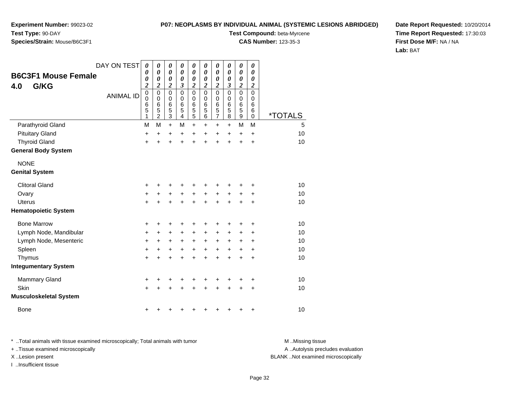**Experiment Number:** 99023-02**Test Type:** 90-DAY

# **Species/Strain:** Mouse/B6C3F1

**Test Compound:** beta-Myrcene

**CAS Number:** 123-35-3

**Date Report Requested:** 10/20/2014**Time Report Requested:** 17:30:03**First Dose M/F:** NA / NA**Lab:** BAT

| <b>B6C3F1 Mouse Female</b><br>G/KG<br>4.0 | DAY ON TEST<br><b>ANIMAL ID</b> | $\boldsymbol{\theta}$<br>0<br>0<br>$\boldsymbol{2}$<br>$\mathbf 0$<br>$\mathbf 0$<br>$\,6$<br>5 | 0<br>$\boldsymbol{\theta}$<br>0<br>$\boldsymbol{2}$<br>$\mathbf 0$<br>$\mathbf 0$<br>$6\phantom{1}6$<br>5 | $\boldsymbol{\theta}$<br>0<br>0<br>2<br>$\mathbf 0$<br>0<br>$\,6$<br>5 | $\boldsymbol{\theta}$<br>0<br>$\boldsymbol{\theta}$<br>3<br>$\Omega$<br>$\mathbf 0$<br>6<br>5 | $\boldsymbol{\theta}$<br>$\boldsymbol{\theta}$<br>0<br>$\boldsymbol{2}$<br>$\mathbf 0$<br>$\mathbf 0$<br>6<br>5 | 0<br>0<br>0<br>$\boldsymbol{2}$<br>$\Omega$<br>$\mathbf 0$<br>6<br>5 | $\boldsymbol{\theta}$<br>$\boldsymbol{\theta}$<br>0<br>$\boldsymbol{2}$<br>$\mathbf 0$<br>$\mathbf 0$<br>6<br>$\overline{5}$ | 0<br>0<br>0<br>3<br>$\mathbf 0$<br>0<br>6<br>5 | $\boldsymbol{\theta}$<br>0<br>0<br>$\boldsymbol{2}$<br>$\mathbf 0$<br>0<br>6<br>5 | 0<br>0<br>0<br>2<br>$\Omega$<br>0<br>6<br>6 |                       |
|-------------------------------------------|---------------------------------|-------------------------------------------------------------------------------------------------|-----------------------------------------------------------------------------------------------------------|------------------------------------------------------------------------|-----------------------------------------------------------------------------------------------|-----------------------------------------------------------------------------------------------------------------|----------------------------------------------------------------------|------------------------------------------------------------------------------------------------------------------------------|------------------------------------------------|-----------------------------------------------------------------------------------|---------------------------------------------|-----------------------|
|                                           |                                 | 1                                                                                               | $\overline{2}$                                                                                            | 3                                                                      | 4                                                                                             | 5                                                                                                               | 6                                                                    | $\overline{7}$                                                                                                               | 8                                              | 9                                                                                 | 0                                           | <i><b>*TOTALS</b></i> |
| Parathyroid Gland                         |                                 | M                                                                                               | M                                                                                                         | $\ddot{}$                                                              | M                                                                                             | $\ddot{}$                                                                                                       | +                                                                    | $\ddot{}$                                                                                                                    | +                                              | M                                                                                 | M                                           | 5                     |
| <b>Pituitary Gland</b>                    |                                 | $\ddot{}$                                                                                       | $\ddot{}$                                                                                                 | $\ddot{}$                                                              | $\ddot{}$                                                                                     | $\ddot{}$                                                                                                       | $\ddot{}$                                                            | $\ddot{}$                                                                                                                    | $\ddot{}$                                      | $\ddot{}$                                                                         | $\ddot{}$                                   | 10                    |
| <b>Thyroid Gland</b>                      |                                 | +                                                                                               | ÷                                                                                                         | $\ddot{}$                                                              | $\ddot{}$                                                                                     | $\ddot{}$                                                                                                       | $\ddot{}$                                                            | $\ddot{}$                                                                                                                    | $\ddot{}$                                      | $\ddot{}$                                                                         | $\ddot{}$                                   | 10                    |
| <b>General Body System</b>                |                                 |                                                                                                 |                                                                                                           |                                                                        |                                                                                               |                                                                                                                 |                                                                      |                                                                                                                              |                                                |                                                                                   |                                             |                       |
| <b>NONE</b>                               |                                 |                                                                                                 |                                                                                                           |                                                                        |                                                                                               |                                                                                                                 |                                                                      |                                                                                                                              |                                                |                                                                                   |                                             |                       |
| <b>Genital System</b>                     |                                 |                                                                                                 |                                                                                                           |                                                                        |                                                                                               |                                                                                                                 |                                                                      |                                                                                                                              |                                                |                                                                                   |                                             |                       |
| <b>Clitoral Gland</b>                     |                                 | +                                                                                               |                                                                                                           |                                                                        |                                                                                               | +                                                                                                               |                                                                      |                                                                                                                              |                                                |                                                                                   | +                                           | 10                    |
| Ovary                                     |                                 | +                                                                                               | +                                                                                                         | +                                                                      | $\ddot{}$                                                                                     | +                                                                                                               | +                                                                    | +                                                                                                                            | +                                              | +                                                                                 | ٠                                           | 10                    |
| <b>Uterus</b>                             |                                 | $\ddot{}$                                                                                       |                                                                                                           | $\ddot{}$                                                              | $\ddot{}$                                                                                     | $\ddot{}$                                                                                                       | $\ddot{}$                                                            | $\ddot{}$                                                                                                                    |                                                |                                                                                   | $\ddot{}$                                   | 10                    |
| <b>Hematopoietic System</b>               |                                 |                                                                                                 |                                                                                                           |                                                                        |                                                                                               |                                                                                                                 |                                                                      |                                                                                                                              |                                                |                                                                                   |                                             |                       |
| <b>Bone Marrow</b>                        |                                 | +                                                                                               | +                                                                                                         | +                                                                      | +                                                                                             | +                                                                                                               | +                                                                    | +                                                                                                                            |                                                | +                                                                                 | +                                           | 10                    |
| Lymph Node, Mandibular                    |                                 | +                                                                                               | +                                                                                                         | $\ddot{}$                                                              | $\ddot{}$                                                                                     | $\ddot{}$                                                                                                       | $\ddot{}$                                                            | $\ddot{}$                                                                                                                    | $\ddot{}$                                      | +                                                                                 | +                                           | 10                    |
| Lymph Node, Mesenteric                    |                                 | +                                                                                               | $\ddot{}$                                                                                                 | +                                                                      | +                                                                                             | $\ddot{}$                                                                                                       | +                                                                    | $\ddot{}$                                                                                                                    | $\pm$                                          | +                                                                                 | +                                           | 10                    |
| Spleen                                    |                                 | $\ddot{}$                                                                                       | +                                                                                                         | +                                                                      | $\ddot{}$                                                                                     | $\ddot{}$                                                                                                       | $\ddot{}$                                                            | $\ddot{}$                                                                                                                    | $\ddot{}$                                      | +                                                                                 | +                                           | 10                    |
| Thymus                                    |                                 | $\pm$                                                                                           |                                                                                                           | +                                                                      | +                                                                                             | $\ddot{}$                                                                                                       | $\ddot{}$                                                            | $\ddot{}$                                                                                                                    | +                                              | +                                                                                 | +                                           | 10                    |
| <b>Integumentary System</b>               |                                 |                                                                                                 |                                                                                                           |                                                                        |                                                                                               |                                                                                                                 |                                                                      |                                                                                                                              |                                                |                                                                                   |                                             |                       |
| Mammary Gland                             |                                 | +                                                                                               | ٠                                                                                                         | +                                                                      | +                                                                                             | +                                                                                                               | +                                                                    | +                                                                                                                            | +                                              | ٠                                                                                 | +                                           | 10                    |
| Skin                                      |                                 | $\ddot{}$                                                                                       |                                                                                                           |                                                                        |                                                                                               | +                                                                                                               |                                                                      |                                                                                                                              |                                                | +                                                                                 | +                                           | 10                    |
| <b>Musculoskeletal System</b>             |                                 |                                                                                                 |                                                                                                           |                                                                        |                                                                                               |                                                                                                                 |                                                                      |                                                                                                                              |                                                |                                                                                   |                                             |                       |
| <b>Bone</b>                               |                                 | +                                                                                               |                                                                                                           |                                                                        |                                                                                               | +                                                                                                               | ٠                                                                    | +                                                                                                                            | +                                              | +                                                                                 | +                                           | 10                    |

\* ..Total animals with tissue examined microscopically; Total animals with tumor **M** . Missing tissue M ..Missing tissue A ..Autolysis precludes evaluation + ..Tissue examined microscopically X ..Lesion present BLANK ..Not examined microscopicallyI ..Insufficient tissue